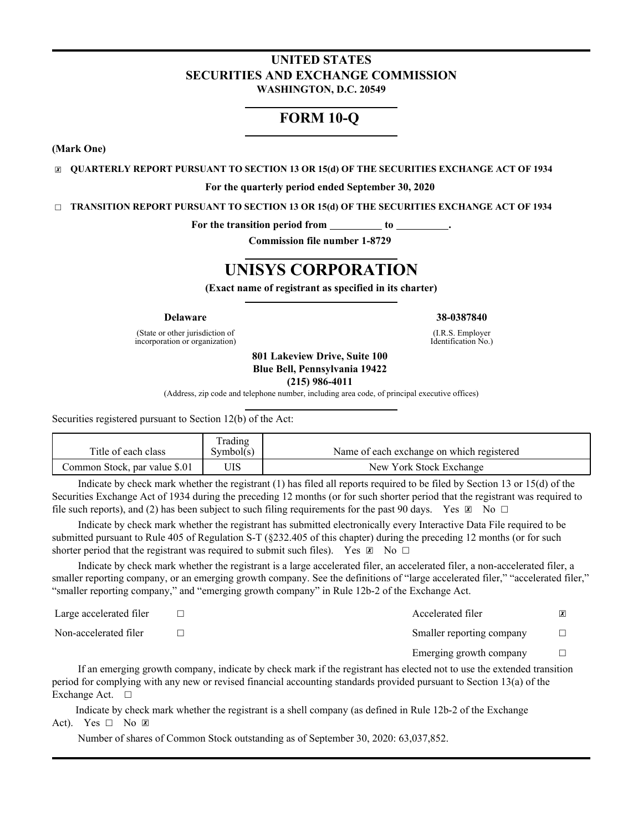### **UNITED STATES SECURITIES AND EXCHANGE COMMISSION WASHINGTON, D.C. 20549**

# **FORM 10-Q**

**(Mark One)**

☒ **QUARTERLY REPORT PURSUANT TO SECTION 13 OR 15(d) OF THE SECURITIES EXCHANGE ACT OF 1934**

**For the quarterly period ended September 30, 2020**

☐ **TRANSITION REPORT PURSUANT TO SECTION 13 OR 15(d) OF THE SECURITIES EXCHANGE ACT OF 1934**

For the transition period from \_\_\_\_\_\_\_\_\_ to \_

**Commission file number 1-8729**

# **UNISYS CORPORATION**

**(Exact name of registrant as specified in its charter)**

(State or other jurisdiction of incorporation or organization)

**Delaware 38-0387840**

(I.R.S. Employer Identification No.)

**801 Lakeview Drive, Suite 100 Blue Bell, Pennsylvania 19422 (215) 986-4011**

(Address, zip code and telephone number, including area code, of principal executive offices)

Securities registered pursuant to Section 12(b) of the Act:

| Title of each class           | Trading<br>Symbol(s) | Name of each exchange on which registered |
|-------------------------------|----------------------|-------------------------------------------|
| Common Stock, par value \$.01 | UIS                  | New York Stock Exchange                   |

Indicate by check mark whether the registrant (1) has filed all reports required to be filed by Section 13 or 15(d) of the Securities Exchange Act of 1934 during the preceding 12 months (or for such shorter period that the registrant was required to file such reports), and (2) has been subject to such filing requirements for the past 90 days. Yes  $\boxtimes$  No  $\Box$ 

Indicate by check mark whether the registrant has submitted electronically every Interactive Data File required to be submitted pursuant to Rule 405 of Regulation S-T (§232.405 of this chapter) during the preceding 12 months (or for such shorter period that the registrant was required to submit such files). Yes  $\boxtimes$  No  $\Box$ 

Indicate by check mark whether the registrant is a large accelerated filer, an accelerated filer, a non-accelerated filer, a smaller reporting company, or an emerging growth company. See the definitions of "large accelerated filer," "accelerated filer," "smaller reporting company," and "emerging growth company" in Rule 12b-2 of the Exchange Act.

| Large accelerated filer | Accelerated filer         |  |
|-------------------------|---------------------------|--|
| Non-accelerated filer   | Smaller reporting company |  |
|                         | Emerging growth company   |  |

If an emerging growth company, indicate by check mark if the registrant has elected not to use the extended transition period for complying with any new or revised financial accounting standards provided pursuant to Section 13(a) of the Exchange Act. □

Indicate by check mark whether the registrant is a shell company (as defined in Rule 12b-2 of the Exchange Act). Yes  $\Box$  No  $\Box$ 

Number of shares of Common Stock outstanding as of September 30, 2020: 63,037,852.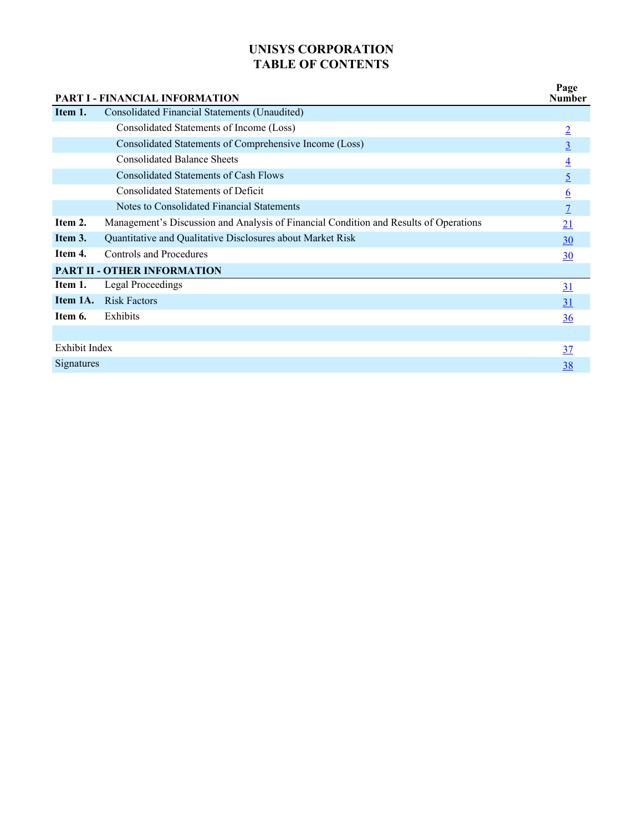# **UNISYS CORPORATION TABLE OF CONTENTS**

|               | <b>PART I - FINANCIAL INFORMATION</b>                                                 | Page<br><b>Number</b> |
|---------------|---------------------------------------------------------------------------------------|-----------------------|
| Item 1.       | Consolidated Financial Statements (Unaudited)                                         |                       |
|               | Consolidated Statements of Income (Loss)                                              | $\overline{2}$        |
|               | Consolidated Statements of Comprehensive Income (Loss)                                | $\overline{3}$        |
|               | <b>Consolidated Balance Sheets</b>                                                    | $\overline{4}$        |
|               | Consolidated Statements of Cash Flows                                                 | $\overline{5}$        |
|               | <b>Consolidated Statements of Deficit</b>                                             | $6\overline{6}$       |
|               | Notes to Consolidated Financial Statements                                            | $\overline{7}$        |
| Item 2.       | Management's Discussion and Analysis of Financial Condition and Results of Operations | 21                    |
| Item 3.       | Quantitative and Qualitative Disclosures about Market Risk                            | 30                    |
| Item 4.       | <b>Controls and Procedures</b>                                                        | 30                    |
|               | <b>PART II - OTHER INFORMATION</b>                                                    |                       |
| Item 1.       | <b>Legal Proceedings</b>                                                              | 31                    |
| Item 1A.      | <b>Risk Factors</b>                                                                   | 31                    |
| Item 6.       | Exhibits                                                                              | 36                    |
|               |                                                                                       |                       |
| Exhibit Index |                                                                                       | 37                    |
| Signatures    |                                                                                       | <u>38</u>             |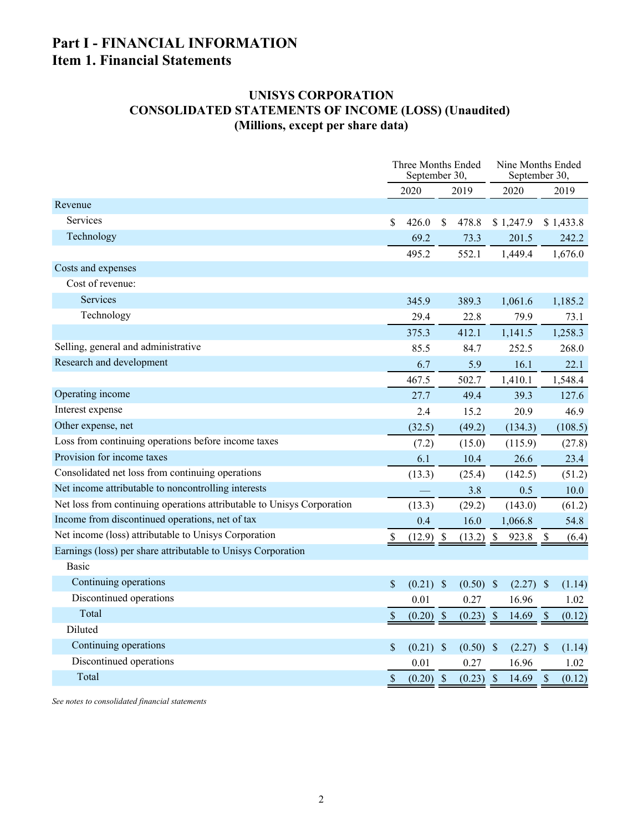# <span id="page-2-0"></span>**Part I - FINANCIAL INFORMATION Item 1. Financial Statements**

# **UNISYS CORPORATION CONSOLIDATED STATEMENTS OF INCOME (LOSS) (Unaudited) (Millions, except per share data)**

|                                                                        | Three Months Ended<br>September 30, |              |               | Nine Months Ended<br>September 30, |               |           |
|------------------------------------------------------------------------|-------------------------------------|--------------|---------------|------------------------------------|---------------|-----------|
|                                                                        | 2020                                | 2019         |               | 2020                               |               | 2019      |
| Revenue                                                                |                                     |              |               |                                    |               |           |
| Services                                                               | \$<br>426.0                         | \$<br>478.8  |               | \$1,247.9                          |               | \$1,433.8 |
| Technology                                                             | 69.2                                | 73.3         |               | 201.5                              |               | 242.2     |
|                                                                        | 495.2                               | 552.1        |               | 1,449.4                            |               | 1,676.0   |
| Costs and expenses                                                     |                                     |              |               |                                    |               |           |
| Cost of revenue:                                                       |                                     |              |               |                                    |               |           |
| <b>Services</b>                                                        | 345.9                               | 389.3        |               | 1,061.6                            |               | 1,185.2   |
| Technology                                                             | 29.4                                | 22.8         |               | 79.9                               |               | 73.1      |
|                                                                        | 375.3                               | 412.1        |               | 1,141.5                            |               | 1,258.3   |
| Selling, general and administrative                                    | 85.5                                | 84.7         |               | 252.5                              |               | 268.0     |
| Research and development                                               | 6.7                                 | 5.9          |               | 16.1                               |               | 22.1      |
|                                                                        | 467.5                               | 502.7        |               | 1,410.1                            |               | 1,548.4   |
| Operating income                                                       | 27.7                                | 49.4         |               | 39.3                               |               | 127.6     |
| Interest expense                                                       | 2.4                                 | 15.2         |               | 20.9                               |               | 46.9      |
| Other expense, net                                                     | (32.5)                              | (49.2)       |               | (134.3)                            |               | (108.5)   |
| Loss from continuing operations before income taxes                    | (7.2)                               | (15.0)       |               | (115.9)                            |               | (27.8)    |
| Provision for income taxes                                             | 6.1                                 | 10.4         |               | 26.6                               |               | 23.4      |
| Consolidated net loss from continuing operations                       | (13.3)                              | (25.4)       |               | (142.5)                            |               | (51.2)    |
| Net income attributable to noncontrolling interests                    |                                     | 3.8          |               | 0.5                                |               | 10.0      |
| Net loss from continuing operations attributable to Unisys Corporation | (13.3)                              | (29.2)       |               | (143.0)                            |               | (61.2)    |
| Income from discontinued operations, net of tax                        | 0.4                                 | 16.0         |               | 1,066.8                            |               | 54.8      |
| Net income (loss) attributable to Unisys Corporation                   | $(12.9)$ \$                         | (13.2)       | $\mathcal{S}$ | 923.8                              | - \$          | (6.4)     |
| Earnings (loss) per share attributable to Unisys Corporation           |                                     |              |               |                                    |               |           |
| <b>Basic</b>                                                           |                                     |              |               |                                    |               |           |
| Continuing operations                                                  | \$<br>$(0.21)$ \$                   | $(0.50)$ \$  |               | $(2.27)$ \$                        |               | (1.14)    |
| Discontinued operations                                                | 0.01                                | 0.27         |               | 16.96                              |               | 1.02      |
| Total                                                                  | \$<br>$(0.20)$ \$                   | (0.23)       | $\mathcal{S}$ | 14.69                              | $\mathcal{S}$ | (0.12)    |
| Diluted                                                                |                                     |              |               |                                    |               |           |
| Continuing operations                                                  | \$<br>$(0.21)$ \$                   | (0.50)       | <b>\$</b>     | $(2.27)$ \$                        |               | (1.14)    |
| Discontinued operations                                                | 0.01                                | 0.27         |               | 16.96                              |               | 1.02      |
| Total                                                                  | \$<br>(0.20)                        | \$<br>(0.23) | $\sqrt{S}$    | 14.69                              | \$            | (0.12)    |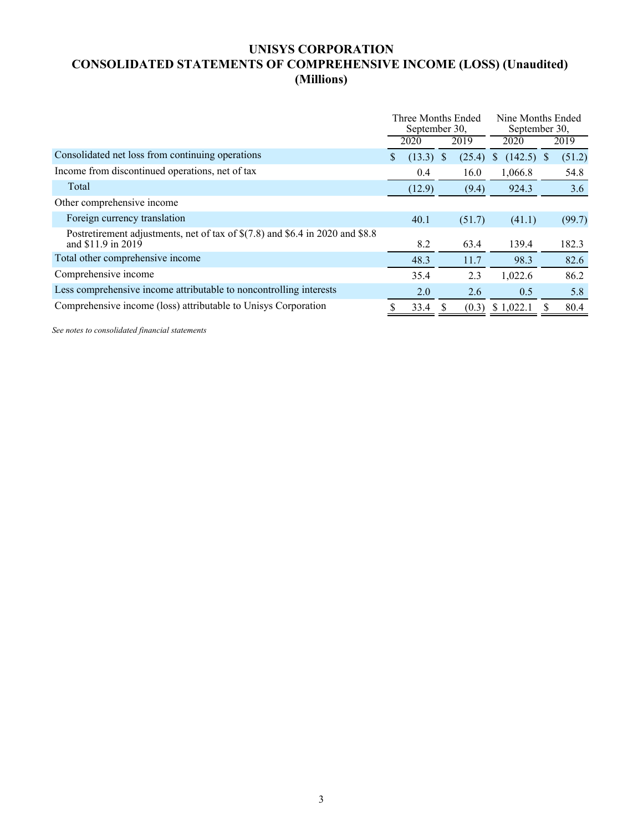# <span id="page-3-0"></span>**UNISYS CORPORATION CONSOLIDATED STATEMENTS OF COMPREHENSIVE INCOME (LOSS) (Unaudited) (Millions)**

|                                                                                                     |    | Three Months Ended<br>September 30, |   |        | Nine Months Ended<br>September 30, |        |  |
|-----------------------------------------------------------------------------------------------------|----|-------------------------------------|---|--------|------------------------------------|--------|--|
|                                                                                                     |    | 2020                                |   | 2019   | 2020                               | 2019   |  |
| Consolidated net loss from continuing operations                                                    | S. | (13.3)                              | S | (25.4) | $(142.5)$ \$<br>\$                 | (51.2) |  |
| Income from discontinued operations, net of tax                                                     |    | 0.4                                 |   | 16.0   | 1,066.8                            | 54.8   |  |
| Total                                                                                               |    | (12.9)                              |   | (9.4)  | 924.3                              | 3.6    |  |
| Other comprehensive income                                                                          |    |                                     |   |        |                                    |        |  |
| Foreign currency translation                                                                        |    | 40.1                                |   | (51.7) | (41.1)                             | (99.7) |  |
| Postretirement adjustments, net of tax of \$(7.8) and \$6.4 in 2020 and \$8.8<br>and \$11.9 in 2019 |    | 8.2                                 |   | 63.4   | 139.4                              | 182.3  |  |
| Total other comprehensive income                                                                    |    | 48.3                                |   | 11.7   | 98.3                               | 82.6   |  |
| Comprehensive income                                                                                |    | 35.4                                |   | 2.3    | 1,022.6                            | 86.2   |  |
| Less comprehensive income attributable to noncontrolling interests                                  |    | 2.0                                 |   | 2.6    | 0.5                                | 5.8    |  |
| Comprehensive income (loss) attributable to Unisys Corporation                                      |    | 33.4                                |   | (0.3)  | \$1,022.1                          | 80.4   |  |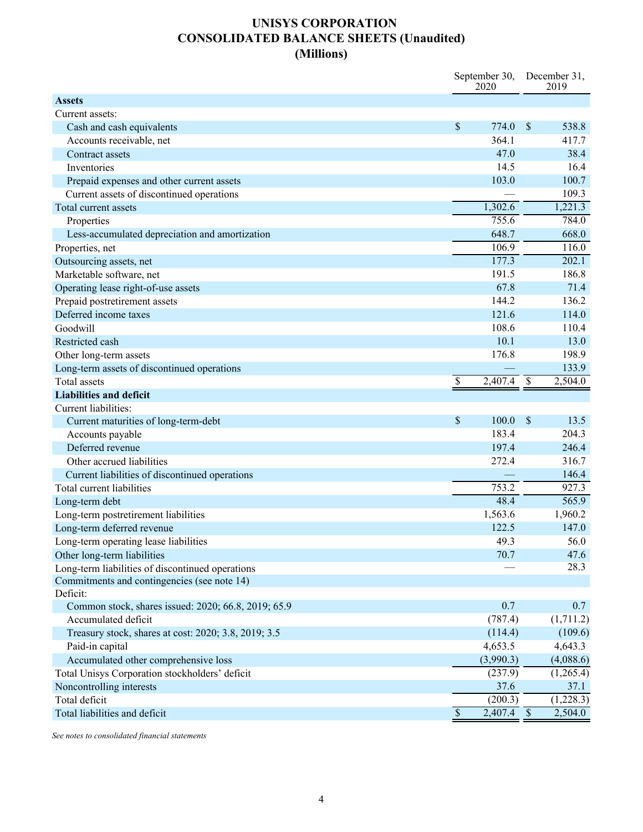# **UNISYS CORPORATION CONSOLIDATED BALANCE SHEETS (Unaudited) (Millions)**

<span id="page-4-0"></span>

|                                                      | September 30,<br>2020           |               | December 31,<br>2019 |
|------------------------------------------------------|---------------------------------|---------------|----------------------|
| <b>Assets</b>                                        |                                 |               |                      |
| Current assets:                                      |                                 |               |                      |
| Cash and cash equivalents                            | \$<br>774.0                     | $\mathcal{S}$ | 538.8                |
| Accounts receivable, net                             | 364.1                           |               | 417.7                |
| Contract assets                                      | 47.0                            |               | 38.4                 |
| Inventories                                          | 14.5                            |               | 16.4                 |
| Prepaid expenses and other current assets            | 103.0                           |               | 100.7                |
| Current assets of discontinued operations            |                                 |               | 109.3                |
| Total current assets                                 | 1,302.6                         |               | 1,221.3              |
| Properties                                           | 755.6                           |               | 784.0                |
| Less-accumulated depreciation and amortization       | 648.7                           |               | 668.0                |
| Properties, net                                      | 106.9                           |               | 116.0                |
| Outsourcing assets, net                              | 177.3                           |               | 202.1                |
| Marketable software, net                             | 191.5                           |               | 186.8                |
| Operating lease right-of-use assets                  | 67.8                            |               | 71.4                 |
| Prepaid postretirement assets                        | 144.2                           |               | 136.2                |
| Deferred income taxes                                | 121.6                           |               | 114.0                |
| Goodwill                                             | 108.6                           |               | 110.4                |
| Restricted cash                                      | 10.1                            |               | 13.0                 |
| Other long-term assets                               | 176.8                           |               | 198.9                |
| Long-term assets of discontinued operations          |                                 |               | 133.9                |
| <b>Total assets</b>                                  | $\$$<br>2,407.4 \$              |               | 2,504.0              |
| <b>Liabilities and deficit</b>                       |                                 |               |                      |
| Current liabilities:                                 |                                 |               |                      |
| Current maturities of long-term-debt                 | \$<br>100.0                     | \$            | 13.5                 |
| Accounts payable                                     | 183.4                           |               | 204.3                |
| Deferred revenue                                     | 197.4                           |               | 246.4                |
| Other accrued liabilities                            | 272.4                           |               | 316.7                |
| Current liabilities of discontinued operations       |                                 |               | 146.4                |
| Total current liabilities                            | 753.2                           |               | 927.3                |
| Long-term debt                                       | 48.4                            |               | 565.9                |
| Long-term postretirement liabilities                 | 1,563.6                         |               | 1,960.2              |
| Long-term deferred revenue                           | 122.5                           |               | 147.0                |
| Long-term operating lease liabilities                | 49.3                            |               | 56.0                 |
| Other long-term liabilities                          | 70.7                            |               | 47.6                 |
| Long-term liabilities of discontinued operations     |                                 |               | 28.3                 |
| Commitments and contingencies (see note 14)          |                                 |               |                      |
| Deficit:                                             |                                 |               |                      |
| Common stock, shares issued: 2020; 66.8, 2019; 65.9  | 0.7                             |               | 0.7                  |
| Accumulated deficit                                  | (787.4)                         |               | (1,711.2)            |
| Treasury stock, shares at cost: 2020; 3.8, 2019; 3.5 | (114.4)                         |               | (109.6)              |
| Paid-in capital                                      | 4,653.5                         |               | 4,643.3              |
| Accumulated other comprehensive loss                 | (3,990.3)                       |               | (4,088.6)            |
| Total Unisys Corporation stockholders' deficit       | (237.9)                         |               | (1,265.4)            |
| Noncontrolling interests                             | 37.6                            |               | 37.1                 |
| Total deficit                                        | (200.3)                         |               | (1,228.3)            |
| Total liabilities and deficit                        | $\overline{\$}$<br>$2,407.4$ \$ |               | 2,504.0              |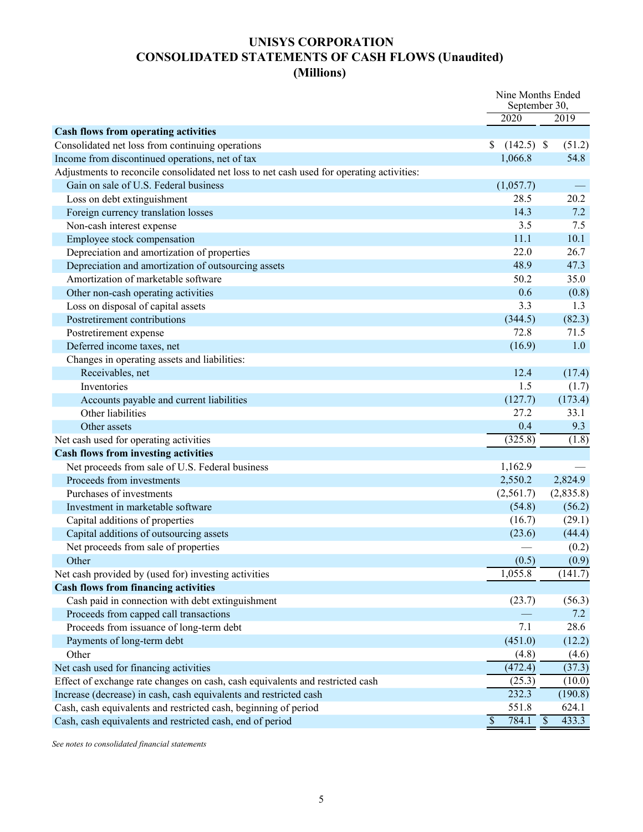# **UNISYS CORPORATION CONSOLIDATED STATEMENTS OF CASH FLOWS (Unaudited) (Millions)**

<span id="page-5-0"></span>

|                                                                                           |                          | Nine Months Ended<br>September 30, |  |  |
|-------------------------------------------------------------------------------------------|--------------------------|------------------------------------|--|--|
|                                                                                           | 2020                     | 2019                               |  |  |
| <b>Cash flows from operating activities</b>                                               |                          |                                    |  |  |
| Consolidated net loss from continuing operations                                          | \$<br>$(142.5)$ \$       | (51.2)<br>54.8                     |  |  |
| Income from discontinued operations, net of tax                                           | 1,066.8                  |                                    |  |  |
| Adjustments to reconcile consolidated net loss to net cash used for operating activities: |                          |                                    |  |  |
| Gain on sale of U.S. Federal business                                                     | (1,057.7)                |                                    |  |  |
| Loss on debt extinguishment                                                               | 28.5                     | 20.2                               |  |  |
| Foreign currency translation losses                                                       | 14.3                     | 7.2                                |  |  |
| Non-cash interest expense                                                                 | 3.5                      | 7.5                                |  |  |
| Employee stock compensation                                                               | 11.1                     | 10.1                               |  |  |
| Depreciation and amortization of properties                                               | 22.0                     | 26.7                               |  |  |
| Depreciation and amortization of outsourcing assets                                       | 48.9                     | 47.3                               |  |  |
| Amortization of marketable software                                                       | 50.2                     | 35.0                               |  |  |
| Other non-cash operating activities                                                       | 0.6                      | (0.8)                              |  |  |
| Loss on disposal of capital assets                                                        | 3.3                      | 1.3                                |  |  |
| Postretirement contributions                                                              | (344.5)                  | (82.3)                             |  |  |
| Postretirement expense                                                                    | 72.8                     | 71.5                               |  |  |
| Deferred income taxes, net                                                                | (16.9)                   | 1.0                                |  |  |
| Changes in operating assets and liabilities:                                              |                          |                                    |  |  |
| Receivables, net                                                                          | 12.4                     | (17.4)                             |  |  |
| Inventories                                                                               | 1.5                      | (1.7)                              |  |  |
| Accounts payable and current liabilities                                                  | (127.7)                  | (173.4)                            |  |  |
| Other liabilities                                                                         | 27.2                     | 33.1                               |  |  |
| Other assets                                                                              | 0.4                      | 9.3                                |  |  |
| Net cash used for operating activities                                                    | (325.8)                  | (1.8)                              |  |  |
| <b>Cash flows from investing activities</b>                                               |                          |                                    |  |  |
| Net proceeds from sale of U.S. Federal business                                           | 1,162.9                  |                                    |  |  |
| Proceeds from investments                                                                 | 2,550.2                  | 2,824.9                            |  |  |
| Purchases of investments                                                                  | (2,561.7)                | (2,835.8)                          |  |  |
| Investment in marketable software                                                         | (54.8)                   | (56.2)                             |  |  |
| Capital additions of properties                                                           | (16.7)                   | (29.1)                             |  |  |
| Capital additions of outsourcing assets                                                   | (23.6)                   | (44.4)                             |  |  |
| Net proceeds from sale of properties                                                      |                          | (0.2)                              |  |  |
| Other                                                                                     | (0.5)                    | (0.9)                              |  |  |
| Net cash provided by (used for) investing activities                                      | 1,055.8                  | (141.7)                            |  |  |
| <b>Cash flows from financing activities</b>                                               |                          |                                    |  |  |
| Cash paid in connection with debt extinguishment                                          | (23.7)                   | (56.3)                             |  |  |
| Proceeds from capped call transactions                                                    |                          | 7.2                                |  |  |
| Proceeds from issuance of long-term debt                                                  | 7.1                      | 28.6                               |  |  |
| Payments of long-term debt                                                                | (451.0)                  | (12.2)                             |  |  |
| Other                                                                                     |                          |                                    |  |  |
|                                                                                           | (4.8)                    | (4.6)                              |  |  |
| Net cash used for financing activities                                                    | (472.4)                  | (37.3)                             |  |  |
| Effect of exchange rate changes on cash, cash equivalents and restricted cash             | (25.3)                   | (10.0)                             |  |  |
| Increase (decrease) in cash, cash equivalents and restricted cash                         | 232.3                    | (190.8)                            |  |  |
| Cash, cash equivalents and restricted cash, beginning of period                           | 551.8                    | 624.1                              |  |  |
| Cash, cash equivalents and restricted cash, end of period                                 | $\overline{\$}$<br>784.1 | $\mathcal{S}$<br>433.3             |  |  |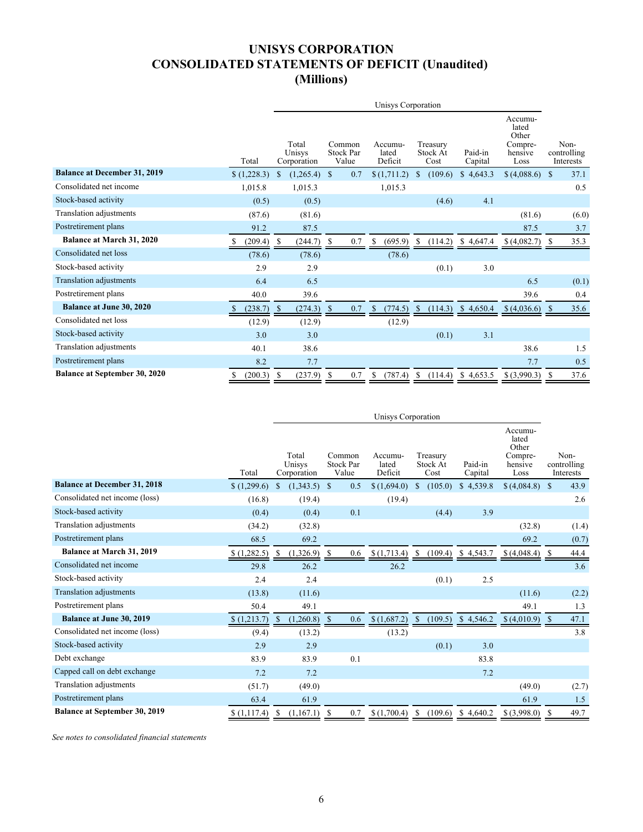# **UNISYS CORPORATION CONSOLIDATED STATEMENTS OF DEFICIT (Unaudited) (Millions)**

<span id="page-6-0"></span>

|                                      |           |                                |           |                                     |     |                             | Unisys Corporation |                              |         |                    |     |                                                         |    |                                  |
|--------------------------------------|-----------|--------------------------------|-----------|-------------------------------------|-----|-----------------------------|--------------------|------------------------------|---------|--------------------|-----|---------------------------------------------------------|----|----------------------------------|
|                                      | Total     | Total<br>Unisys<br>Corporation |           | Common<br><b>Stock Par</b><br>Value |     | Accumu-<br>lated<br>Deficit |                    | Treasury<br>Stock At<br>Cost |         | Paid-in<br>Capital |     | Accumu-<br>lated<br>Other<br>Compre-<br>hensive<br>Loss |    | Non-<br>controlling<br>Interests |
| <b>Balance at December 31, 2019</b>  | (1,228.3) | <sup>\$</sup>                  | (1,265.4) | $\mathbb{S}$                        | 0.7 |                             | \$(1,711.2)        | <sup>\$</sup>                | (109.6) | \$4,643.3          |     | \$(4,088.6)                                             | -S | 37.1                             |
| Consolidated net income              | 1,015.8   |                                | 1,015.3   |                                     |     |                             | 1,015.3            |                              |         |                    |     |                                                         |    | 0.5                              |
| Stock-based activity                 | (0.5)     |                                | (0.5)     |                                     |     |                             |                    |                              | (4.6)   |                    | 4.1 |                                                         |    |                                  |
| Translation adjustments              | (87.6)    |                                | (81.6)    |                                     |     |                             |                    |                              |         |                    |     | (81.6)                                                  |    | (6.0)                            |
| Postretirement plans                 | 91.2      |                                | 87.5      |                                     |     |                             |                    |                              |         |                    |     | 87.5                                                    |    | 3.7                              |
| <b>Balance at March 31, 2020</b>     | (209.4)   | S                              | (244.7)   | -S                                  | 0.7 | \$                          | (695.9)            |                              | (114.2) | 4,647.4<br>S.      |     | \$(4,082.7)                                             | S  | 35.3                             |
| Consolidated net loss                | (78.6)    |                                | (78.6)    |                                     |     |                             | (78.6)             |                              |         |                    |     |                                                         |    |                                  |
| Stock-based activity                 | 2.9       |                                | 2.9       |                                     |     |                             |                    |                              | (0.1)   |                    | 3.0 |                                                         |    |                                  |
| Translation adjustments              | 6.4       |                                | 6.5       |                                     |     |                             |                    |                              |         |                    |     | 6.5                                                     |    | (0.1)                            |
| Postretirement plans                 | 40.0      |                                | 39.6      |                                     |     |                             |                    |                              |         |                    |     | 39.6                                                    |    | 0.4                              |
| <b>Balance at June 30, 2020</b>      | (238.7)   | <sup>\$</sup>                  | (274.3)   | -S                                  | 0.7 |                             | (774.5)            |                              | (114.3) | 4,650.4<br>S.      |     | \$(4,036.6)                                             |    | 35.6                             |
| Consolidated net loss                | (12.9)    |                                | (12.9)    |                                     |     |                             | (12.9)             |                              |         |                    |     |                                                         |    |                                  |
| Stock-based activity                 | 3.0       |                                | 3.0       |                                     |     |                             |                    |                              | (0.1)   |                    | 3.1 |                                                         |    |                                  |
| Translation adjustments              | 40.1      |                                | 38.6      |                                     |     |                             |                    |                              |         |                    |     | 38.6                                                    |    | 1.5                              |
| Postretirement plans                 | 8.2       |                                | 7.7       |                                     |     |                             |                    |                              |         |                    |     | 7.7                                                     |    | 0.5                              |
| <b>Balance at September 30, 2020</b> | (200.3)   | \$                             | (237.9)   | S                                   | 0.7 |                             | (787.4)            | S                            | (114.4) | \$4,653.5          |     | $$$ $(3,990.3)$                                         |    | 37.6                             |

|                                      |             | Unisys Corporation |                                |              |                                     |                             |               |                              |                         |                                                         |              |                                  |  |  |
|--------------------------------------|-------------|--------------------|--------------------------------|--------------|-------------------------------------|-----------------------------|---------------|------------------------------|-------------------------|---------------------------------------------------------|--------------|----------------------------------|--|--|
|                                      | Total       |                    | Total<br>Unisys<br>Corporation |              | Common<br><b>Stock Par</b><br>Value | Accumu-<br>lated<br>Deficit |               | Treasury<br>Stock At<br>Cost | Paid-in<br>Capital      | Accumu-<br>lated<br>Other<br>Compre-<br>hensive<br>Loss |              | Non-<br>controlling<br>Interests |  |  |
| <b>Balance at December 31, 2018</b>  | (1,299.6)   | $\mathbf S$        | (1,343.5)                      | $\mathbb{S}$ | 0.5                                 | \$(1,694.0)                 | \$            | (105.0)                      | \$4,539.8               | \$(4,084.8)                                             | $\mathbb{S}$ | 43.9                             |  |  |
| Consolidated net income (loss)       | (16.8)      |                    | (19.4)                         |              |                                     | (19.4)                      |               |                              |                         |                                                         |              | 2.6                              |  |  |
| Stock-based activity                 | (0.4)       |                    | (0.4)                          |              | 0.1                                 |                             |               | (4.4)                        | 3.9                     |                                                         |              |                                  |  |  |
| <b>Translation adjustments</b>       | (34.2)      |                    | (32.8)                         |              |                                     |                             |               |                              |                         | (32.8)                                                  |              | (1.4)                            |  |  |
| Postretirement plans                 | 68.5        |                    | 69.2                           |              |                                     |                             |               |                              |                         | 69.2                                                    |              | (0.7)                            |  |  |
| Balance at March 31, 2019            | \$(1,282.5) | <sup>S</sup>       | (1,326.9)                      | -8           | 0.6                                 | \$(1,713.4)                 | -S            | (109.4)                      | <sup>S</sup><br>4,543.7 | \$(4,048.4)                                             | - S          | 44.4                             |  |  |
| Consolidated net income              | 29.8        |                    | 26.2                           |              |                                     | 26.2                        |               |                              |                         |                                                         |              | 3.6                              |  |  |
| Stock-based activity                 | 2.4         |                    | 2.4                            |              |                                     |                             |               | (0.1)                        | 2.5                     |                                                         |              |                                  |  |  |
| <b>Translation adjustments</b>       | (13.8)      |                    | (11.6)                         |              |                                     |                             |               |                              |                         | (11.6)                                                  |              | (2.2)                            |  |  |
| Postretirement plans                 | 50.4        |                    | 49.1                           |              |                                     |                             |               |                              |                         | 49.1                                                    |              | 1.3                              |  |  |
| <b>Balance at June 30, 2019</b>      | \$(1,213.7) | <sup>S</sup>       | (1,260.8)                      | -S           | 0.6                                 | \$(1,687.2)                 | <sup>\$</sup> | (109.5)                      | \$4,546.2               | \$ (4,010.9)                                            | - \$         | 47.1                             |  |  |
| Consolidated net income (loss)       | (9.4)       |                    | (13.2)                         |              |                                     | (13.2)                      |               |                              |                         |                                                         |              | 3.8                              |  |  |
| Stock-based activity                 | 2.9         |                    | 2.9                            |              |                                     |                             |               | (0.1)                        | 3.0                     |                                                         |              |                                  |  |  |
| Debt exchange                        | 83.9        |                    | 83.9                           |              | 0.1                                 |                             |               |                              | 83.8                    |                                                         |              |                                  |  |  |
| Capped call on debt exchange         | 7.2         |                    | 7.2                            |              |                                     |                             |               |                              | 7.2                     |                                                         |              |                                  |  |  |
| Translation adjustments              | (51.7)      |                    | (49.0)                         |              |                                     |                             |               |                              |                         | (49.0)                                                  |              | (2.7)                            |  |  |
| Postretirement plans                 | 63.4        |                    | 61.9                           |              |                                     |                             |               |                              |                         | 61.9                                                    |              | 1.5                              |  |  |
| <b>Balance at September 30, 2019</b> | \$(1,117.4) | S                  | (1,167.1)                      | -S           | 0.7                                 | \$(1,700.4)                 | S.            | (109.6)                      | \$4,640.2               | \$(3,998.0)                                             | -S           | 49.7                             |  |  |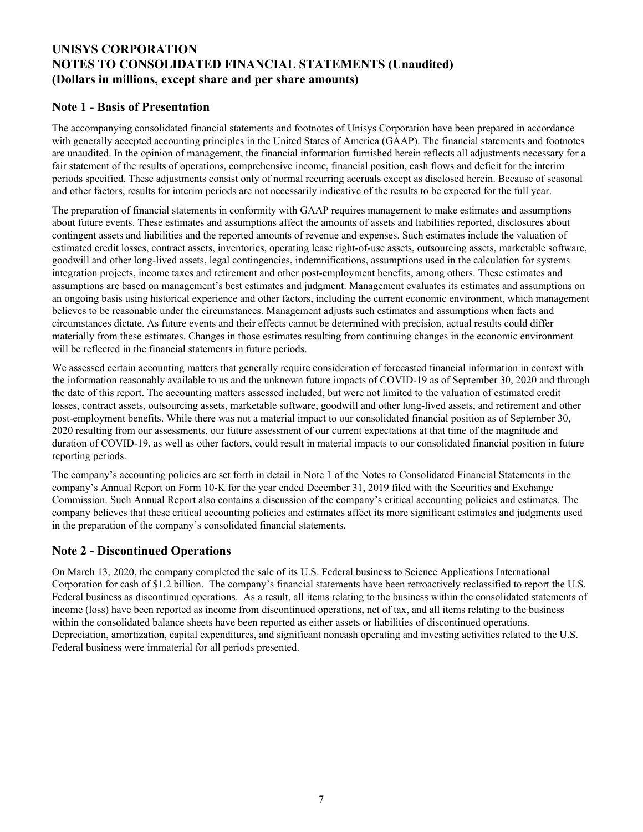# <span id="page-7-0"></span>**UNISYS CORPORATION NOTES TO CONSOLIDATED FINANCIAL STATEMENTS (Unaudited) (Dollars in millions, except share and per share amounts)**

# **Note 1 - Basis of Presentation**

The accompanying consolidated financial statements and footnotes of Unisys Corporation have been prepared in accordance with generally accepted accounting principles in the United States of America (GAAP). The financial statements and footnotes are unaudited. In the opinion of management, the financial information furnished herein reflects all adjustments necessary for a fair statement of the results of operations, comprehensive income, financial position, cash flows and deficit for the interim periods specified. These adjustments consist only of normal recurring accruals except as disclosed herein. Because of seasonal and other factors, results for interim periods are not necessarily indicative of the results to be expected for the full year.

The preparation of financial statements in conformity with GAAP requires management to make estimates and assumptions about future events. These estimates and assumptions affect the amounts of assets and liabilities reported, disclosures about contingent assets and liabilities and the reported amounts of revenue and expenses. Such estimates include the valuation of estimated credit losses, contract assets, inventories, operating lease right-of-use assets, outsourcing assets, marketable software, goodwill and other long-lived assets, legal contingencies, indemnifications, assumptions used in the calculation for systems integration projects, income taxes and retirement and other post-employment benefits, among others. These estimates and assumptions are based on management's best estimates and judgment. Management evaluates its estimates and assumptions on an ongoing basis using historical experience and other factors, including the current economic environment, which management believes to be reasonable under the circumstances. Management adjusts such estimates and assumptions when facts and circumstances dictate. As future events and their effects cannot be determined with precision, actual results could differ materially from these estimates. Changes in those estimates resulting from continuing changes in the economic environment will be reflected in the financial statements in future periods.

We assessed certain accounting matters that generally require consideration of forecasted financial information in context with the information reasonably available to us and the unknown future impacts of COVID-19 as of September 30, 2020 and through the date of this report. The accounting matters assessed included, but were not limited to the valuation of estimated credit losses, contract assets, outsourcing assets, marketable software, goodwill and other long-lived assets, and retirement and other post-employment benefits. While there was not a material impact to our consolidated financial position as of September 30, 2020 resulting from our assessments, our future assessment of our current expectations at that time of the magnitude and duration of COVID-19, as well as other factors, could result in material impacts to our consolidated financial position in future reporting periods.

The company's accounting policies are set forth in detail in Note 1 of the Notes to Consolidated Financial Statements in the company's Annual Report on Form 10-K for the year ended December 31, 2019 filed with the Securities and Exchange Commission. Such Annual Report also contains a discussion of the company's critical accounting policies and estimates. The company believes that these critical accounting policies and estimates affect its more significant estimates and judgments used in the preparation of the company's consolidated financial statements.

# **Note 2 - Discontinued Operations**

On March 13, 2020, the company completed the sale of its U.S. Federal business to Science Applications International Corporation for cash of \$1.2 billion. The company's financial statements have been retroactively reclassified to report the U.S. Federal business as discontinued operations. As a result, all items relating to the business within the consolidated statements of income (loss) have been reported as income from discontinued operations, net of tax, and all items relating to the business within the consolidated balance sheets have been reported as either assets or liabilities of discontinued operations. Depreciation, amortization, capital expenditures, and significant noncash operating and investing activities related to the U.S. Federal business were immaterial for all periods presented.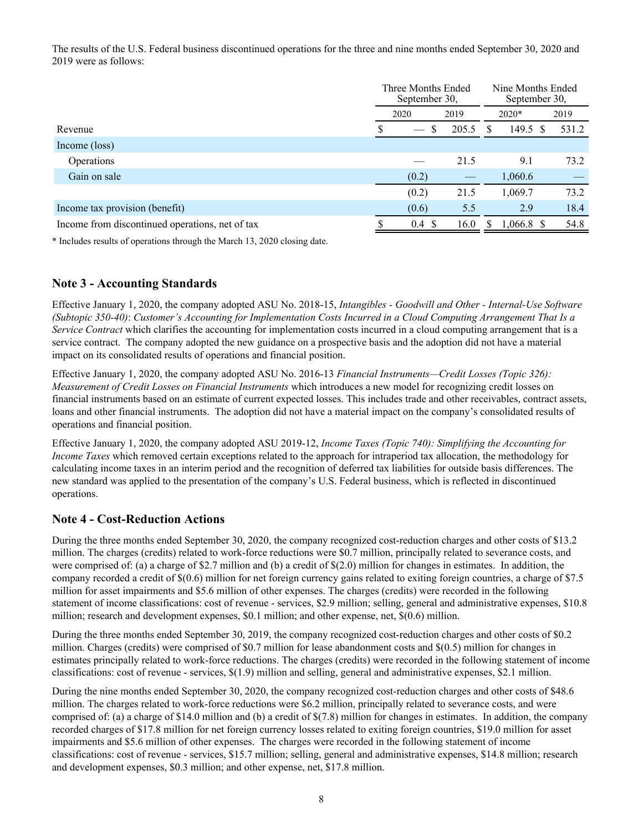The results of the U.S. Federal business discontinued operations for the three and nine months ended September 30, 2020 and 2019 were as follows:

|                                                 | Three Months Ended<br>September 30, |       | Nine Months Ended<br>September 30, |              |    |       |
|-------------------------------------------------|-------------------------------------|-------|------------------------------------|--------------|----|-------|
|                                                 | 2020                                | 2019  | $2020*$                            |              |    | 2019  |
| Revenue                                         | \$.<br>$\hspace{0.05cm}$            | 205.5 | S                                  | 149.5        | -S | 531.2 |
| Income (loss)                                   |                                     |       |                                    |              |    |       |
| Operations                                      |                                     | 21.5  |                                    | 9.1          |    | 73.2  |
| Gain on sale                                    | (0.2)                               |       |                                    | 1,060.6      |    |       |
|                                                 | (0.2)                               | 21.5  |                                    | 1,069.7      |    | 73.2  |
| Income tax provision (benefit)                  | (0.6)                               | 5.5   |                                    | 2.9          |    | 18.4  |
| Income from discontinued operations, net of tax | 0.4<br>-S                           | 16.0  | S.                                 | $1,066.8$ \$ |    | 54.8  |

\* Includes results of operations through the March 13, 2020 closing date.

# **Note 3 - Accounting Standards**

Effective January 1, 2020, the company adopted ASU No. 2018-15, *Intangibles - Goodwill and Other - Internal-Use Software (Subtopic 350-40)*: *Customer's Accounting for Implementation Costs Incurred in a Cloud Computing Arrangement That Is a Service Contract* which clarifies the accounting for implementation costs incurred in a cloud computing arrangement that is a service contract. The company adopted the new guidance on a prospective basis and the adoption did not have a material impact on its consolidated results of operations and financial position.

Effective January 1, 2020, the company adopted ASU No. 2016-13 *Financial Instruments—Credit Losses (Topic 326): Measurement of Credit Losses on Financial Instruments* which introduces a new model for recognizing credit losses on financial instruments based on an estimate of current expected losses. This includes trade and other receivables, contract assets, loans and other financial instruments. The adoption did not have a material impact on the company's consolidated results of operations and financial position.

Effective January 1, 2020, the company adopted ASU 2019-12, *Income Taxes (Topic 740): Simplifying the Accounting for Income Taxes* which removed certain exceptions related to the approach for intraperiod tax allocation, the methodology for calculating income taxes in an interim period and the recognition of deferred tax liabilities for outside basis differences. The new standard was applied to the presentation of the company's U.S. Federal business, which is reflected in discontinued operations.

## **Note 4 - Cost-Reduction Actions**

During the three months ended September 30, 2020, the company recognized cost-reduction charges and other costs of \$13.2 million. The charges (credits) related to work-force reductions were \$0.7 million, principally related to severance costs, and were comprised of: (a) a charge of \$2.7 million and (b) a credit of  $\S(2.0)$  million for changes in estimates. In addition, the company recorded a credit of \$(0.6) million for net foreign currency gains related to exiting foreign countries, a charge of \$7.5 million for asset impairments and \$5.6 million of other expenses. The charges (credits) were recorded in the following statement of income classifications: cost of revenue - services, \$2.9 million; selling, general and administrative expenses, \$10.8 million; research and development expenses, \$0.1 million; and other expense, net, \$(0.6) million.

During the three months ended September 30, 2019, the company recognized cost-reduction charges and other costs of \$0.2 million. Charges (credits) were comprised of \$0.7 million for lease abandonment costs and \$(0.5) million for changes in estimates principally related to work-force reductions. The charges (credits) were recorded in the following statement of income classifications: cost of revenue - services, \$(1.9) million and selling, general and administrative expenses, \$2.1 million.

During the nine months ended September 30, 2020, the company recognized cost-reduction charges and other costs of \$48.6 million. The charges related to work-force reductions were \$6.2 million, principally related to severance costs, and were comprised of: (a) a charge of \$14.0 million and (b) a credit of \$(7.8) million for changes in estimates. In addition, the company recorded charges of \$17.8 million for net foreign currency losses related to exiting foreign countries, \$19.0 million for asset impairments and \$5.6 million of other expenses. The charges were recorded in the following statement of income classifications: cost of revenue - services, \$15.7 million; selling, general and administrative expenses, \$14.8 million; research and development expenses, \$0.3 million; and other expense, net, \$17.8 million.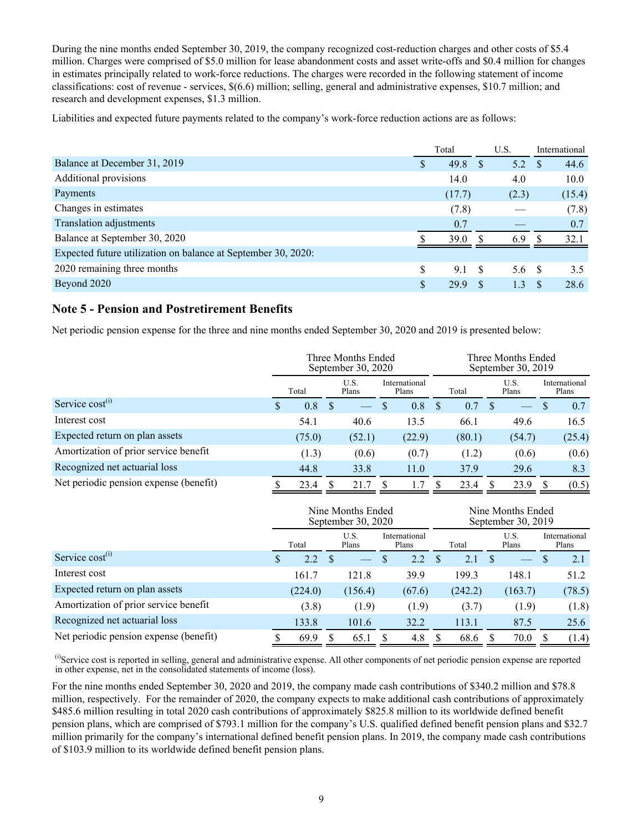During the nine months ended September 30, 2019, the company recognized cost-reduction charges and other costs of \$5.4 million. Charges were comprised of \$5.0 million for lease abandonment costs and asset write-offs and \$0.4 million for changes in estimates principally related to work-force reductions. The charges were recorded in the following statement of income classifications: cost of revenue - services, \$(6.6) million; selling, general and administrative expenses, \$10.7 million; and research and development expenses, \$1.3 million.

Liabilities and expected future payments related to the company's work-force reduction actions are as follows:

|                                                               | Total |        |          | U.S.  |      | International |
|---------------------------------------------------------------|-------|--------|----------|-------|------|---------------|
| Balance at December 31, 2019                                  | S     | 49.8   | S        | 5.2   |      | 44.6          |
| Additional provisions                                         |       | 14.0   |          | 4.0   |      | 10.0          |
| Payments                                                      |       | (17.7) |          | (2.3) |      | (15.4)        |
| Changes in estimates                                          |       | (7.8)  |          |       |      | (7.8)         |
| Translation adjustments                                       |       | 0.7    |          |       |      | 0.7           |
| Balance at September 30, 2020                                 |       | 39.0   |          | 6.9   |      | 32.1          |
| Expected future utilization on balance at September 30, 2020: |       |        |          |       |      |               |
| 2020 remaining three months                                   |       | 9.1    | <b>S</b> | 5.6   | - \$ | 3.5           |
| Beyond 2020                                                   | S     | 29.9   |          | 1.3   |      | 28.6          |

## **Note 5 - Pension and Postretirement Benefits**

Net periodic pension expense for the three and nine months ended September 30, 2020 and 2019 is presented below:

|                                        |                                                  |        | Three Months Ended<br>September 30, 2020 |               |               | Three Months Ended<br>September 30, 2019 |                        |     |                          |    |        |  |  |
|----------------------------------------|--------------------------------------------------|--------|------------------------------------------|---------------|---------------|------------------------------------------|------------------------|-----|--------------------------|----|--------|--|--|
|                                        | U.S.<br>International<br>Total<br>Plans<br>Plans |        |                                          | Total         | U.S.<br>Plans |                                          | International<br>Plans |     |                          |    |        |  |  |
| Service $cost^{(i)}$                   |                                                  | 0.8    |                                          | <sup>\$</sup> | 0.8           |                                          | 0.7                    | \$. | $\overline{\phantom{0}}$ | -S | 0.7    |  |  |
| Interest cost                          |                                                  | 54.1   | 40.6                                     |               | 13.5          |                                          | 66.1                   |     | 49.6                     |    | 16.5   |  |  |
| Expected return on plan assets         |                                                  | (75.0) | (52.1)                                   |               | (22.9)        |                                          | (80.1)                 |     | (54.7)                   |    | (25.4) |  |  |
| Amortization of prior service benefit  |                                                  | (1.3)  | (0.6)                                    |               | (0.7)         |                                          | (1.2)                  |     | (0.6)                    |    | (0.6)  |  |  |
| Recognized net actuarial loss          |                                                  | 44.8   | 33.8                                     |               | 11.0          |                                          | 37.9                   |     | 29.6                     |    | 8.3    |  |  |
| Net periodic pension expense (benefit) |                                                  | 23.4   | 21.7                                     |               |               |                                          | 23.4                   |     | 23.9                     |    | (0.5)  |  |  |

|                                        |   |         | Nine Months Ended<br>September 30, 2020 |    |                        |               |         |     |                          |                        |        |
|----------------------------------------|---|---------|-----------------------------------------|----|------------------------|---------------|---------|-----|--------------------------|------------------------|--------|
|                                        |   | Total   | U.S.<br>Plans                           |    | International<br>Plans |               | Total   |     | U.S.<br>Plans            | International<br>Plans |        |
| Service cost <sup>(i)</sup>            | S | 2.2     |                                         | S  | 2.2                    | <sup>\$</sup> | 2.1     | \$. | $\overline{\phantom{0}}$ | -S                     | 2.1    |
| Interest cost                          |   | 161.7   | 121.8                                   |    | 39.9                   |               | 199.3   |     | 148.1                    |                        | 51.2   |
| Expected return on plan assets         |   | (224.0) | (156.4)                                 |    | (67.6)                 |               | (242.2) |     | (163.7)                  |                        | (78.5) |
| Amortization of prior service benefit  |   | (3.8)   | (1.9)                                   |    | (1.9)                  |               | (3.7)   |     | (1.9)                    |                        | (1.8)  |
| Recognized net actuarial loss          |   | 133.8   | 101.6                                   |    | 32.2                   |               | 113.1   |     | 87.5                     |                        | 25.6   |
| Net periodic pension expense (benefit) |   | 69.9    | 65.1                                    | S. | 4.8                    |               | 68.6    |     | 70.0                     | \$.                    | (1.4)  |

(i)Service cost is reported in selling, general and administrative expense. All other components of net periodic pension expense are reported in other expense, net in the consolidated statements of income (loss).

For the nine months ended September 30, 2020 and 2019, the company made cash contributions of \$340.2 million and \$78.8 million, respectively. For the remainder of 2020, the company expects to make additional cash contributions of approximately \$485.6 million resulting in total 2020 cash contributions of approximately \$825.8 million to its worldwide defined benefit pension plans, which are comprised of \$793.1 million for the company's U.S. qualified defined benefit pension plans and \$32.7 million primarily for the company's international defined benefit pension plans. In 2019, the company made cash contributions of \$103.9 million to its worldwide defined benefit pension plans.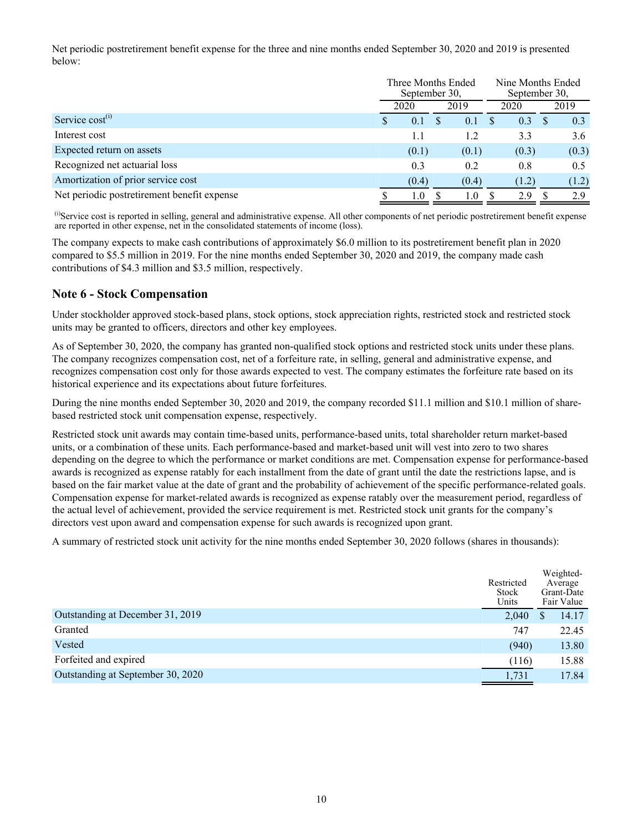Net periodic postretirement benefit expense for the three and nine months ended September 30, 2020 and 2019 is presented below:

|                                             |   | Three Months Ended<br>September 30, |  | September 30, | Nine Months Ended |      |       |
|---------------------------------------------|---|-------------------------------------|--|---------------|-------------------|------|-------|
|                                             |   | 2020                                |  | 2019          | 2020              | 2019 |       |
| Service cost <sup>(i)</sup>                 | У | 0.1                                 |  | 0.1           | 0.3               |      | 0.3   |
| Interest cost                               |   | 1.1                                 |  | 1.2           | 3.3               |      | 3.6   |
| Expected return on assets                   |   | (0.1)                               |  | (0.1)         | (0.3)             |      | (0.3) |
| Recognized net actuarial loss               |   | 0.3                                 |  | 0.2           | 0.8               |      | 0.5   |
| Amortization of prior service cost          |   | (0.4)                               |  | (0.4)         | (1.2)             |      | (1.2) |
| Net periodic postretirement benefit expense |   | 1.0                                 |  | 1.0           | 2.9               |      | 2.9   |

(i)Service cost is reported in selling, general and administrative expense. All other components of net periodic postretirement benefit expense are reported in other expense, net in the consolidated statements of income (loss).

The company expects to make cash contributions of approximately \$6.0 million to its postretirement benefit plan in 2020 compared to \$5.5 million in 2019. For the nine months ended September 30, 2020 and 2019, the company made cash contributions of \$4.3 million and \$3.5 million, respectively.

### **Note 6 - Stock Compensation**

Under stockholder approved stock-based plans, stock options, stock appreciation rights, restricted stock and restricted stock units may be granted to officers, directors and other key employees.

As of September 30, 2020, the company has granted non-qualified stock options and restricted stock units under these plans. The company recognizes compensation cost, net of a forfeiture rate, in selling, general and administrative expense, and recognizes compensation cost only for those awards expected to vest. The company estimates the forfeiture rate based on its historical experience and its expectations about future forfeitures.

During the nine months ended September 30, 2020 and 2019, the company recorded \$11.1 million and \$10.1 million of sharebased restricted stock unit compensation expense, respectively.

Restricted stock unit awards may contain time-based units, performance-based units, total shareholder return market-based units, or a combination of these units. Each performance-based and market-based unit will vest into zero to two shares depending on the degree to which the performance or market conditions are met. Compensation expense for performance-based awards is recognized as expense ratably for each installment from the date of grant until the date the restrictions lapse, and is based on the fair market value at the date of grant and the probability of achievement of the specific performance-related goals. Compensation expense for market-related awards is recognized as expense ratably over the measurement period, regardless of the actual level of achievement, provided the service requirement is met. Restricted stock unit grants for the company's directors vest upon award and compensation expense for such awards is recognized upon grant.

A summary of restricted stock unit activity for the nine months ended September 30, 2020 follows (shares in thousands):

|                                   | Restricted<br>Stock<br>Units | Weighted-<br>Average<br>Grant-Date<br>Fair Value |
|-----------------------------------|------------------------------|--------------------------------------------------|
| Outstanding at December 31, 2019  | 2,040                        | 14.17                                            |
| Granted                           | 747                          | 22.45                                            |
| Vested                            | (940)                        | 13.80                                            |
| Forfeited and expired             | (116)                        | 15.88                                            |
| Outstanding at September 30, 2020 | 1,731                        | 17.84                                            |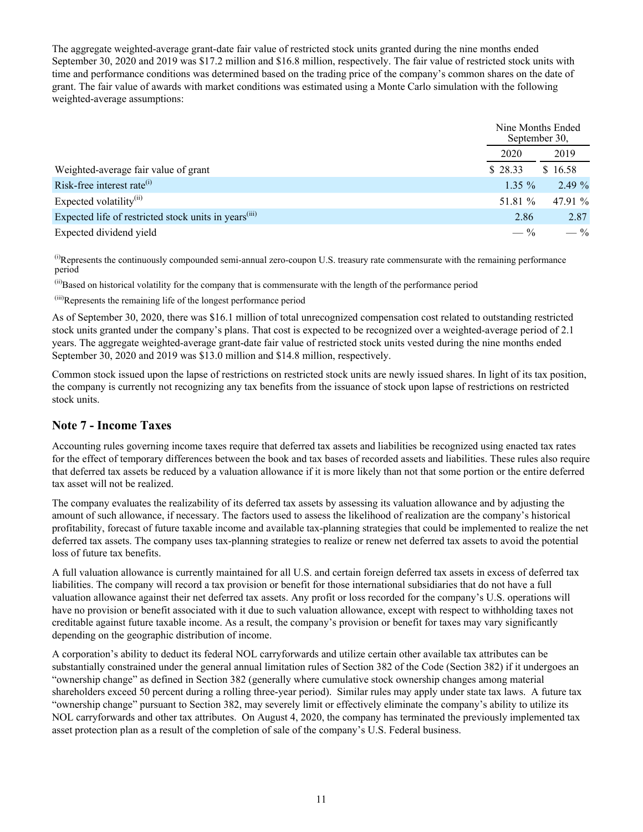The aggregate weighted-average grant-date fair value of restricted stock units granted during the nine months ended September 30, 2020 and 2019 was \$17.2 million and \$16.8 million, respectively. The fair value of restricted stock units with time and performance conditions was determined based on the trading price of the company's common shares on the date of grant. The fair value of awards with market conditions was estimated using a Monte Carlo simulation with the following weighted-average assumptions:

|                                                                   |          | Nine Months Ended<br>September 30, |
|-------------------------------------------------------------------|----------|------------------------------------|
|                                                                   | 2020     | 2019                               |
| Weighted-average fair value of grant                              | \$28.33  | \$16.58                            |
| Risk-free interest rate $^{(i)}$                                  | $1.35\%$ | 2.49%                              |
| Expected volatility $^{(ii)}$                                     | 51.81 %  | 47.91 $\%$                         |
| Expected life of restricted stock units in years <sup>(iii)</sup> | 2.86     | 2.87                               |
| Expected dividend yield                                           | $-$ %    | $-$ %                              |

(i)Represents the continuously compounded semi-annual zero-coupon U.S. treasury rate commensurate with the remaining performance period

(ii)Based on historical volatility for the company that is commensurate with the length of the performance period

(iii)Represents the remaining life of the longest performance period

As of September 30, 2020, there was \$16.1 million of total unrecognized compensation cost related to outstanding restricted stock units granted under the company's plans. That cost is expected to be recognized over a weighted-average period of 2.1 years. The aggregate weighted-average grant-date fair value of restricted stock units vested during the nine months ended September 30, 2020 and 2019 was \$13.0 million and \$14.8 million, respectively.

Common stock issued upon the lapse of restrictions on restricted stock units are newly issued shares. In light of its tax position, the company is currently not recognizing any tax benefits from the issuance of stock upon lapse of restrictions on restricted stock units.

## **Note 7 - Income Taxes**

Accounting rules governing income taxes require that deferred tax assets and liabilities be recognized using enacted tax rates for the effect of temporary differences between the book and tax bases of recorded assets and liabilities. These rules also require that deferred tax assets be reduced by a valuation allowance if it is more likely than not that some portion or the entire deferred tax asset will not be realized.

The company evaluates the realizability of its deferred tax assets by assessing its valuation allowance and by adjusting the amount of such allowance, if necessary. The factors used to assess the likelihood of realization are the company's historical profitability, forecast of future taxable income and available tax-planning strategies that could be implemented to realize the net deferred tax assets. The company uses tax-planning strategies to realize or renew net deferred tax assets to avoid the potential loss of future tax benefits.

A full valuation allowance is currently maintained for all U.S. and certain foreign deferred tax assets in excess of deferred tax liabilities. The company will record a tax provision or benefit for those international subsidiaries that do not have a full valuation allowance against their net deferred tax assets. Any profit or loss recorded for the company's U.S. operations will have no provision or benefit associated with it due to such valuation allowance, except with respect to withholding taxes not creditable against future taxable income. As a result, the company's provision or benefit for taxes may vary significantly depending on the geographic distribution of income.

A corporation's ability to deduct its federal NOL carryforwards and utilize certain other available tax attributes can be substantially constrained under the general annual limitation rules of Section 382 of the Code (Section 382) if it undergoes an "ownership change" as defined in Section 382 (generally where cumulative stock ownership changes among material shareholders exceed 50 percent during a rolling three-year period). Similar rules may apply under state tax laws. A future tax "ownership change" pursuant to Section 382, may severely limit or effectively eliminate the company's ability to utilize its NOL carryforwards and other tax attributes. On August 4, 2020, the company has terminated the previously implemented tax asset protection plan as a result of the completion of sale of the company's U.S. Federal business.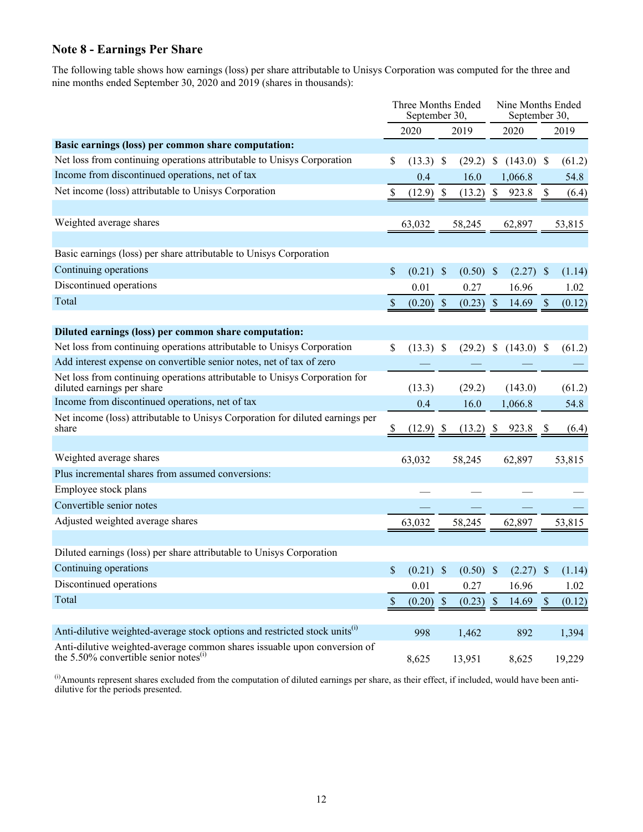# **Note 8 - Earnings Per Share**

The following table shows how earnings (loss) per share attributable to Unisys Corporation was computed for the three and nine months ended September 30, 2020 and 2019 (shares in thousands):

|                                                                                                                                   |               | Three Months Ended<br>September 30, |  |                         |              | Nine Months Ended<br>September 30, |                           |                      |  |  |
|-----------------------------------------------------------------------------------------------------------------------------------|---------------|-------------------------------------|--|-------------------------|--------------|------------------------------------|---------------------------|----------------------|--|--|
|                                                                                                                                   |               | 2020                                |  | 2019                    |              | 2020                               |                           | 2019                 |  |  |
| Basic earnings (loss) per common share computation:                                                                               |               |                                     |  |                         |              |                                    |                           |                      |  |  |
| Net loss from continuing operations attributable to Unisys Corporation                                                            | \$            | $(13.3)$ \$                         |  | (29.2)                  | $\mathbb{S}$ | $(143.0)$ \$                       |                           | (61.2)               |  |  |
| Income from discontinued operations, net of tax                                                                                   |               | 0.4                                 |  | 16.0                    |              | 1,066.8                            |                           | 54.8                 |  |  |
| Net income (loss) attributable to Unisys Corporation                                                                              |               | $(12.9)$ \$                         |  | (13.2)                  | $\mathbb{S}$ | 923.8                              | -\$                       | (6.4)                |  |  |
|                                                                                                                                   |               |                                     |  |                         |              |                                    |                           |                      |  |  |
| Weighted average shares                                                                                                           |               | 63,032                              |  | 58,245                  |              | 62,897                             |                           | 53,815               |  |  |
|                                                                                                                                   |               |                                     |  |                         |              |                                    |                           |                      |  |  |
| Basic earnings (loss) per share attributable to Unisys Corporation                                                                |               |                                     |  |                         |              |                                    |                           |                      |  |  |
| Continuing operations                                                                                                             | \$            | $(0.21)$ \$                         |  | $(0.50)$ \$             |              | $(2.27)$ \$                        |                           | (1.14)               |  |  |
| Discontinued operations                                                                                                           |               | 0.01                                |  | 0.27                    |              | 16.96                              |                           | 1.02                 |  |  |
| Total                                                                                                                             | \$            | $(0.20)$ \$                         |  | $(0.23)$ \$             |              | 14.69                              | $\boldsymbol{\mathsf{S}}$ | (0.12)               |  |  |
|                                                                                                                                   |               |                                     |  |                         |              |                                    |                           |                      |  |  |
| Diluted earnings (loss) per common share computation:                                                                             |               |                                     |  |                         |              |                                    |                           |                      |  |  |
| Net loss from continuing operations attributable to Unisys Corporation                                                            | \$            | $(13.3)$ \$                         |  | $(29.2)$ \$             |              | $(143.0)$ \$                       |                           | (61.2)               |  |  |
| Add interest expense on convertible senior notes, net of tax of zero                                                              |               |                                     |  |                         |              |                                    |                           |                      |  |  |
| Net loss from continuing operations attributable to Unisys Corporation for<br>diluted earnings per share                          |               | (13.3)                              |  | (29.2)                  |              | (143.0)                            |                           | (61.2)               |  |  |
| Income from discontinued operations, net of tax                                                                                   |               | 0.4                                 |  | 16.0                    |              | 1,066.8                            |                           | 54.8                 |  |  |
| Net income (loss) attributable to Unisys Corporation for diluted earnings per<br>share                                            |               | $(12.9)$ \$                         |  |                         |              | $(13.2)$ \$ 923.8                  | -S                        | (6.4)                |  |  |
|                                                                                                                                   |               |                                     |  |                         |              |                                    |                           |                      |  |  |
| Weighted average shares                                                                                                           |               | 63,032                              |  | 58,245                  |              | 62,897                             |                           | 53,815               |  |  |
| Plus incremental shares from assumed conversions:                                                                                 |               |                                     |  |                         |              |                                    |                           |                      |  |  |
| Employee stock plans                                                                                                              |               |                                     |  |                         |              |                                    |                           |                      |  |  |
| Convertible senior notes                                                                                                          |               |                                     |  |                         |              |                                    |                           |                      |  |  |
| Adjusted weighted average shares                                                                                                  |               | 63,032                              |  | 58,245                  |              | 62,897                             |                           | 53,815               |  |  |
|                                                                                                                                   |               |                                     |  |                         |              |                                    |                           |                      |  |  |
| Diluted earnings (loss) per share attributable to Unisys Corporation                                                              |               |                                     |  |                         |              |                                    |                           |                      |  |  |
| Continuing operations                                                                                                             | S.            |                                     |  | $(0.21)$ \$ $(0.50)$ \$ |              |                                    |                           | $(2.27)$ \$ $(1.14)$ |  |  |
| Discontinued operations                                                                                                           |               | 0.01                                |  | 0.27                    |              | 16.96                              |                           | 1.02                 |  |  |
| Total                                                                                                                             | $\mathcal{S}$ | $(0.20)$ \$                         |  | $(0.23)$ \$             |              | 14.69                              | $\mathcal{S}$             | (0.12)               |  |  |
|                                                                                                                                   |               |                                     |  |                         |              |                                    |                           |                      |  |  |
| Anti-dilutive weighted-average stock options and restricted stock units <sup>(1)</sup>                                            |               | 998                                 |  | 1,462                   |              | 892                                |                           | 1,394                |  |  |
| Anti-dilutive weighted-average common shares is<br>suable upon conversion of the 5.50% convertible senior notes<br><sup>(i)</sup> |               | 8,625                               |  | 13,951                  |              | 8,625                              |                           | 19,229               |  |  |

 $\dot{a}$ ) Amounts represent shares excluded from the computation of diluted earnings per share, as their effect, if included, would have been antidilutive for the periods presented.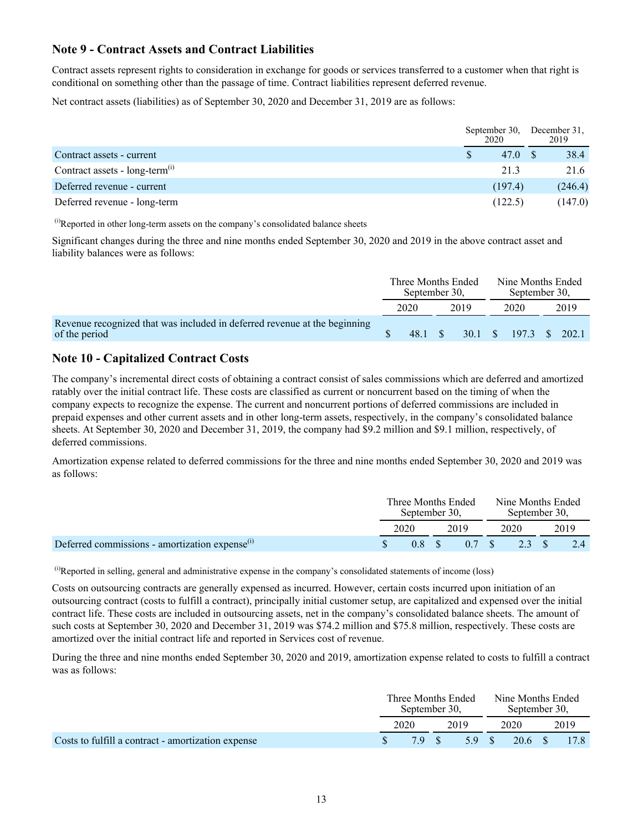# **Note 9 - Contract Assets and Contract Liabilities**

Contract assets represent rights to consideration in exchange for goods or services transferred to a customer when that right is conditional on something other than the passage of time. Contract liabilities represent deferred revenue.

Net contract assets (liabilities) as of September 30, 2020 and December 31, 2019 are as follows:

|                                              |  | September 30,<br>2020 |  | December 31.<br>2019 |
|----------------------------------------------|--|-----------------------|--|----------------------|
| Contract assets - current                    |  | 47.0 S                |  | 38.4                 |
| Contract assets - $long-term$ <sup>(1)</sup> |  | 21.3                  |  | 21.6                 |
| Deferred revenue - current                   |  | (197.4)               |  | (246.4)              |
| Deferred revenue - long-term                 |  | (122.5)               |  | (147.0)              |

 $<sup>(i)</sup>$ Reported in other long-term assets on the company's consolidated balance sheets</sup>

Significant changes during the three and nine months ended September 30, 2020 and 2019 in the above contract asset and liability balances were as follows:

|                                                                                            | Three Months Ended<br>September 30, |         |  |      | September 30,          | Nine Months Ended |  |  |
|--------------------------------------------------------------------------------------------|-------------------------------------|---------|--|------|------------------------|-------------------|--|--|
|                                                                                            |                                     | 2020    |  | 2019 | 2020                   | 2019              |  |  |
| Revenue recognized that was included in deferred revenue at the beginning<br>of the period |                                     | 48.1 \$ |  |      | 30.1 \$ 197.3 \$ 202.1 |                   |  |  |

## **Note 10 - Capitalized Contract Costs**

The company's incremental direct costs of obtaining a contract consist of sales commissions which are deferred and amortized ratably over the initial contract life. These costs are classified as current or noncurrent based on the timing of when the company expects to recognize the expense. The current and noncurrent portions of deferred commissions are included in prepaid expenses and other current assets and in other long-term assets, respectively, in the company's consolidated balance sheets. At September 30, 2020 and December 31, 2019, the company had \$9.2 million and \$9.1 million, respectively, of deferred commissions.

Amortization expense related to deferred commissions for the three and nine months ended September 30, 2020 and 2019 was as follows:

|                                                      | Three Months Ended<br>September 30. |      |      |  |      | Nine Months Ended<br>September 30, |  |      |  |
|------------------------------------------------------|-------------------------------------|------|------|--|------|------------------------------------|--|------|--|
|                                                      |                                     | 2020 | 2019 |  | 2020 |                                    |  | 2019 |  |
| Deferred commissions - amortization expense $^{(1)}$ |                                     | 08S  |      |  |      | $0.7 \t S \t 2.3 \t S$             |  | 2.4  |  |

 $^{(i)}$ Reported in selling, general and administrative expense in the company's consolidated statements of income (loss)

Costs on outsourcing contracts are generally expensed as incurred. However, certain costs incurred upon initiation of an outsourcing contract (costs to fulfill a contract), principally initial customer setup, are capitalized and expensed over the initial contract life. These costs are included in outsourcing assets, net in the company's consolidated balance sheets. The amount of such costs at September 30, 2020 and December 31, 2019 was \$74.2 million and \$75.8 million, respectively. These costs are amortized over the initial contract life and reported in Services cost of revenue.

During the three and nine months ended September 30, 2020 and 2019, amortization expense related to costs to fulfill a contract was as follows:

|                                                    | Three Months Ended<br>September 30. |      |      |       |      | Nine Months Ended<br>September 30, |  |      |
|----------------------------------------------------|-------------------------------------|------|------|-------|------|------------------------------------|--|------|
|                                                    |                                     | 2020 | 2019 |       | 2020 |                                    |  | 2019 |
| Costs to fulfill a contract - amortization expense |                                     | 79 S |      | 5.9 S |      | 20.6 S                             |  | 17.8 |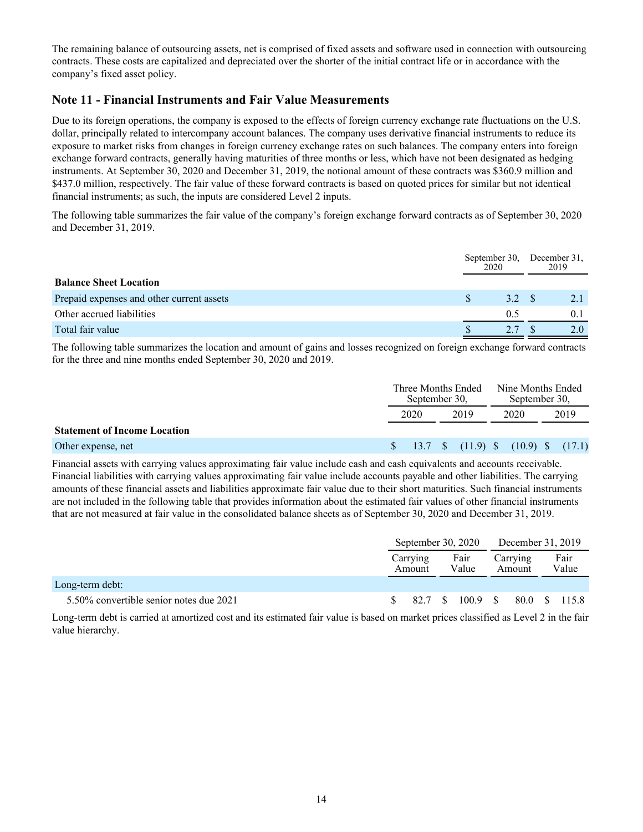The remaining balance of outsourcing assets, net is comprised of fixed assets and software used in connection with outsourcing contracts. These costs are capitalized and depreciated over the shorter of the initial contract life or in accordance with the company's fixed asset policy.

## **Note 11 - Financial Instruments and Fair Value Measurements**

Due to its foreign operations, the company is exposed to the effects of foreign currency exchange rate fluctuations on the U.S. dollar, principally related to intercompany account balances. The company uses derivative financial instruments to reduce its exposure to market risks from changes in foreign currency exchange rates on such balances. The company enters into foreign exchange forward contracts, generally having maturities of three months or less, which have not been designated as hedging instruments. At September 30, 2020 and December 31, 2019, the notional amount of these contracts was \$360.9 million and \$437.0 million, respectively. The fair value of these forward contracts is based on quoted prices for similar but not identical financial instruments; as such, the inputs are considered Level 2 inputs.

The following table summarizes the fair value of the company's foreign exchange forward contracts as of September 30, 2020 and December 31, 2019.

|                                           | September 30,<br>2020 |       |  | December 31,<br>2019 |
|-------------------------------------------|-----------------------|-------|--|----------------------|
| <b>Balance Sheet Location</b>             |                       |       |  |                      |
| Prepaid expenses and other current assets |                       | 3.2 S |  | 2.1                  |
| Other accrued liabilities                 |                       | 0.5   |  | 0.1                  |
| Total fair value                          |                       |       |  |                      |

The following table summarizes the location and amount of gains and losses recognized on foreign exchange forward contracts for the three and nine months ended September 30, 2020 and 2019.

|                                     | September 30. | Three Months Ended | Nine Months Ended<br>September 30. |      |  |
|-------------------------------------|---------------|--------------------|------------------------------------|------|--|
|                                     | 2020<br>2019  |                    | 2020                               | 2019 |  |
| <b>Statement of Income Location</b> |               |                    |                                    |      |  |

#### Other expense, net  $$ 13.7 \text{ } $ (11.9) \text{ } $ (10.9) \text{ } $ (17.1) $$

Financial assets with carrying values approximating fair value include cash and cash equivalents and accounts receivable. Financial liabilities with carrying values approximating fair value include accounts payable and other liabilities. The carrying amounts of these financial assets and liabilities approximate fair value due to their short maturities. Such financial instruments are not included in the following table that provides information about the estimated fair values of other financial instruments that are not measured at fair value in the consolidated balance sheets as of September 30, 2020 and December 31, 2019.

|                                         | September 30, 2020 |  |               |  |                    | December 31, 2019 |               |  |
|-----------------------------------------|--------------------|--|---------------|--|--------------------|-------------------|---------------|--|
|                                         | Carrying<br>Amount |  | Fair<br>Value |  | Carrying<br>Amount |                   | Fair<br>Value |  |
| Long-term debt:                         |                    |  |               |  |                    |                   |               |  |
| 5.50% convertible senior notes due 2021 | 82.7               |  | 100.9         |  |                    |                   | 80.0 \$ 115.8 |  |

Long-term debt is carried at amortized cost and its estimated fair value is based on market prices classified as Level 2 in the fair value hierarchy.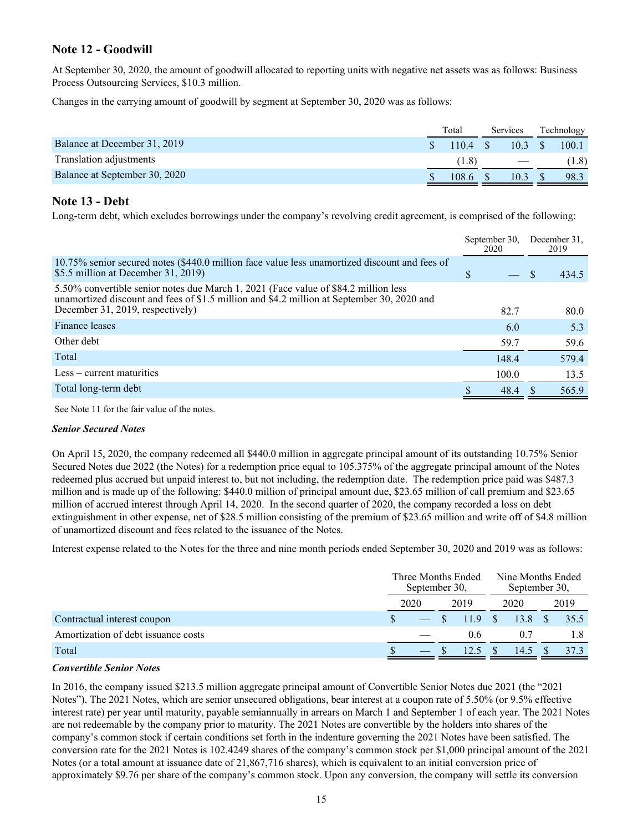# **Note 12 - Goodwill**

At September 30, 2020, the amount of goodwill allocated to reporting units with negative net assets was as follows: Business Process Outsourcing Services, \$10.3 million.

Changes in the carrying amount of goodwill by segment at September 30, 2020 was as follows:

|                               | Total | Services | Technology |       |  |
|-------------------------------|-------|----------|------------|-------|--|
| Balance at December 31, 2019  | 1104  | 103      |            | 100.1 |  |
| Translation adjustments       | (1.8) |          |            | (1.8) |  |
| Balance at September 30, 2020 | 108.6 | 10.3     |            | 98.3  |  |

### **Note 13 - Debt**

Long-term debt, which excludes borrowings under the company's revolving credit agreement, is comprised of the following:

|                                                                                                                                                                                                                       | September 30.<br>2020 |  | December 31.<br>2019 |
|-----------------------------------------------------------------------------------------------------------------------------------------------------------------------------------------------------------------------|-----------------------|--|----------------------|
| 10.75% senior secured notes (\$440.0 million face value less unamortized discount and fees of<br>\$5.5 million at December 31, 2019)                                                                                  | \$                    |  | 434.5                |
| 5.50% convertible senior notes due March 1, 2021 (Face value of \$84.2 million less<br>unamortized discount and fees of \$1.5 million and \$4.2 million at September 30, 2020 and<br>December 31, 2019, respectively) | 82.7                  |  | 80.0                 |
|                                                                                                                                                                                                                       |                       |  |                      |
| Finance leases                                                                                                                                                                                                        | 6.0                   |  | 5.3                  |
| Other debt                                                                                                                                                                                                            | 59.7                  |  | 59.6                 |
| Total                                                                                                                                                                                                                 | 148.4                 |  | 579.4                |
| Less – current maturities                                                                                                                                                                                             | 100.0                 |  | 13.5                 |
| Total long-term debt                                                                                                                                                                                                  | 48.4                  |  | 565.9                |
|                                                                                                                                                                                                                       |                       |  |                      |

See Note 11 for the fair value of the notes.

### *Senior Secured Notes*

On April 15, 2020, the company redeemed all \$440.0 million in aggregate principal amount of its outstanding 10.75% Senior Secured Notes due 2022 (the Notes) for a redemption price equal to 105.375% of the aggregate principal amount of the Notes redeemed plus accrued but unpaid interest to, but not including, the redemption date. The redemption price paid was \$487.3 million and is made up of the following: \$440.0 million of principal amount due, \$23.65 million of call premium and \$23.65 million of accrued interest through April 14, 2020. In the second quarter of 2020, the company recorded a loss on debt extinguishment in other expense, net of \$28.5 million consisting of the premium of \$23.65 million and write off of \$4.8 million of unamortized discount and fees related to the issuance of the Notes.

Interest expense related to the Notes for the three and nine month periods ended September 30, 2020 and 2019 was as follows:

|                                     | Three Months Ended<br>September 30. |      |  |        |  | Nine Months Ended<br>September 30. |      |
|-------------------------------------|-------------------------------------|------|--|--------|--|------------------------------------|------|
|                                     |                                     | 2020 |  | 2019   |  | 2020                               | 2019 |
| Contractual interest coupon         |                                     |      |  | 11.9 S |  | 13.8 \$                            | 35.5 |
| Amortization of debt issuance costs |                                     |      |  | 06     |  | 0.7                                |      |
| Total                               |                                     |      |  |        |  | 14.5                               |      |

### *Convertible Senior Notes*

In 2016, the company issued \$213.5 million aggregate principal amount of Convertible Senior Notes due 2021 (the "2021 Notes"). The 2021 Notes, which are senior unsecured obligations, bear interest at a coupon rate of 5.50% (or 9.5% effective interest rate) per year until maturity, payable semiannually in arrears on March 1 and September 1 of each year. The 2021 Notes are not redeemable by the company prior to maturity. The 2021 Notes are convertible by the holders into shares of the company's common stock if certain conditions set forth in the indenture governing the 2021 Notes have been satisfied. The conversion rate for the 2021 Notes is 102.4249 shares of the company's common stock per \$1,000 principal amount of the 2021 Notes (or a total amount at issuance date of 21,867,716 shares), which is equivalent to an initial conversion price of approximately \$9.76 per share of the company's common stock. Upon any conversion, the company will settle its conversion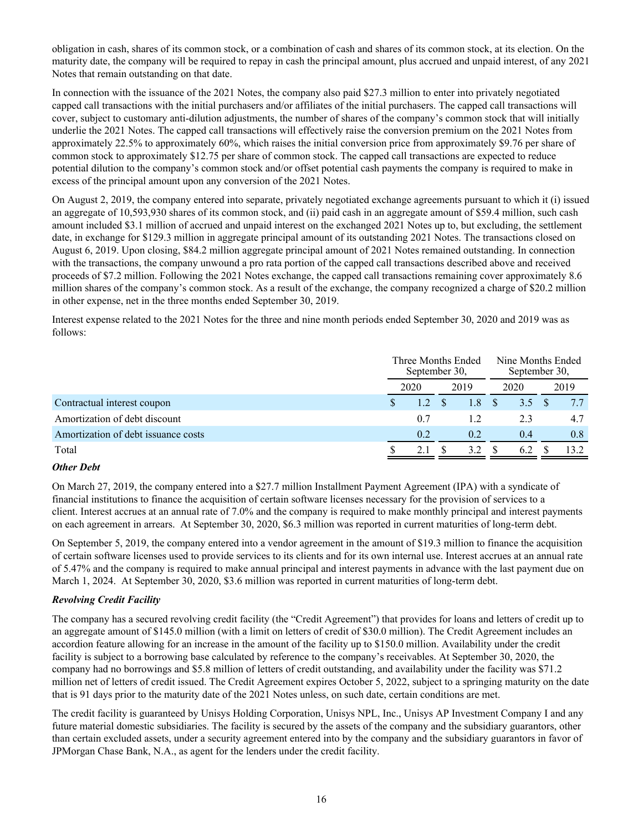obligation in cash, shares of its common stock, or a combination of cash and shares of its common stock, at its election. On the maturity date, the company will be required to repay in cash the principal amount, plus accrued and unpaid interest, of any 2021 Notes that remain outstanding on that date.

In connection with the issuance of the 2021 Notes, the company also paid \$27.3 million to enter into privately negotiated capped call transactions with the initial purchasers and/or affiliates of the initial purchasers. The capped call transactions will cover, subject to customary anti-dilution adjustments, the number of shares of the company's common stock that will initially underlie the 2021 Notes. The capped call transactions will effectively raise the conversion premium on the 2021 Notes from approximately 22.5% to approximately 60%, which raises the initial conversion price from approximately \$9.76 per share of common stock to approximately \$12.75 per share of common stock. The capped call transactions are expected to reduce potential dilution to the company's common stock and/or offset potential cash payments the company is required to make in excess of the principal amount upon any conversion of the 2021 Notes.

On August 2, 2019, the company entered into separate, privately negotiated exchange agreements pursuant to which it (i) issued an aggregate of 10,593,930 shares of its common stock, and (ii) paid cash in an aggregate amount of \$59.4 million, such cash amount included \$3.1 million of accrued and unpaid interest on the exchanged 2021 Notes up to, but excluding, the settlement date, in exchange for \$129.3 million in aggregate principal amount of its outstanding 2021 Notes. The transactions closed on August 6, 2019. Upon closing, \$84.2 million aggregate principal amount of 2021 Notes remained outstanding. In connection with the transactions, the company unwound a pro rata portion of the capped call transactions described above and received proceeds of \$7.2 million. Following the 2021 Notes exchange, the capped call transactions remaining cover approximately 8.6 million shares of the company's common stock. As a result of the exchange, the company recognized a charge of \$20.2 million in other expense, net in the three months ended September 30, 2019.

Interest expense related to the 2021 Notes for the three and nine month periods ended September 30, 2020 and 2019 was as follows:

|                                     | Three Months Ended<br>September 30, |     |  |     |      | Nine Months Ended<br>September 30, |      |  |      |
|-------------------------------------|-------------------------------------|-----|--|-----|------|------------------------------------|------|--|------|
|                                     | 2020                                |     |  |     | 2019 |                                    | 2020 |  | 2019 |
| Contractual interest coupon         |                                     |     |  | 1.8 |      | 3.5                                |      |  |      |
| Amortization of debt discount       |                                     | 0.7 |  |     |      | 2.3                                | 4.7  |  |      |
| Amortization of debt issuance costs |                                     | 0.2 |  | 0.2 |      | 0.4                                | 0.8  |  |      |
| Total                               |                                     | 2.1 |  | 3.2 |      | 6.2                                | 13.2 |  |      |

### *Other Debt*

On March 27, 2019, the company entered into a \$27.7 million Installment Payment Agreement (IPA) with a syndicate of financial institutions to finance the acquisition of certain software licenses necessary for the provision of services to a client. Interest accrues at an annual rate of 7.0% and the company is required to make monthly principal and interest payments on each agreement in arrears. At September 30, 2020, \$6.3 million was reported in current maturities of long-term debt.

On September 5, 2019, the company entered into a vendor agreement in the amount of \$19.3 million to finance the acquisition of certain software licenses used to provide services to its clients and for its own internal use. Interest accrues at an annual rate of 5.47% and the company is required to make annual principal and interest payments in advance with the last payment due on March 1, 2024. At September 30, 2020, \$3.6 million was reported in current maturities of long-term debt.

### *Revolving Credit Facility*

The company has a secured revolving credit facility (the "Credit Agreement") that provides for loans and letters of credit up to an aggregate amount of \$145.0 million (with a limit on letters of credit of \$30.0 million). The Credit Agreement includes an accordion feature allowing for an increase in the amount of the facility up to \$150.0 million. Availability under the credit facility is subject to a borrowing base calculated by reference to the company's receivables. At September 30, 2020, the company had no borrowings and \$5.8 million of letters of credit outstanding, and availability under the facility was \$71.2 million net of letters of credit issued. The Credit Agreement expires October 5, 2022, subject to a springing maturity on the date that is 91 days prior to the maturity date of the 2021 Notes unless, on such date, certain conditions are met.

The credit facility is guaranteed by Unisys Holding Corporation, Unisys NPL, Inc., Unisys AP Investment Company I and any future material domestic subsidiaries. The facility is secured by the assets of the company and the subsidiary guarantors, other than certain excluded assets, under a security agreement entered into by the company and the subsidiary guarantors in favor of JPMorgan Chase Bank, N.A., as agent for the lenders under the credit facility.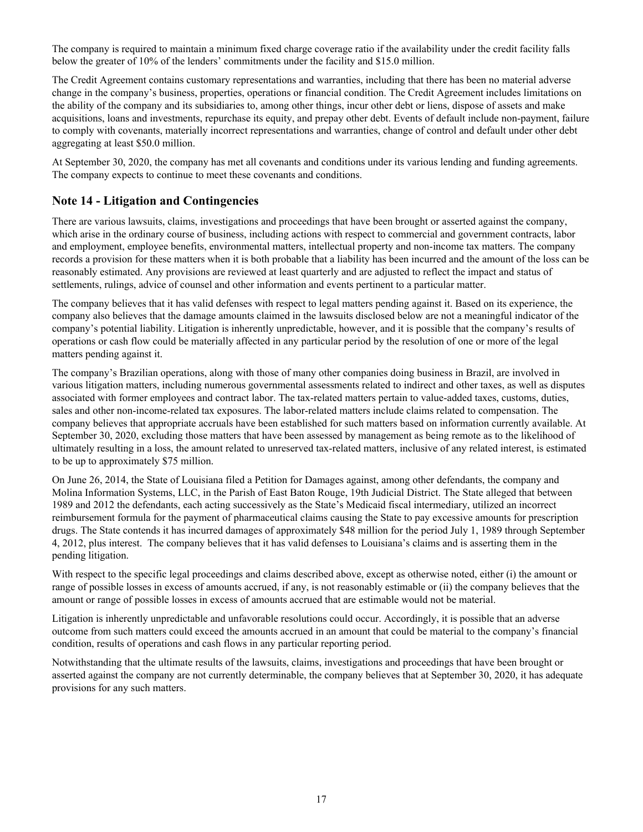The company is required to maintain a minimum fixed charge coverage ratio if the availability under the credit facility falls below the greater of 10% of the lenders' commitments under the facility and \$15.0 million.

The Credit Agreement contains customary representations and warranties, including that there has been no material adverse change in the company's business, properties, operations or financial condition. The Credit Agreement includes limitations on the ability of the company and its subsidiaries to, among other things, incur other debt or liens, dispose of assets and make acquisitions, loans and investments, repurchase its equity, and prepay other debt. Events of default include non-payment, failure to comply with covenants, materially incorrect representations and warranties, change of control and default under other debt aggregating at least \$50.0 million.

At September 30, 2020, the company has met all covenants and conditions under its various lending and funding agreements. The company expects to continue to meet these covenants and conditions.

# **Note 14 - Litigation and Contingencies**

There are various lawsuits, claims, investigations and proceedings that have been brought or asserted against the company, which arise in the ordinary course of business, including actions with respect to commercial and government contracts, labor and employment, employee benefits, environmental matters, intellectual property and non-income tax matters. The company records a provision for these matters when it is both probable that a liability has been incurred and the amount of the loss can be reasonably estimated. Any provisions are reviewed at least quarterly and are adjusted to reflect the impact and status of settlements, rulings, advice of counsel and other information and events pertinent to a particular matter.

The company believes that it has valid defenses with respect to legal matters pending against it. Based on its experience, the company also believes that the damage amounts claimed in the lawsuits disclosed below are not a meaningful indicator of the company's potential liability. Litigation is inherently unpredictable, however, and it is possible that the company's results of operations or cash flow could be materially affected in any particular period by the resolution of one or more of the legal matters pending against it.

The company's Brazilian operations, along with those of many other companies doing business in Brazil, are involved in various litigation matters, including numerous governmental assessments related to indirect and other taxes, as well as disputes associated with former employees and contract labor. The tax-related matters pertain to value-added taxes, customs, duties, sales and other non-income-related tax exposures. The labor-related matters include claims related to compensation. The company believes that appropriate accruals have been established for such matters based on information currently available. At September 30, 2020, excluding those matters that have been assessed by management as being remote as to the likelihood of ultimately resulting in a loss, the amount related to unreserved tax-related matters, inclusive of any related interest, is estimated to be up to approximately \$75 million.

On June 26, 2014, the State of Louisiana filed a Petition for Damages against, among other defendants, the company and Molina Information Systems, LLC, in the Parish of East Baton Rouge, 19th Judicial District. The State alleged that between 1989 and 2012 the defendants, each acting successively as the State's Medicaid fiscal intermediary, utilized an incorrect reimbursement formula for the payment of pharmaceutical claims causing the State to pay excessive amounts for prescription drugs. The State contends it has incurred damages of approximately \$48 million for the period July 1, 1989 through September 4, 2012, plus interest. The company believes that it has valid defenses to Louisiana's claims and is asserting them in the pending litigation.

With respect to the specific legal proceedings and claims described above, except as otherwise noted, either (i) the amount or range of possible losses in excess of amounts accrued, if any, is not reasonably estimable or (ii) the company believes that the amount or range of possible losses in excess of amounts accrued that are estimable would not be material.

Litigation is inherently unpredictable and unfavorable resolutions could occur. Accordingly, it is possible that an adverse outcome from such matters could exceed the amounts accrued in an amount that could be material to the company's financial condition, results of operations and cash flows in any particular reporting period.

Notwithstanding that the ultimate results of the lawsuits, claims, investigations and proceedings that have been brought or asserted against the company are not currently determinable, the company believes that at September 30, 2020, it has adequate provisions for any such matters.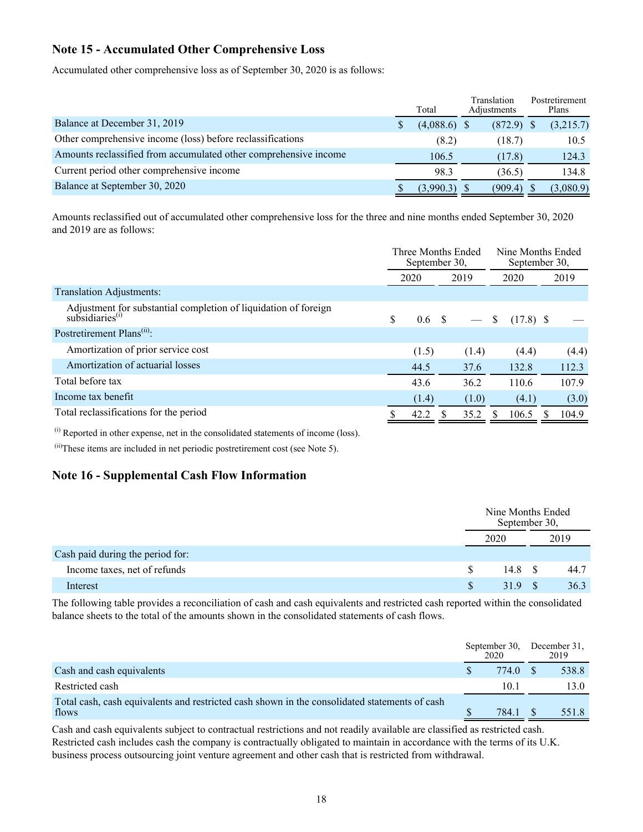# **Note 15 - Accumulated Other Comprehensive Loss**

Accumulated other comprehensive loss as of September 30, 2020 is as follows:

|                                                                  |   | Total          | Translation<br>Adjustments | Postretirement<br>Plans |
|------------------------------------------------------------------|---|----------------|----------------------------|-------------------------|
| Balance at December 31, 2019                                     | S | $(4,088.6)$ \$ | $(872.9)$ \$               | (3,215.7)               |
| Other comprehensive income (loss) before reclassifications       |   | (8.2)          | (18.7)                     | 10.5                    |
| Amounts reclassified from accumulated other comprehensive income |   | 106.5          | (17.8)                     | 124.3                   |
| Current period other comprehensive income                        |   | 98.3           | (36.5)                     | 134.8                   |
| Balance at September 30, 2020                                    |   | (3,990.3)      | $(909.4)$ \$               | (3,080.9)               |

Amounts reclassified out of accumulated other comprehensive loss for the three and nine months ended September 30, 2020 and 2019 are as follows:

|                                                                                                | Three Months Ended<br>September 30. |                  |  |       |              |             | Nine Months Ended<br>September 30. |       |  |
|------------------------------------------------------------------------------------------------|-------------------------------------|------------------|--|-------|--------------|-------------|------------------------------------|-------|--|
|                                                                                                |                                     | 2020             |  | 2019  |              | 2020        |                                    | 2019  |  |
| Translation Adjustments:                                                                       |                                     |                  |  |       |              |             |                                    |       |  |
| Adjustment for substantial completion of liquidation of foreign<br>subsidiaries <sup>(i)</sup> | \$                                  | 0.6 <sup>°</sup> |  |       | <sup>S</sup> | $(17.8)$ \$ |                                    |       |  |
| Postretirement Plans <sup>(ii)</sup> :                                                         |                                     |                  |  |       |              |             |                                    |       |  |
| Amortization of prior service cost                                                             |                                     | (1.5)            |  | (1.4) |              | (4.4)       |                                    | (4.4) |  |
| Amortization of actuarial losses                                                               |                                     | 44.5             |  | 37.6  |              | 132.8       |                                    | 112.3 |  |
| Total before tax                                                                               |                                     | 43.6             |  | 36.2  |              | 110.6       |                                    | 107.9 |  |
| Income tax benefit                                                                             |                                     | (1.4)            |  | (1.0) |              | (4.1)       |                                    | (3.0) |  |
| Total reclassifications for the period                                                         |                                     | 42.2             |  | 35.2  | \$.          | 106.5       |                                    | 104.9 |  |

<sup>(i)</sup> Reported in other expense, net in the consolidated statements of income (loss).

 $(iii)$ These items are included in net periodic postretirement cost (see Note 5).

## **Note 16 - Supplemental Cash Flow Information**

|                                  |  |      | Nine Months Ended<br>September 30, |  |      |  |  |
|----------------------------------|--|------|------------------------------------|--|------|--|--|
|                                  |  | 2020 |                                    |  | 2019 |  |  |
| Cash paid during the period for: |  |      |                                    |  |      |  |  |
| Income taxes, net of refunds     |  | S.   | $14.8 \quad S$                     |  | 44.7 |  |  |
| Interest                         |  | \$.  | 319                                |  | 36.3 |  |  |

The following table provides a reconciliation of cash and cash equivalents and restricted cash reported within the consolidated balance sheets to the total of the amounts shown in the consolidated statements of cash flows.

|                                                                                                        | September 30,<br>2020 | December 31,<br>2019 |       |  |  |
|--------------------------------------------------------------------------------------------------------|-----------------------|----------------------|-------|--|--|
| Cash and cash equivalents                                                                              | 774 Q                 |                      | 538.8 |  |  |
| Restricted cash                                                                                        | 10 1                  |                      | 130   |  |  |
| Total cash, cash equivalents and restricted cash shown in the consolidated statements of cash<br>flows | 784.1                 |                      | 551.8 |  |  |

Cash and cash equivalents subject to contractual restrictions and not readily available are classified as restricted cash. Restricted cash includes cash the company is contractually obligated to maintain in accordance with the terms of its U.K. business process outsourcing joint venture agreement and other cash that is restricted from withdrawal.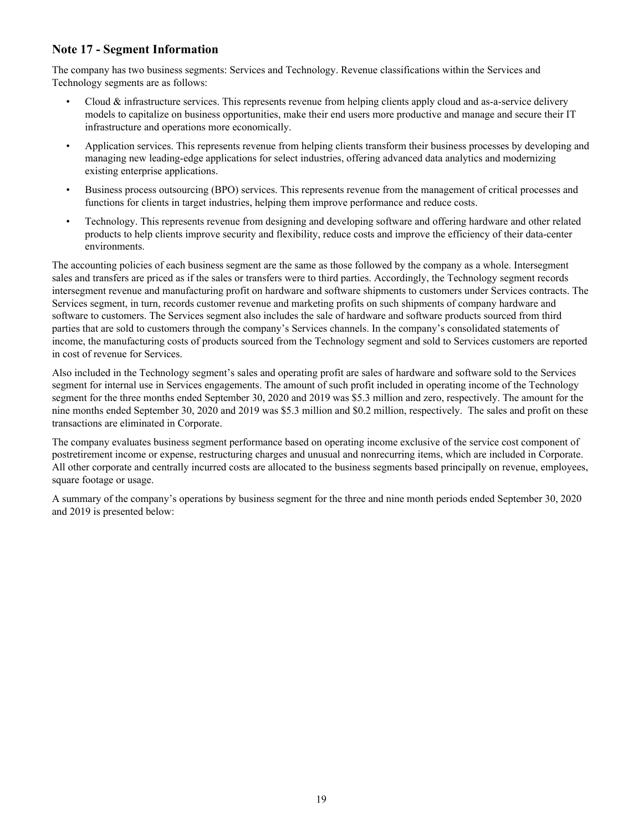# **Note 17 - Segment Information**

The company has two business segments: Services and Technology. Revenue classifications within the Services and Technology segments are as follows:

- Cloud  $\&$  infrastructure services. This represents revenue from helping clients apply cloud and as-a-service delivery models to capitalize on business opportunities, make their end users more productive and manage and secure their IT infrastructure and operations more economically.
- Application services. This represents revenue from helping clients transform their business processes by developing and managing new leading-edge applications for select industries, offering advanced data analytics and modernizing existing enterprise applications.
- Business process outsourcing (BPO) services. This represents revenue from the management of critical processes and functions for clients in target industries, helping them improve performance and reduce costs.
- Technology. This represents revenue from designing and developing software and offering hardware and other related products to help clients improve security and flexibility, reduce costs and improve the efficiency of their data-center environments.

The accounting policies of each business segment are the same as those followed by the company as a whole. Intersegment sales and transfers are priced as if the sales or transfers were to third parties. Accordingly, the Technology segment records intersegment revenue and manufacturing profit on hardware and software shipments to customers under Services contracts. The Services segment, in turn, records customer revenue and marketing profits on such shipments of company hardware and software to customers. The Services segment also includes the sale of hardware and software products sourced from third parties that are sold to customers through the company's Services channels. In the company's consolidated statements of income, the manufacturing costs of products sourced from the Technology segment and sold to Services customers are reported in cost of revenue for Services.

Also included in the Technology segment's sales and operating profit are sales of hardware and software sold to the Services segment for internal use in Services engagements. The amount of such profit included in operating income of the Technology segment for the three months ended September 30, 2020 and 2019 was \$5.3 million and zero, respectively. The amount for the nine months ended September 30, 2020 and 2019 was \$5.3 million and \$0.2 million, respectively. The sales and profit on these transactions are eliminated in Corporate.

The company evaluates business segment performance based on operating income exclusive of the service cost component of postretirement income or expense, restructuring charges and unusual and nonrecurring items, which are included in Corporate. All other corporate and centrally incurred costs are allocated to the business segments based principally on revenue, employees, square footage or usage.

A summary of the company's operations by business segment for the three and nine month periods ended September 30, 2020 and 2019 is presented below: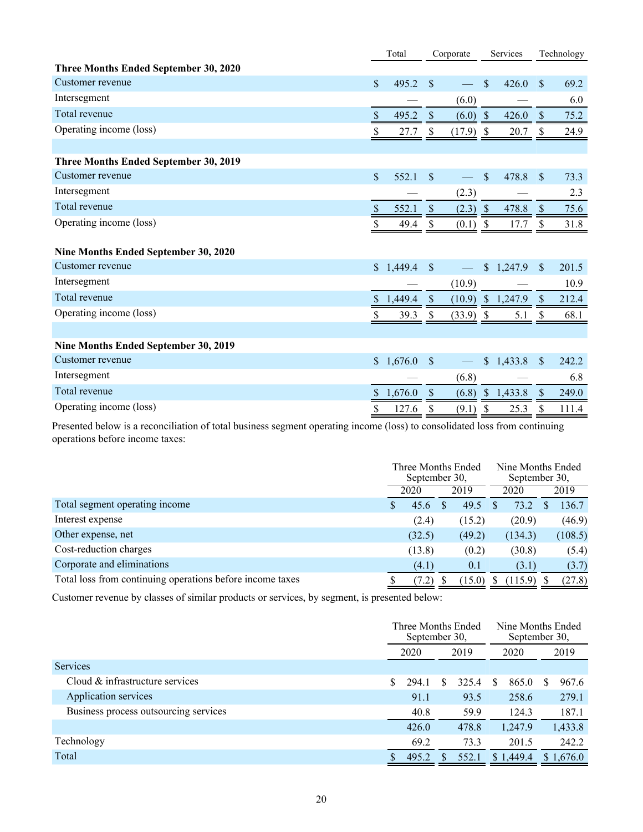|                                       |               | Total   | Corporate     |             |            | Services            | Technology                |       |  |
|---------------------------------------|---------------|---------|---------------|-------------|------------|---------------------|---------------------------|-------|--|
| Three Months Ended September 30, 2020 |               |         |               |             |            |                     |                           |       |  |
| Customer revenue                      | $\mathsf{\$}$ | 495.2   | \$            |             | \$         | 426.0               | $\mathbf{\$}$             | 69.2  |  |
| Intersegment                          |               |         |               | (6.0)       |            |                     |                           | 6.0   |  |
| Total revenue                         | \$            | 495.2   | \$            | (6.0)       | $\sqrt{S}$ | 426.0               | $\mathcal{S}$             | 75.2  |  |
| Operating income (loss)               | \$            | 27.7    | \$            | $(17.9)$ \$ |            | 20.7                | \$                        | 24.9  |  |
|                                       |               |         |               |             |            |                     |                           |       |  |
| Three Months Ended September 30, 2019 |               |         |               |             |            |                     |                           |       |  |
| Customer revenue                      | \$            | 552.1   | \$            |             | \$         | 478.8               | $\mathbf{\$}$             | 73.3  |  |
| Intersegment                          |               |         |               | (2.3)       |            |                     |                           | 2.3   |  |
| Total revenue                         | \$            | 552.1   | \$            | $(2.3)$ \$  |            | 478.8               | $\mathcal{S}$             | 75.6  |  |
| Operating income (loss)               |               | 49.4    |               | $(0.1)$ \$  |            | 17.7                | $\mathcal{S}$             | 31.8  |  |
|                                       |               |         |               |             |            |                     |                           |       |  |
| Nine Months Ended September 30, 2020  |               |         |               |             |            |                     |                           |       |  |
| Customer revenue                      | $\mathbb{S}$  | 1,449.4 | $\mathbb{S}$  |             |            | \$1,247.9           | <sup>\$</sup>             | 201.5 |  |
| Intersegment                          |               |         |               | (10.9)      |            |                     |                           | 10.9  |  |
| Total revenue                         | S.            | 1,449.4 | $\mathcal{S}$ |             |            | $(10.9)$ \$ 1,247.9 | <sup>S</sup>              | 212.4 |  |
| Operating income (loss)               | \$            | 39.3    | S.            | $(33.9)$ \$ |            | 5.1                 | \$                        | 68.1  |  |
|                                       |               |         |               |             |            |                     |                           |       |  |
| Nine Months Ended September 30, 2019  |               |         |               |             |            |                     |                           |       |  |
| Customer revenue                      | $\mathbb{S}$  | 1,676.0 | \$            |             |            | \$1,433.8           | $\mathcal{S}$             | 242.2 |  |
| Intersegment                          |               |         |               | (6.8)       |            |                     |                           | 6.8   |  |
| Total revenue                         | \$            | 1,676.0 | $\sqrt{\ }$   | (6.8)       |            | \$1,433.8           | $\boldsymbol{\mathsf{S}}$ | 249.0 |  |
| Operating income (loss)               | \$            | 127.6   | \$            | (9.1)       | \$         | 25.3                | \$                        | 111.4 |  |

Presented below is a reconciliation of total business segment operating income (loss) to consolidated loss from continuing operations before income taxes:

|                                                           | Three Months Ended<br>September 30, |        |  |        |      | Nine Months Ended<br>September 30, |         |
|-----------------------------------------------------------|-------------------------------------|--------|--|--------|------|------------------------------------|---------|
|                                                           | 2020                                |        |  | 2019   | 2020 |                                    | 2019    |
| Total segment operating income                            |                                     | 45.6   |  | 49.5   |      | 73.2                               | 136.7   |
| Interest expense                                          |                                     | (2.4)  |  | (15.2) |      | (20.9)                             | (46.9)  |
| Other expense, net                                        |                                     | (32.5) |  | (49.2) |      | (134.3)                            | (108.5) |
| Cost-reduction charges                                    |                                     | (13.8) |  | (0.2)  |      | (30.8)                             | (5.4)   |
| Corporate and eliminations                                |                                     | (4.1)  |  | 0.1    |      | (3.1)                              | (3.7)   |
| Total loss from continuing operations before income taxes |                                     | (7.2)  |  | (15.0) |      | (115.9)                            | (27.8)  |

Customer revenue by classes of similar products or services, by segment, is presented below:

|                                       |     | Three Months Ended<br>September 30, |      |       |  | September 30, |    | Nine Months Ended |  |
|---------------------------------------|-----|-------------------------------------|------|-------|--|---------------|----|-------------------|--|
|                                       |     | 2020                                | 2019 |       |  | 2020          |    | 2019              |  |
| Services                              |     |                                     |      |       |  |               |    |                   |  |
| Cloud & infrastructure services       | \$  | 294.1                               |      | 325.4 |  | 865.0         | S. | 967.6             |  |
| Application services                  |     | 91.1                                |      | 93.5  |  | 258.6         |    | 279.1             |  |
| Business process outsourcing services |     | 40.8                                |      | 59.9  |  | 124.3         |    | 187.1             |  |
|                                       |     | 426.0                               |      | 478.8 |  | 1,247.9       |    | 1,433.8           |  |
| Technology                            |     | 69.2                                |      | 73.3  |  | 201.5         |    | 242.2             |  |
| Total                                 | \$. | 495.2                               |      | 552.1 |  | \$1,449.4     |    | \$1,676.0         |  |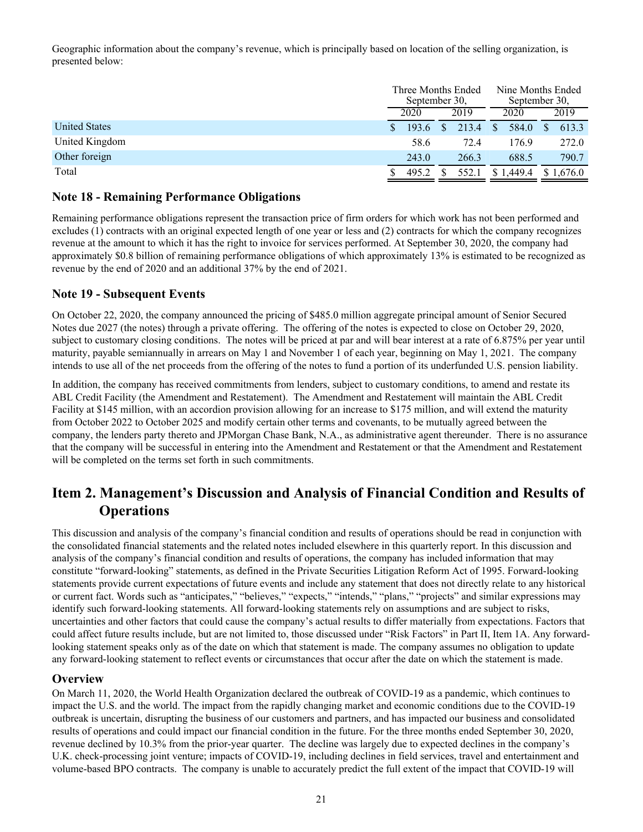<span id="page-21-0"></span>Geographic information about the company's revenue, which is principally based on location of the selling organization, is presented below:

|                      | Three Months Ended<br>September 30. |       |      |       |               | September 30, | Nine Months Ended |           |
|----------------------|-------------------------------------|-------|------|-------|---------------|---------------|-------------------|-----------|
|                      | 2020                                |       | 2019 |       | 2020          |               |                   | 2019      |
| <b>United States</b> |                                     | 193.6 |      | 213.4 | $\mathcal{S}$ | 584.0         | S.                | 613.3     |
| United Kingdom       |                                     | 58.6  |      | 72.4  |               | 176.9         |                   | 272.0     |
| Other foreign        |                                     | 243.0 |      | 266.3 |               | 688.5         |                   | 790.7     |
| Total                |                                     | 495.2 |      | 552.1 |               | \$1,449.4     |                   | \$1,676.0 |

## **Note 18 - Remaining Performance Obligations**

Remaining performance obligations represent the transaction price of firm orders for which work has not been performed and excludes (1) contracts with an original expected length of one year or less and (2) contracts for which the company recognizes revenue at the amount to which it has the right to invoice for services performed. At September 30, 2020, the company had approximately \$0.8 billion of remaining performance obligations of which approximately 13% is estimated to be recognized as revenue by the end of 2020 and an additional 37% by the end of 2021.

## **Note 19 - Subsequent Events**

On October 22, 2020, the company announced the pricing of \$485.0 million aggregate principal amount of Senior Secured Notes due 2027 (the notes) through a private offering. The offering of the notes is expected to close on October 29, 2020, subject to customary closing conditions. The notes will be priced at par and will bear interest at a rate of 6.875% per year until maturity, payable semiannually in arrears on May 1 and November 1 of each year, beginning on May 1, 2021. The company intends to use all of the net proceeds from the offering of the notes to fund a portion of its underfunded U.S. pension liability.

In addition, the company has received commitments from lenders, subject to customary conditions, to amend and restate its ABL Credit Facility (the Amendment and Restatement). The Amendment and Restatement will maintain the ABL Credit Facility at \$145 million, with an accordion provision allowing for an increase to \$175 million, and will extend the maturity from October 2022 to October 2025 and modify certain other terms and covenants, to be mutually agreed between the company, the lenders party thereto and JPMorgan Chase Bank, N.A., as administrative agent thereunder. There is no assurance that the company will be successful in entering into the Amendment and Restatement or that the Amendment and Restatement will be completed on the terms set forth in such commitments.

# **Item 2. Management's Discussion and Analysis of Financial Condition and Results of Operations**

This discussion and analysis of the company's financial condition and results of operations should be read in conjunction with the consolidated financial statements and the related notes included elsewhere in this quarterly report. In this discussion and analysis of the company's financial condition and results of operations, the company has included information that may constitute "forward-looking" statements, as defined in the Private Securities Litigation Reform Act of 1995. Forward-looking statements provide current expectations of future events and include any statement that does not directly relate to any historical or current fact. Words such as "anticipates," "believes," "expects," "intends," "plans," "projects" and similar expressions may identify such forward-looking statements. All forward-looking statements rely on assumptions and are subject to risks, uncertainties and other factors that could cause the company's actual results to differ materially from expectations. Factors that could affect future results include, but are not limited to, those discussed under "Risk Factors" in Part II, Item 1A. Any forwardlooking statement speaks only as of the date on which that statement is made. The company assumes no obligation to update any forward-looking statement to reflect events or circumstances that occur after the date on which the statement is made.

### **Overview**

On March 11, 2020, the World Health Organization declared the outbreak of COVID-19 as a pandemic, which continues to impact the U.S. and the world. The impact from the rapidly changing market and economic conditions due to the COVID-19 outbreak is uncertain, disrupting the business of our customers and partners, and has impacted our business and consolidated results of operations and could impact our financial condition in the future. For the three months ended September 30, 2020, revenue declined by 10.3% from the prior-year quarter. The decline was largely due to expected declines in the company's U.K. check-processing joint venture; impacts of COVID-19, including declines in field services, travel and entertainment and volume-based BPO contracts. The company is unable to accurately predict the full extent of the impact that COVID-19 will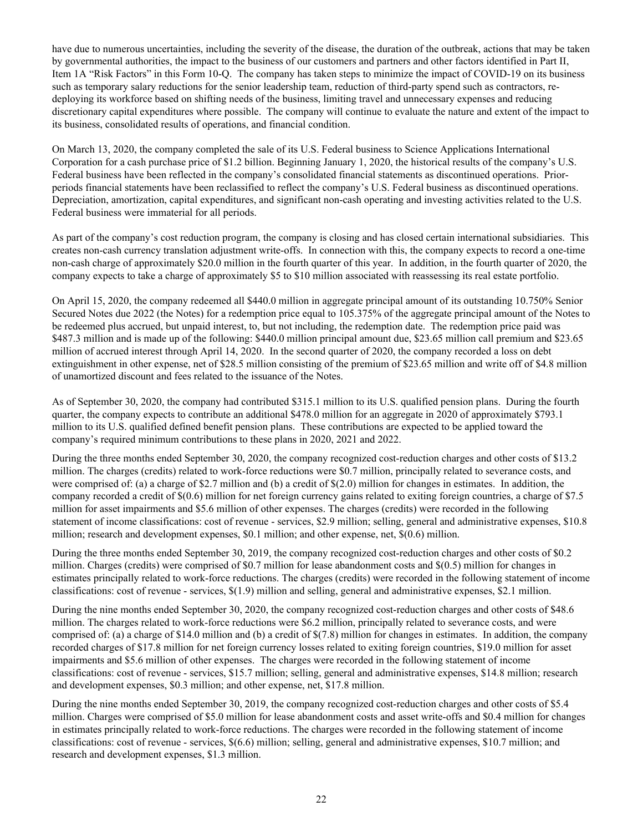have due to numerous uncertainties, including the severity of the disease, the duration of the outbreak, actions that may be taken by governmental authorities, the impact to the business of our customers and partners and other factors identified in Part II, Item 1A "Risk Factors" in this Form 10-Q. The company has taken steps to minimize the impact of COVID-19 on its business such as temporary salary reductions for the senior leadership team, reduction of third-party spend such as contractors, redeploying its workforce based on shifting needs of the business, limiting travel and unnecessary expenses and reducing discretionary capital expenditures where possible. The company will continue to evaluate the nature and extent of the impact to its business, consolidated results of operations, and financial condition.

On March 13, 2020, the company completed the sale of its U.S. Federal business to Science Applications International Corporation for a cash purchase price of \$1.2 billion. Beginning January 1, 2020, the historical results of the company's U.S. Federal business have been reflected in the company's consolidated financial statements as discontinued operations. Priorperiods financial statements have been reclassified to reflect the company's U.S. Federal business as discontinued operations. Depreciation, amortization, capital expenditures, and significant non-cash operating and investing activities related to the U.S. Federal business were immaterial for all periods.

As part of the company's cost reduction program, the company is closing and has closed certain international subsidiaries. This creates non-cash currency translation adjustment write-offs. In connection with this, the company expects to record a one-time non-cash charge of approximately \$20.0 million in the fourth quarter of this year. In addition, in the fourth quarter of 2020, the company expects to take a charge of approximately \$5 to \$10 million associated with reassessing its real estate portfolio.

On April 15, 2020, the company redeemed all \$440.0 million in aggregate principal amount of its outstanding 10.750% Senior Secured Notes due 2022 (the Notes) for a redemption price equal to 105.375% of the aggregate principal amount of the Notes to be redeemed plus accrued, but unpaid interest, to, but not including, the redemption date. The redemption price paid was \$487.3 million and is made up of the following: \$440.0 million principal amount due, \$23.65 million call premium and \$23.65 million of accrued interest through April 14, 2020. In the second quarter of 2020, the company recorded a loss on debt extinguishment in other expense, net of \$28.5 million consisting of the premium of \$23.65 million and write off of \$4.8 million of unamortized discount and fees related to the issuance of the Notes.

As of September 30, 2020, the company had contributed \$315.1 million to its U.S. qualified pension plans. During the fourth quarter, the company expects to contribute an additional \$478.0 million for an aggregate in 2020 of approximately \$793.1 million to its U.S. qualified defined benefit pension plans. These contributions are expected to be applied toward the company's required minimum contributions to these plans in 2020, 2021 and 2022.

During the three months ended September 30, 2020, the company recognized cost-reduction charges and other costs of \$13.2 million. The charges (credits) related to work-force reductions were \$0.7 million, principally related to severance costs, and were comprised of: (a) a charge of \$2.7 million and (b) a credit of \$(2.0) million for changes in estimates. In addition, the company recorded a credit of \$(0.6) million for net foreign currency gains related to exiting foreign countries, a charge of \$7.5 million for asset impairments and \$5.6 million of other expenses. The charges (credits) were recorded in the following statement of income classifications: cost of revenue - services, \$2.9 million; selling, general and administrative expenses, \$10.8 million; research and development expenses, \$0.1 million; and other expense, net, \$(0.6) million.

During the three months ended September 30, 2019, the company recognized cost-reduction charges and other costs of \$0.2 million. Charges (credits) were comprised of \$0.7 million for lease abandonment costs and \$(0.5) million for changes in estimates principally related to work-force reductions. The charges (credits) were recorded in the following statement of income classifications: cost of revenue - services, \$(1.9) million and selling, general and administrative expenses, \$2.1 million.

During the nine months ended September 30, 2020, the company recognized cost-reduction charges and other costs of \$48.6 million. The charges related to work-force reductions were \$6.2 million, principally related to severance costs, and were comprised of: (a) a charge of \$14.0 million and (b) a credit of \$(7.8) million for changes in estimates. In addition, the company recorded charges of \$17.8 million for net foreign currency losses related to exiting foreign countries, \$19.0 million for asset impairments and \$5.6 million of other expenses. The charges were recorded in the following statement of income classifications: cost of revenue - services, \$15.7 million; selling, general and administrative expenses, \$14.8 million; research and development expenses, \$0.3 million; and other expense, net, \$17.8 million.

During the nine months ended September 30, 2019, the company recognized cost-reduction charges and other costs of \$5.4 million. Charges were comprised of \$5.0 million for lease abandonment costs and asset write-offs and \$0.4 million for changes in estimates principally related to work-force reductions. The charges were recorded in the following statement of income classifications: cost of revenue - services, \$(6.6) million; selling, general and administrative expenses, \$10.7 million; and research and development expenses, \$1.3 million.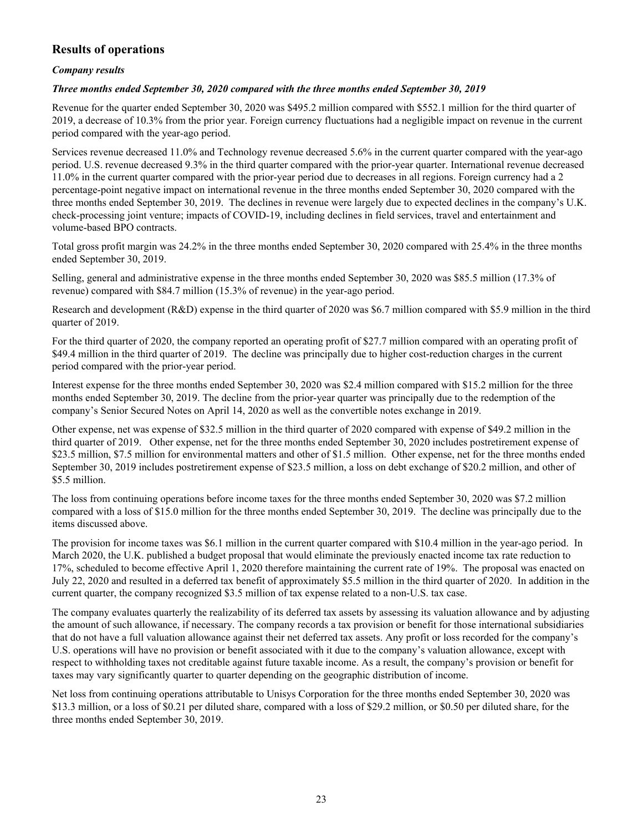# **Results of operations**

### *Company results*

### *Three months ended September 30, 2020 compared with the three months ended September 30, 2019*

Revenue for the quarter ended September 30, 2020 was \$495.2 million compared with \$552.1 million for the third quarter of 2019, a decrease of 10.3% from the prior year. Foreign currency fluctuations had a negligible impact on revenue in the current period compared with the year-ago period.

Services revenue decreased 11.0% and Technology revenue decreased 5.6% in the current quarter compared with the year-ago period. U.S. revenue decreased 9.3% in the third quarter compared with the prior-year quarter. International revenue decreased 11.0% in the current quarter compared with the prior-year period due to decreases in all regions. Foreign currency had a 2 percentage-point negative impact on international revenue in the three months ended September 30, 2020 compared with the three months ended September 30, 2019. The declines in revenue were largely due to expected declines in the company's U.K. check-processing joint venture; impacts of COVID-19, including declines in field services, travel and entertainment and volume-based BPO contracts.

Total gross profit margin was 24.2% in the three months ended September 30, 2020 compared with 25.4% in the three months ended September 30, 2019.

Selling, general and administrative expense in the three months ended September 30, 2020 was \$85.5 million (17.3% of revenue) compared with \$84.7 million (15.3% of revenue) in the year-ago period.

Research and development (R&D) expense in the third quarter of 2020 was \$6.7 million compared with \$5.9 million in the third quarter of 2019.

For the third quarter of 2020, the company reported an operating profit of \$27.7 million compared with an operating profit of \$49.4 million in the third quarter of 2019. The decline was principally due to higher cost-reduction charges in the current period compared with the prior-year period.

Interest expense for the three months ended September 30, 2020 was \$2.4 million compared with \$15.2 million for the three months ended September 30, 2019. The decline from the prior-year quarter was principally due to the redemption of the company's Senior Secured Notes on April 14, 2020 as well as the convertible notes exchange in 2019.

Other expense, net was expense of \$32.5 million in the third quarter of 2020 compared with expense of \$49.2 million in the third quarter of 2019. Other expense, net for the three months ended September 30, 2020 includes postretirement expense of \$23.5 million, \$7.5 million for environmental matters and other of \$1.5 million. Other expense, net for the three months ended September 30, 2019 includes postretirement expense of \$23.5 million, a loss on debt exchange of \$20.2 million, and other of \$5.5 million.

The loss from continuing operations before income taxes for the three months ended September 30, 2020 was \$7.2 million compared with a loss of \$15.0 million for the three months ended September 30, 2019. The decline was principally due to the items discussed above.

The provision for income taxes was \$6.1 million in the current quarter compared with \$10.4 million in the year-ago period. In March 2020, the U.K. published a budget proposal that would eliminate the previously enacted income tax rate reduction to 17%, scheduled to become effective April 1, 2020 therefore maintaining the current rate of 19%. The proposal was enacted on July 22, 2020 and resulted in a deferred tax benefit of approximately \$5.5 million in the third quarter of 2020. In addition in the current quarter, the company recognized \$3.5 million of tax expense related to a non-U.S. tax case.

The company evaluates quarterly the realizability of its deferred tax assets by assessing its valuation allowance and by adjusting the amount of such allowance, if necessary. The company records a tax provision or benefit for those international subsidiaries that do not have a full valuation allowance against their net deferred tax assets. Any profit or loss recorded for the company's U.S. operations will have no provision or benefit associated with it due to the company's valuation allowance, except with respect to withholding taxes not creditable against future taxable income. As a result, the company's provision or benefit for taxes may vary significantly quarter to quarter depending on the geographic distribution of income.

Net loss from continuing operations attributable to Unisys Corporation for the three months ended September 30, 2020 was \$13.3 million, or a loss of \$0.21 per diluted share, compared with a loss of \$29.2 million, or \$0.50 per diluted share, for the three months ended September 30, 2019.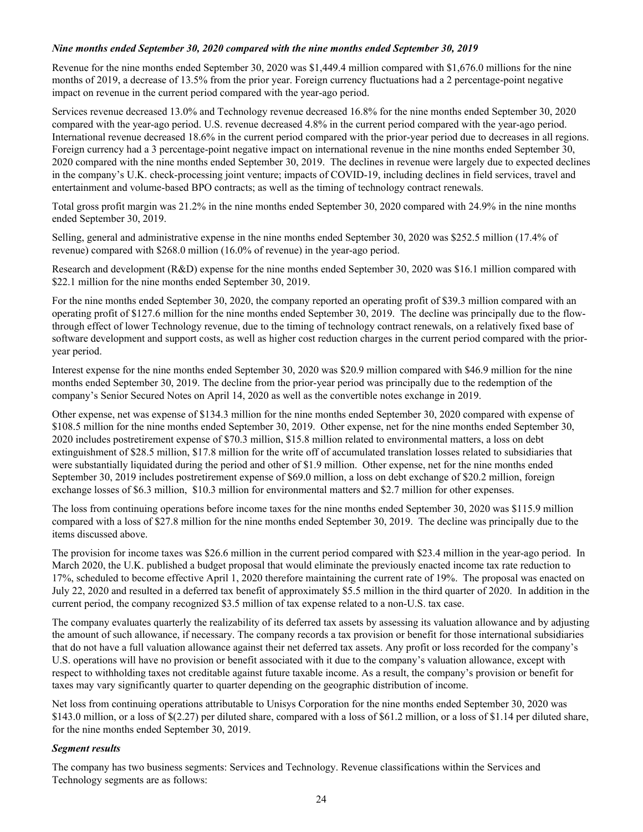### *Nine months ended September 30, 2020 compared with the nine months ended September 30, 2019*

Revenue for the nine months ended September 30, 2020 was \$1,449.4 million compared with \$1,676.0 millions for the nine months of 2019, a decrease of 13.5% from the prior year. Foreign currency fluctuations had a 2 percentage-point negative impact on revenue in the current period compared with the year-ago period.

Services revenue decreased 13.0% and Technology revenue decreased 16.8% for the nine months ended September 30, 2020 compared with the year-ago period. U.S. revenue decreased 4.8% in the current period compared with the year-ago period. International revenue decreased 18.6% in the current period compared with the prior-year period due to decreases in all regions. Foreign currency had a 3 percentage-point negative impact on international revenue in the nine months ended September 30, 2020 compared with the nine months ended September 30, 2019. The declines in revenue were largely due to expected declines in the company's U.K. check-processing joint venture; impacts of COVID-19, including declines in field services, travel and entertainment and volume-based BPO contracts; as well as the timing of technology contract renewals.

Total gross profit margin was 21.2% in the nine months ended September 30, 2020 compared with 24.9% in the nine months ended September 30, 2019.

Selling, general and administrative expense in the nine months ended September 30, 2020 was \$252.5 million (17.4% of revenue) compared with \$268.0 million (16.0% of revenue) in the year-ago period.

Research and development (R&D) expense for the nine months ended September 30, 2020 was \$16.1 million compared with \$22.1 million for the nine months ended September 30, 2019.

For the nine months ended September 30, 2020, the company reported an operating profit of \$39.3 million compared with an operating profit of \$127.6 million for the nine months ended September 30, 2019. The decline was principally due to the flowthrough effect of lower Technology revenue, due to the timing of technology contract renewals, on a relatively fixed base of software development and support costs, as well as higher cost reduction charges in the current period compared with the prioryear period.

Interest expense for the nine months ended September 30, 2020 was \$20.9 million compared with \$46.9 million for the nine months ended September 30, 2019. The decline from the prior-year period was principally due to the redemption of the company's Senior Secured Notes on April 14, 2020 as well as the convertible notes exchange in 2019.

Other expense, net was expense of \$134.3 million for the nine months ended September 30, 2020 compared with expense of \$108.5 million for the nine months ended September 30, 2019. Other expense, net for the nine months ended September 30, 2020 includes postretirement expense of \$70.3 million, \$15.8 million related to environmental matters, a loss on debt extinguishment of \$28.5 million, \$17.8 million for the write off of accumulated translation losses related to subsidiaries that were substantially liquidated during the period and other of \$1.9 million. Other expense, net for the nine months ended September 30, 2019 includes postretirement expense of \$69.0 million, a loss on debt exchange of \$20.2 million, foreign exchange losses of \$6.3 million, \$10.3 million for environmental matters and \$2.7 million for other expenses.

The loss from continuing operations before income taxes for the nine months ended September 30, 2020 was \$115.9 million compared with a loss of \$27.8 million for the nine months ended September 30, 2019. The decline was principally due to the items discussed above.

The provision for income taxes was \$26.6 million in the current period compared with \$23.4 million in the year-ago period. In March 2020, the U.K. published a budget proposal that would eliminate the previously enacted income tax rate reduction to 17%, scheduled to become effective April 1, 2020 therefore maintaining the current rate of 19%. The proposal was enacted on July 22, 2020 and resulted in a deferred tax benefit of approximately \$5.5 million in the third quarter of 2020. In addition in the current period, the company recognized \$3.5 million of tax expense related to a non-U.S. tax case.

The company evaluates quarterly the realizability of its deferred tax assets by assessing its valuation allowance and by adjusting the amount of such allowance, if necessary. The company records a tax provision or benefit for those international subsidiaries that do not have a full valuation allowance against their net deferred tax assets. Any profit or loss recorded for the company's U.S. operations will have no provision or benefit associated with it due to the company's valuation allowance, except with respect to withholding taxes not creditable against future taxable income. As a result, the company's provision or benefit for taxes may vary significantly quarter to quarter depending on the geographic distribution of income.

Net loss from continuing operations attributable to Unisys Corporation for the nine months ended September 30, 2020 was \$143.0 million, or a loss of \$(2.27) per diluted share, compared with a loss of \$61.2 million, or a loss of \$1.14 per diluted share, for the nine months ended September 30, 2019.

### *Segment results*

The company has two business segments: Services and Technology. Revenue classifications within the Services and Technology segments are as follows: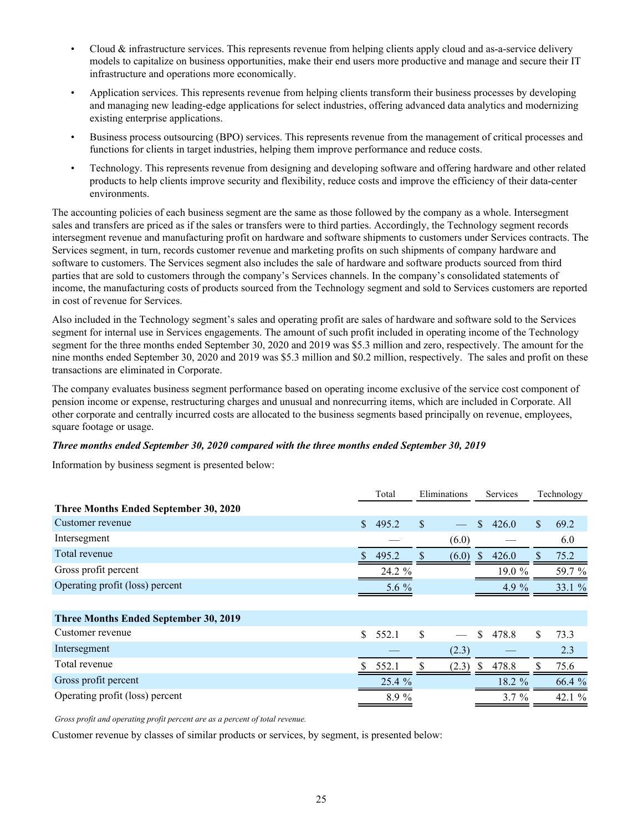- Cloud  $\&$  infrastructure services. This represents revenue from helping clients apply cloud and as-a-service delivery models to capitalize on business opportunities, make their end users more productive and manage and secure their IT infrastructure and operations more economically.
- Application services. This represents revenue from helping clients transform their business processes by developing and managing new leading-edge applications for select industries, offering advanced data analytics and modernizing existing enterprise applications.
- Business process outsourcing (BPO) services. This represents revenue from the management of critical processes and functions for clients in target industries, helping them improve performance and reduce costs.
- Technology. This represents revenue from designing and developing software and offering hardware and other related products to help clients improve security and flexibility, reduce costs and improve the efficiency of their data-center environments.

The accounting policies of each business segment are the same as those followed by the company as a whole. Intersegment sales and transfers are priced as if the sales or transfers were to third parties. Accordingly, the Technology segment records intersegment revenue and manufacturing profit on hardware and software shipments to customers under Services contracts. The Services segment, in turn, records customer revenue and marketing profits on such shipments of company hardware and software to customers. The Services segment also includes the sale of hardware and software products sourced from third parties that are sold to customers through the company's Services channels. In the company's consolidated statements of income, the manufacturing costs of products sourced from the Technology segment and sold to Services customers are reported in cost of revenue for Services.

Also included in the Technology segment's sales and operating profit are sales of hardware and software sold to the Services segment for internal use in Services engagements. The amount of such profit included in operating income of the Technology segment for the three months ended September 30, 2020 and 2019 was \$5.3 million and zero, respectively. The amount for the nine months ended September 30, 2020 and 2019 was \$5.3 million and \$0.2 million, respectively. The sales and profit on these transactions are eliminated in Corporate.

The company evaluates business segment performance based on operating income exclusive of the service cost component of pension income or expense, restructuring charges and unusual and nonrecurring items, which are included in Corporate. All other corporate and centrally incurred costs are allocated to the business segments based principally on revenue, employees, square footage or usage.

### *Three months ended September 30, 2020 compared with the three months ended September 30, 2019*

Information by business segment is presented below:

|                                              |               | Total   | Eliminations |       | Services     |          | Technology |        |
|----------------------------------------------|---------------|---------|--------------|-------|--------------|----------|------------|--------|
| Three Months Ended September 30, 2020        |               |         |              |       |              |          |            |        |
| Customer revenue                             | $\mathcal{S}$ | 495.2   | \$.          |       | \$           | 426.0    | \$.        | 69.2   |
| Intersegment                                 |               |         |              | (6.0) |              |          |            | 6.0    |
| Total revenue                                | S.            | 495.2   | S            | (6.0) | <sup>S</sup> | 426.0    | S          | 75.2   |
| Gross profit percent                         |               | 24.2 %  |              |       |              | 19.0 %   |            | 59.7 % |
| Operating profit (loss) percent              |               | 5.6 $%$ |              |       |              | 4.9 $%$  |            | 33.1 % |
|                                              |               |         |              |       |              |          |            |        |
| <b>Three Months Ended September 30, 2019</b> |               |         |              |       |              |          |            |        |
| Customer revenue                             | \$            | 552.1   | \$           |       | \$           | 478.8    | \$         | 73.3   |
| Intersegment                                 |               |         |              | (2.3) |              |          |            | 2.3    |
| Total revenue                                | S.            | 552.1   |              | (2.3) | £.           | 478.8    |            | 75.6   |
| Gross profit percent                         |               | 25.4 %  |              |       |              | 18.2 %   |            | 66.4 % |
| Operating profit (loss) percent              |               | 8.9%    |              |       |              | $3.7 \%$ |            | 42.1 % |

*Gross profit and operating profit percent are as a percent of total revenue.*

Customer revenue by classes of similar products or services, by segment, is presented below: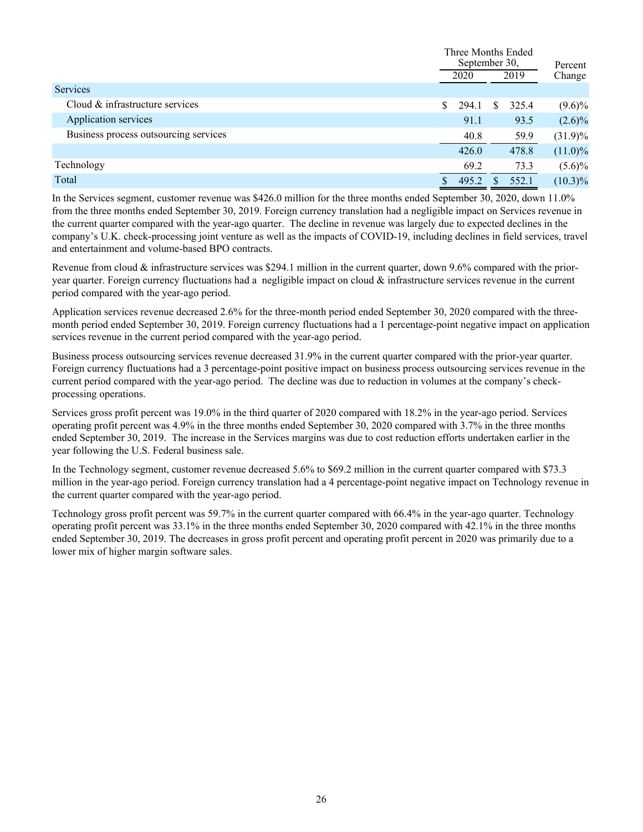|                                       |    | Three Months Ended<br>September 30, |    |       | Percent    |  |
|---------------------------------------|----|-------------------------------------|----|-------|------------|--|
|                                       |    | 2020                                |    | 2019  | Change     |  |
| Services                              |    |                                     |    |       |            |  |
| Cloud & infrastructure services       | S. | 294.1                               | S. | 325.4 | $(9.6)\%$  |  |
| Application services                  |    | 91.1                                |    | 93.5  | $(2.6)\%$  |  |
| Business process outsourcing services |    | 40.8                                |    | 59.9  | $(31.9)\%$ |  |
|                                       |    | 426.0                               |    | 478.8 | $(11.0)\%$ |  |
| Technology                            |    | 69.2                                |    | 73.3  | $(5.6)\%$  |  |
| Total                                 |    | 495.2                               |    | 552.1 | $(10.3)\%$ |  |

In the Services segment, customer revenue was \$426.0 million for the three months ended September 30, 2020, down 11.0% from the three months ended September 30, 2019. Foreign currency translation had a negligible impact on Services revenue in the current quarter compared with the year-ago quarter. The decline in revenue was largely due to expected declines in the company's U.K. check-processing joint venture as well as the impacts of COVID-19, including declines in field services, travel and entertainment and volume-based BPO contracts.

Revenue from cloud & infrastructure services was \$294.1 million in the current quarter, down 9.6% compared with the prioryear quarter. Foreign currency fluctuations had a negligible impact on cloud  $\&$  infrastructure services revenue in the current period compared with the year-ago period.

Application services revenue decreased 2.6% for the three-month period ended September 30, 2020 compared with the threemonth period ended September 30, 2019. Foreign currency fluctuations had a 1 percentage-point negative impact on application services revenue in the current period compared with the year-ago period.

Business process outsourcing services revenue decreased 31.9% in the current quarter compared with the prior-year quarter. Foreign currency fluctuations had a 3 percentage-point positive impact on business process outsourcing services revenue in the current period compared with the year-ago period. The decline was due to reduction in volumes at the company's checkprocessing operations.

Services gross profit percent was 19.0% in the third quarter of 2020 compared with 18.2% in the year-ago period. Services operating profit percent was 4.9% in the three months ended September 30, 2020 compared with 3.7% in the three months ended September 30, 2019. The increase in the Services margins was due to cost reduction efforts undertaken earlier in the year following the U.S. Federal business sale.

In the Technology segment, customer revenue decreased 5.6% to \$69.2 million in the current quarter compared with \$73.3 million in the year-ago period. Foreign currency translation had a 4 percentage-point negative impact on Technology revenue in the current quarter compared with the year-ago period.

Technology gross profit percent was 59.7% in the current quarter compared with 66.4% in the year-ago quarter. Technology operating profit percent was 33.1% in the three months ended September 30, 2020 compared with 42.1% in the three months ended September 30, 2019. The decreases in gross profit percent and operating profit percent in 2020 was primarily due to a lower mix of higher margin software sales.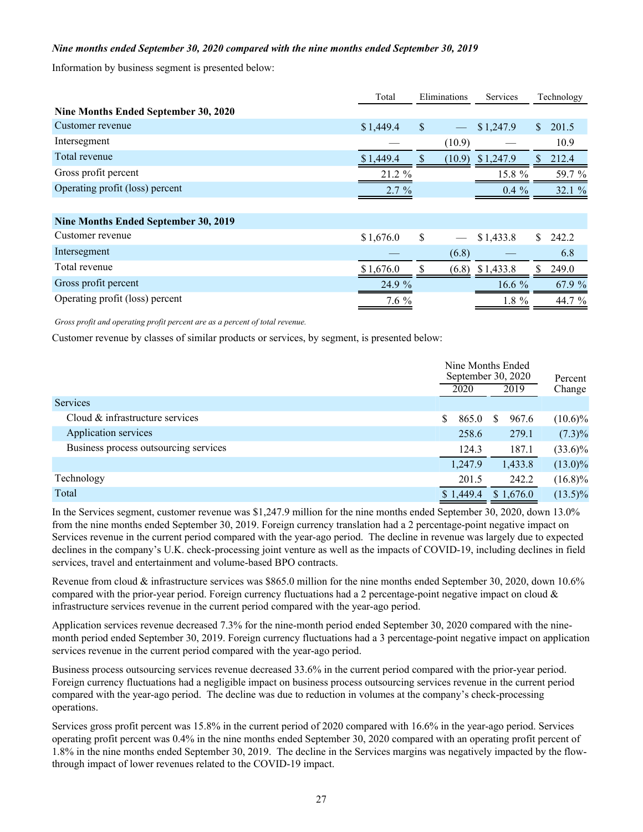### *Nine months ended September 30, 2020 compared with the nine months ended September 30, 2019*

Information by business segment is presented below:

|                                      | Total     | Eliminations | <b>Services</b>    | Technology   |        |
|--------------------------------------|-----------|--------------|--------------------|--------------|--------|
| Nine Months Ended September 30, 2020 |           |              |                    |              |        |
| Customer revenue                     | \$1,449.4 | $\mathbb{S}$ | \$1,247.9          | $\mathbf{s}$ | 201.5  |
| Intersegment                         |           | (10.9)       |                    |              | 10.9   |
| Total revenue                        | \$1,449.4 |              | $(10.9)$ \$1,247.9 |              | 212.4  |
| Gross profit percent                 | 21.2 %    |              | 15.8 %             |              | 59.7 % |
| Operating profit (loss) percent      | $2.7\%$   |              | $0.4\%$            |              | 32.1 % |
|                                      |           |              |                    |              |        |
| Nine Months Ended September 30, 2019 |           |              |                    |              |        |
| Customer revenue                     | \$1,676.0 | \$           | \$1,433.8          | S.           | 242.2  |
| Intersegment                         |           | (6.8)        |                    |              | 6.8    |
| Total revenue                        | \$1,676.0 |              | $(6.8)$ \$1,433.8  |              | 249.0  |
| Gross profit percent                 | 24.9 %    |              | 16.6 $%$           |              | 67.9 % |
| Operating profit (loss) percent      | $7.6\%$   |              | $1.8 \%$           |              | 44.7 % |

*Gross profit and operating profit percent are as a percent of total revenue.*

Customer revenue by classes of similar products or services, by segment, is presented below:

|                                       | Nine Months Ended<br>September 30, 2020 | Percent     |            |  |
|---------------------------------------|-----------------------------------------|-------------|------------|--|
|                                       | 2020                                    | 2019        | Change     |  |
| <b>Services</b>                       |                                         |             |            |  |
| Cloud & infrastructure services       | <sup>S</sup><br>865.0                   | 967.6<br>S. | $(10.6)\%$ |  |
| Application services                  | 258.6                                   | 279.1       | $(7.3)\%$  |  |
| Business process outsourcing services | 124.3                                   | 187.1       | $(33.6)\%$ |  |
|                                       | 1,247.9                                 | 1,433.8     | $(13.0)\%$ |  |
| Technology                            | 201.5                                   | 242.2       | $(16.8)\%$ |  |
| Total                                 | \$1,449.4                               | \$1,676.0   | $(13.5)\%$ |  |
|                                       |                                         |             |            |  |

In the Services segment, customer revenue was \$1,247.9 million for the nine months ended September 30, 2020, down 13.0% from the nine months ended September 30, 2019. Foreign currency translation had a 2 percentage-point negative impact on Services revenue in the current period compared with the year-ago period. The decline in revenue was largely due to expected declines in the company's U.K. check-processing joint venture as well as the impacts of COVID-19, including declines in field services, travel and entertainment and volume-based BPO contracts.

Revenue from cloud & infrastructure services was \$865.0 million for the nine months ended September 30, 2020, down 10.6% compared with the prior-year period. Foreign currency fluctuations had a 2 percentage-point negative impact on cloud  $\&$ infrastructure services revenue in the current period compared with the year-ago period.

Application services revenue decreased 7.3% for the nine-month period ended September 30, 2020 compared with the ninemonth period ended September 30, 2019. Foreign currency fluctuations had a 3 percentage-point negative impact on application services revenue in the current period compared with the year-ago period.

Business process outsourcing services revenue decreased 33.6% in the current period compared with the prior-year period. Foreign currency fluctuations had a negligible impact on business process outsourcing services revenue in the current period compared with the year-ago period. The decline was due to reduction in volumes at the company's check-processing operations.

Services gross profit percent was 15.8% in the current period of 2020 compared with 16.6% in the year-ago period. Services operating profit percent was 0.4% in the nine months ended September 30, 2020 compared with an operating profit percent of 1.8% in the nine months ended September 30, 2019. The decline in the Services margins was negatively impacted by the flowthrough impact of lower revenues related to the COVID-19 impact.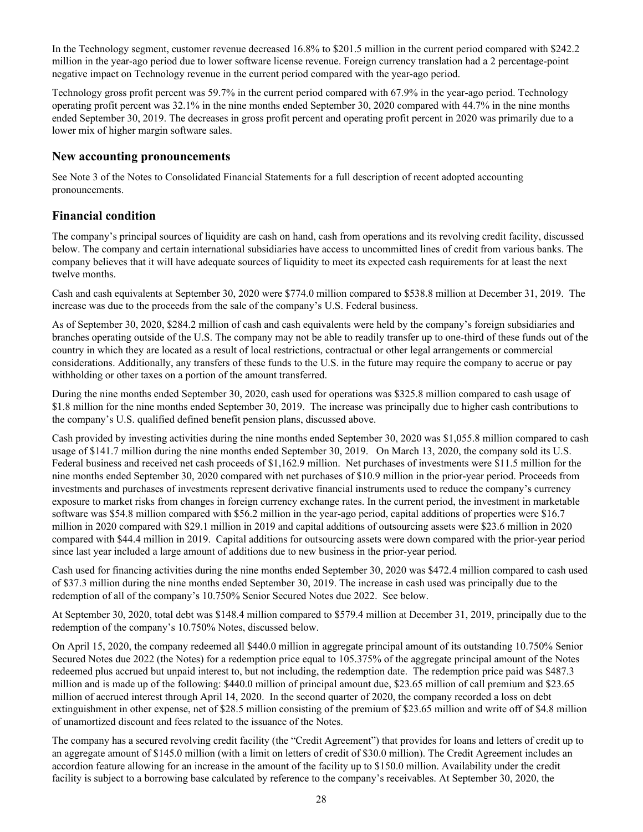In the Technology segment, customer revenue decreased 16.8% to \$201.5 million in the current period compared with \$242.2 million in the year-ago period due to lower software license revenue. Foreign currency translation had a 2 percentage-point negative impact on Technology revenue in the current period compared with the year-ago period.

Technology gross profit percent was 59.7% in the current period compared with 67.9% in the year-ago period. Technology operating profit percent was 32.1% in the nine months ended September 30, 2020 compared with 44.7% in the nine months ended September 30, 2019. The decreases in gross profit percent and operating profit percent in 2020 was primarily due to a lower mix of higher margin software sales.

### **New accounting pronouncements**

See Note 3 of the Notes to Consolidated Financial Statements for a full description of recent adopted accounting pronouncements.

# **Financial condition**

The company's principal sources of liquidity are cash on hand, cash from operations and its revolving credit facility, discussed below. The company and certain international subsidiaries have access to uncommitted lines of credit from various banks. The company believes that it will have adequate sources of liquidity to meet its expected cash requirements for at least the next twelve months.

Cash and cash equivalents at September 30, 2020 were \$774.0 million compared to \$538.8 million at December 31, 2019. The increase was due to the proceeds from the sale of the company's U.S. Federal business.

As of September 30, 2020, \$284.2 million of cash and cash equivalents were held by the company's foreign subsidiaries and branches operating outside of the U.S. The company may not be able to readily transfer up to one-third of these funds out of the country in which they are located as a result of local restrictions, contractual or other legal arrangements or commercial considerations. Additionally, any transfers of these funds to the U.S. in the future may require the company to accrue or pay withholding or other taxes on a portion of the amount transferred.

During the nine months ended September 30, 2020, cash used for operations was \$325.8 million compared to cash usage of \$1.8 million for the nine months ended September 30, 2019. The increase was principally due to higher cash contributions to the company's U.S. qualified defined benefit pension plans, discussed above.

Cash provided by investing activities during the nine months ended September 30, 2020 was \$1,055.8 million compared to cash usage of \$141.7 million during the nine months ended September 30, 2019. On March 13, 2020, the company sold its U.S. Federal business and received net cash proceeds of \$1,162.9 million. Net purchases of investments were \$11.5 million for the nine months ended September 30, 2020 compared with net purchases of \$10.9 million in the prior-year period. Proceeds from investments and purchases of investments represent derivative financial instruments used to reduce the company's currency exposure to market risks from changes in foreign currency exchange rates. In the current period, the investment in marketable software was \$54.8 million compared with \$56.2 million in the year-ago period, capital additions of properties were \$16.7 million in 2020 compared with \$29.1 million in 2019 and capital additions of outsourcing assets were \$23.6 million in 2020 compared with \$44.4 million in 2019. Capital additions for outsourcing assets were down compared with the prior-year period since last year included a large amount of additions due to new business in the prior-year period.

Cash used for financing activities during the nine months ended September 30, 2020 was \$472.4 million compared to cash used of \$37.3 million during the nine months ended September 30, 2019. The increase in cash used was principally due to the redemption of all of the company's 10.750% Senior Secured Notes due 2022. See below.

At September 30, 2020, total debt was \$148.4 million compared to \$579.4 million at December 31, 2019, principally due to the redemption of the company's 10.750% Notes, discussed below.

On April 15, 2020, the company redeemed all \$440.0 million in aggregate principal amount of its outstanding 10.750% Senior Secured Notes due 2022 (the Notes) for a redemption price equal to 105.375% of the aggregate principal amount of the Notes redeemed plus accrued but unpaid interest to, but not including, the redemption date. The redemption price paid was \$487.3 million and is made up of the following: \$440.0 million of principal amount due, \$23.65 million of call premium and \$23.65 million of accrued interest through April 14, 2020. In the second quarter of 2020, the company recorded a loss on debt extinguishment in other expense, net of \$28.5 million consisting of the premium of \$23.65 million and write off of \$4.8 million of unamortized discount and fees related to the issuance of the Notes.

The company has a secured revolving credit facility (the "Credit Agreement") that provides for loans and letters of credit up to an aggregate amount of \$145.0 million (with a limit on letters of credit of \$30.0 million). The Credit Agreement includes an accordion feature allowing for an increase in the amount of the facility up to \$150.0 million. Availability under the credit facility is subject to a borrowing base calculated by reference to the company's receivables. At September 30, 2020, the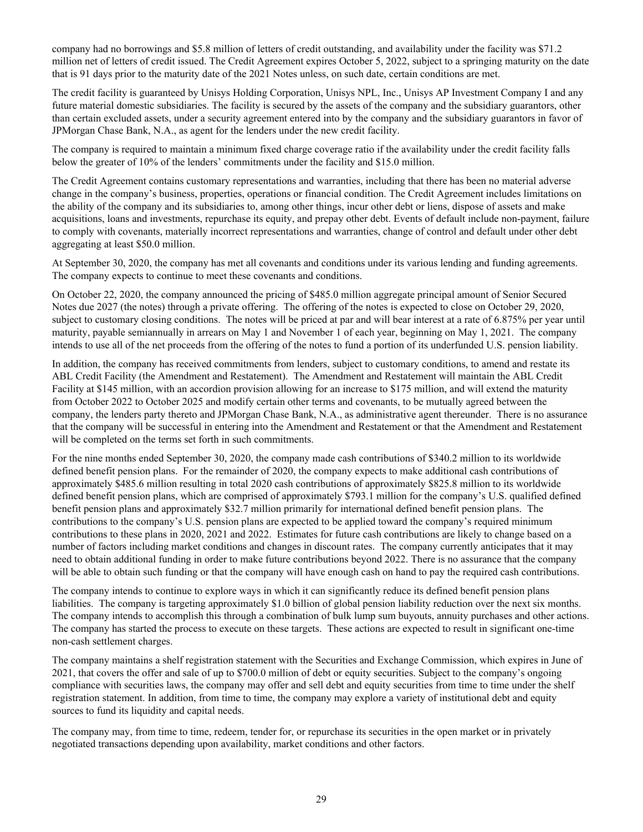company had no borrowings and \$5.8 million of letters of credit outstanding, and availability under the facility was \$71.2 million net of letters of credit issued. The Credit Agreement expires October 5, 2022, subject to a springing maturity on the date that is 91 days prior to the maturity date of the 2021 Notes unless, on such date, certain conditions are met.

The credit facility is guaranteed by Unisys Holding Corporation, Unisys NPL, Inc., Unisys AP Investment Company I and any future material domestic subsidiaries. The facility is secured by the assets of the company and the subsidiary guarantors, other than certain excluded assets, under a security agreement entered into by the company and the subsidiary guarantors in favor of JPMorgan Chase Bank, N.A., as agent for the lenders under the new credit facility.

The company is required to maintain a minimum fixed charge coverage ratio if the availability under the credit facility falls below the greater of 10% of the lenders' commitments under the facility and \$15.0 million.

The Credit Agreement contains customary representations and warranties, including that there has been no material adverse change in the company's business, properties, operations or financial condition. The Credit Agreement includes limitations on the ability of the company and its subsidiaries to, among other things, incur other debt or liens, dispose of assets and make acquisitions, loans and investments, repurchase its equity, and prepay other debt. Events of default include non-payment, failure to comply with covenants, materially incorrect representations and warranties, change of control and default under other debt aggregating at least \$50.0 million.

At September 30, 2020, the company has met all covenants and conditions under its various lending and funding agreements. The company expects to continue to meet these covenants and conditions.

On October 22, 2020, the company announced the pricing of \$485.0 million aggregate principal amount of Senior Secured Notes due 2027 (the notes) through a private offering. The offering of the notes is expected to close on October 29, 2020, subject to customary closing conditions. The notes will be priced at par and will bear interest at a rate of 6.875% per year until maturity, payable semiannually in arrears on May 1 and November 1 of each year, beginning on May 1, 2021. The company intends to use all of the net proceeds from the offering of the notes to fund a portion of its underfunded U.S. pension liability.

In addition, the company has received commitments from lenders, subject to customary conditions, to amend and restate its ABL Credit Facility (the Amendment and Restatement). The Amendment and Restatement will maintain the ABL Credit Facility at \$145 million, with an accordion provision allowing for an increase to \$175 million, and will extend the maturity from October 2022 to October 2025 and modify certain other terms and covenants, to be mutually agreed between the company, the lenders party thereto and JPMorgan Chase Bank, N.A., as administrative agent thereunder. There is no assurance that the company will be successful in entering into the Amendment and Restatement or that the Amendment and Restatement will be completed on the terms set forth in such commitments.

For the nine months ended September 30, 2020, the company made cash contributions of \$340.2 million to its worldwide defined benefit pension plans. For the remainder of 2020, the company expects to make additional cash contributions of approximately \$485.6 million resulting in total 2020 cash contributions of approximately \$825.8 million to its worldwide defined benefit pension plans, which are comprised of approximately \$793.1 million for the company's U.S. qualified defined benefit pension plans and approximately \$32.7 million primarily for international defined benefit pension plans. The contributions to the company's U.S. pension plans are expected to be applied toward the company's required minimum contributions to these plans in 2020, 2021 and 2022. Estimates for future cash contributions are likely to change based on a number of factors including market conditions and changes in discount rates. The company currently anticipates that it may need to obtain additional funding in order to make future contributions beyond 2022. There is no assurance that the company will be able to obtain such funding or that the company will have enough cash on hand to pay the required cash contributions.

The company intends to continue to explore ways in which it can significantly reduce its defined benefit pension plans liabilities. The company is targeting approximately \$1.0 billion of global pension liability reduction over the next six months. The company intends to accomplish this through a combination of bulk lump sum buyouts, annuity purchases and other actions. The company has started the process to execute on these targets. These actions are expected to result in significant one-time non-cash settlement charges.

The company maintains a shelf registration statement with the Securities and Exchange Commission, which expires in June of 2021, that covers the offer and sale of up to \$700.0 million of debt or equity securities. Subject to the company's ongoing compliance with securities laws, the company may offer and sell debt and equity securities from time to time under the shelf registration statement. In addition, from time to time, the company may explore a variety of institutional debt and equity sources to fund its liquidity and capital needs.

The company may, from time to time, redeem, tender for, or repurchase its securities in the open market or in privately negotiated transactions depending upon availability, market conditions and other factors.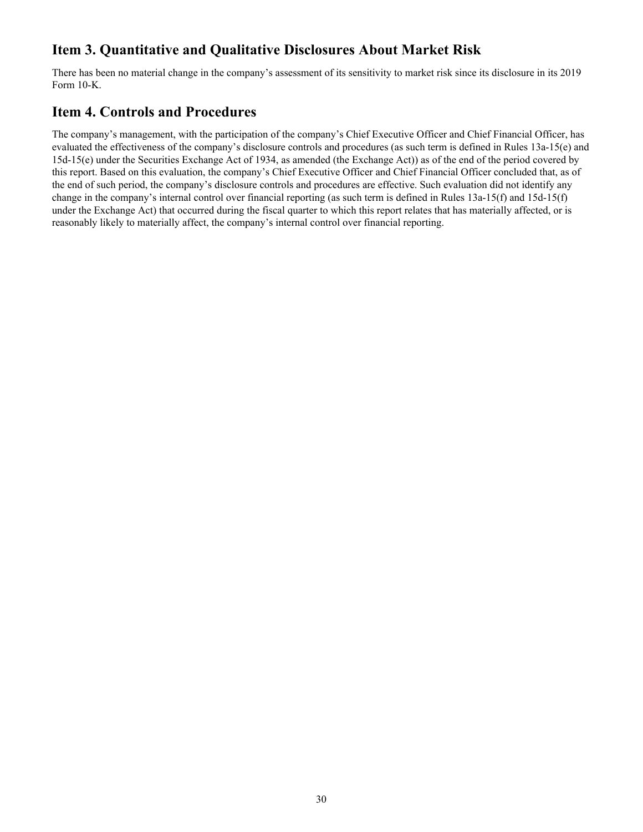# <span id="page-30-0"></span>**Item 3. Quantitative and Qualitative Disclosures About Market Risk**

There has been no material change in the company's assessment of its sensitivity to market risk since its disclosure in its 2019 Form 10-K.

# **Item 4. Controls and Procedures**

The company's management, with the participation of the company's Chief Executive Officer and Chief Financial Officer, has evaluated the effectiveness of the company's disclosure controls and procedures (as such term is defined in Rules 13a-15(e) and 15d-15(e) under the Securities Exchange Act of 1934, as amended (the Exchange Act)) as of the end of the period covered by this report. Based on this evaluation, the company's Chief Executive Officer and Chief Financial Officer concluded that, as of the end of such period, the company's disclosure controls and procedures are effective. Such evaluation did not identify any change in the company's internal control over financial reporting (as such term is defined in Rules 13a-15(f) and 15d-15(f) under the Exchange Act) that occurred during the fiscal quarter to which this report relates that has materially affected, or is reasonably likely to materially affect, the company's internal control over financial reporting.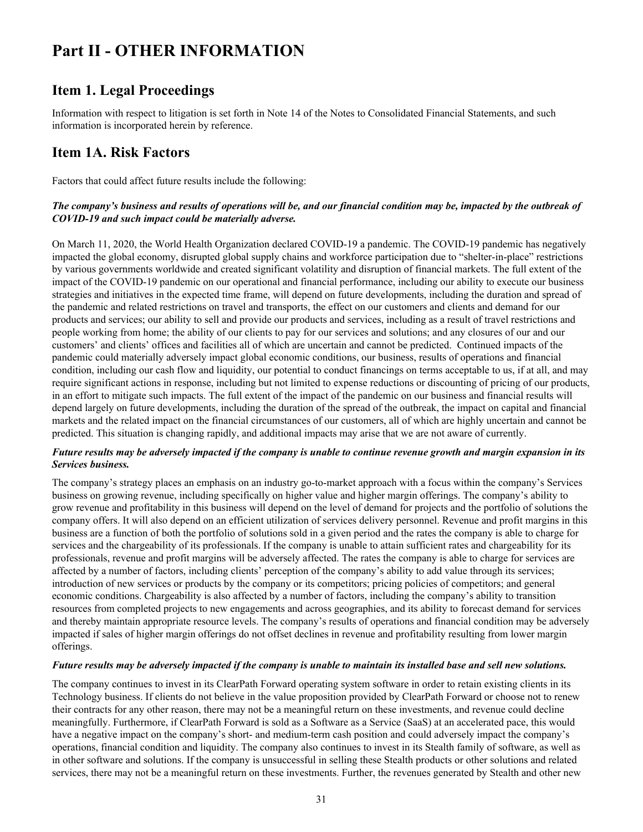# <span id="page-31-0"></span>**Part II - OTHER INFORMATION**

# **Item 1. Legal Proceedings**

Information with respect to litigation is set forth in Note 14 of the Notes to Consolidated Financial Statements, and such information is incorporated herein by reference.

# **Item 1A. Risk Factors**

Factors that could affect future results include the following:

### *The company's business and results of operations will be, and our financial condition may be, impacted by the outbreak of COVID-19 and such impact could be materially adverse.*

On March 11, 2020, the World Health Organization declared COVID-19 a pandemic. The COVID-19 pandemic has negatively impacted the global economy, disrupted global supply chains and workforce participation due to "shelter-in-place" restrictions by various governments worldwide and created significant volatility and disruption of financial markets. The full extent of the impact of the COVID-19 pandemic on our operational and financial performance, including our ability to execute our business strategies and initiatives in the expected time frame, will depend on future developments, including the duration and spread of the pandemic and related restrictions on travel and transports, the effect on our customers and clients and demand for our products and services; our ability to sell and provide our products and services, including as a result of travel restrictions and people working from home; the ability of our clients to pay for our services and solutions; and any closures of our and our customers' and clients' offices and facilities all of which are uncertain and cannot be predicted. Continued impacts of the pandemic could materially adversely impact global economic conditions, our business, results of operations and financial condition, including our cash flow and liquidity, our potential to conduct financings on terms acceptable to us, if at all, and may require significant actions in response, including but not limited to expense reductions or discounting of pricing of our products, in an effort to mitigate such impacts. The full extent of the impact of the pandemic on our business and financial results will depend largely on future developments, including the duration of the spread of the outbreak, the impact on capital and financial markets and the related impact on the financial circumstances of our customers, all of which are highly uncertain and cannot be predicted. This situation is changing rapidly, and additional impacts may arise that we are not aware of currently.

### *Future results may be adversely impacted if the company is unable to continue revenue growth and margin expansion in its Services business.*

The company's strategy places an emphasis on an industry go-to-market approach with a focus within the company's Services business on growing revenue, including specifically on higher value and higher margin offerings. The company's ability to grow revenue and profitability in this business will depend on the level of demand for projects and the portfolio of solutions the company offers. It will also depend on an efficient utilization of services delivery personnel. Revenue and profit margins in this business are a function of both the portfolio of solutions sold in a given period and the rates the company is able to charge for services and the chargeability of its professionals. If the company is unable to attain sufficient rates and chargeability for its professionals, revenue and profit margins will be adversely affected. The rates the company is able to charge for services are affected by a number of factors, including clients' perception of the company's ability to add value through its services; introduction of new services or products by the company or its competitors; pricing policies of competitors; and general economic conditions. Chargeability is also affected by a number of factors, including the company's ability to transition resources from completed projects to new engagements and across geographies, and its ability to forecast demand for services and thereby maintain appropriate resource levels. The company's results of operations and financial condition may be adversely impacted if sales of higher margin offerings do not offset declines in revenue and profitability resulting from lower margin offerings.

### *Future results may be adversely impacted if the company is unable to maintain its installed base and sell new solutions.*

The company continues to invest in its ClearPath Forward operating system software in order to retain existing clients in its Technology business. If clients do not believe in the value proposition provided by ClearPath Forward or choose not to renew their contracts for any other reason, there may not be a meaningful return on these investments, and revenue could decline meaningfully. Furthermore, if ClearPath Forward is sold as a Software as a Service (SaaS) at an accelerated pace, this would have a negative impact on the company's short- and medium-term cash position and could adversely impact the company's operations, financial condition and liquidity. The company also continues to invest in its Stealth family of software, as well as in other software and solutions. If the company is unsuccessful in selling these Stealth products or other solutions and related services, there may not be a meaningful return on these investments. Further, the revenues generated by Stealth and other new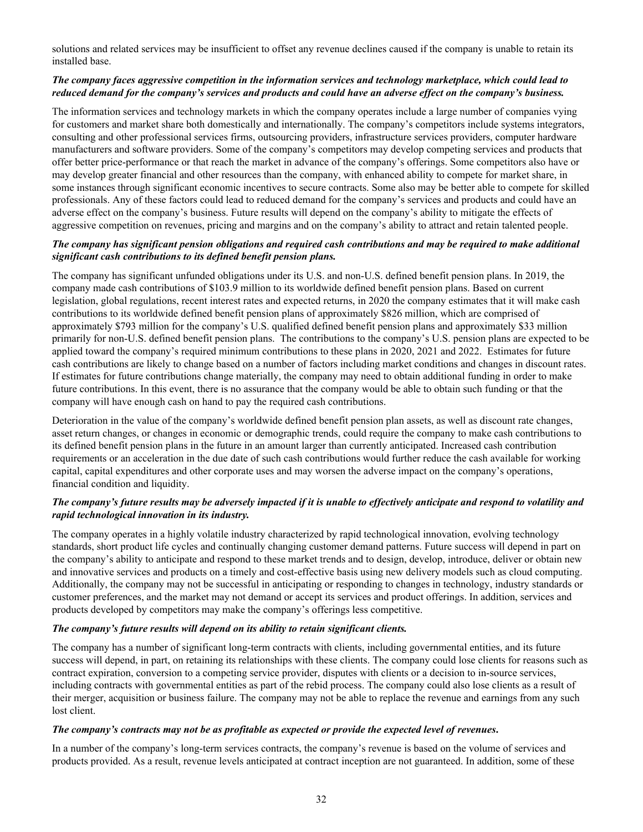solutions and related services may be insufficient to offset any revenue declines caused if the company is unable to retain its installed base.

### *The company faces aggressive competition in the information services and technology marketplace, which could lead to reduced demand for the company's services and products and could have an adverse effect on the company's business.*

The information services and technology markets in which the company operates include a large number of companies vying for customers and market share both domestically and internationally. The company's competitors include systems integrators, consulting and other professional services firms, outsourcing providers, infrastructure services providers, computer hardware manufacturers and software providers. Some of the company's competitors may develop competing services and products that offer better price-performance or that reach the market in advance of the company's offerings. Some competitors also have or may develop greater financial and other resources than the company, with enhanced ability to compete for market share, in some instances through significant economic incentives to secure contracts. Some also may be better able to compete for skilled professionals. Any of these factors could lead to reduced demand for the company's services and products and could have an adverse effect on the company's business. Future results will depend on the company's ability to mitigate the effects of aggressive competition on revenues, pricing and margins and on the company's ability to attract and retain talented people.

### *The company has significant pension obligations and required cash contributions and may be required to make additional significant cash contributions to its defined benefit pension plans.*

The company has significant unfunded obligations under its U.S. and non-U.S. defined benefit pension plans. In 2019, the company made cash contributions of \$103.9 million to its worldwide defined benefit pension plans. Based on current legislation, global regulations, recent interest rates and expected returns, in 2020 the company estimates that it will make cash contributions to its worldwide defined benefit pension plans of approximately \$826 million, which are comprised of approximately \$793 million for the company's U.S. qualified defined benefit pension plans and approximately \$33 million primarily for non-U.S. defined benefit pension plans. The contributions to the company's U.S. pension plans are expected to be applied toward the company's required minimum contributions to these plans in 2020, 2021 and 2022. Estimates for future cash contributions are likely to change based on a number of factors including market conditions and changes in discount rates. If estimates for future contributions change materially, the company may need to obtain additional funding in order to make future contributions. In this event, there is no assurance that the company would be able to obtain such funding or that the company will have enough cash on hand to pay the required cash contributions.

Deterioration in the value of the company's worldwide defined benefit pension plan assets, as well as discount rate changes, asset return changes, or changes in economic or demographic trends, could require the company to make cash contributions to its defined benefit pension plans in the future in an amount larger than currently anticipated. Increased cash contribution requirements or an acceleration in the due date of such cash contributions would further reduce the cash available for working capital, capital expenditures and other corporate uses and may worsen the adverse impact on the company's operations, financial condition and liquidity.

### *The company's future results may be adversely impacted if it is unable to effectively anticipate and respond to volatility and rapid technological innovation in its industry.*

The company operates in a highly volatile industry characterized by rapid technological innovation, evolving technology standards, short product life cycles and continually changing customer demand patterns. Future success will depend in part on the company's ability to anticipate and respond to these market trends and to design, develop, introduce, deliver or obtain new and innovative services and products on a timely and cost-effective basis using new delivery models such as cloud computing. Additionally, the company may not be successful in anticipating or responding to changes in technology, industry standards or customer preferences, and the market may not demand or accept its services and product offerings. In addition, services and products developed by competitors may make the company's offerings less competitive.

### *The company's future results will depend on its ability to retain significant clients.*

The company has a number of significant long-term contracts with clients, including governmental entities, and its future success will depend, in part, on retaining its relationships with these clients. The company could lose clients for reasons such as contract expiration, conversion to a competing service provider, disputes with clients or a decision to in-source services, including contracts with governmental entities as part of the rebid process. The company could also lose clients as a result of their merger, acquisition or business failure. The company may not be able to replace the revenue and earnings from any such lost client.

### *The company's contracts may not be as profitable as expected or provide the expected level of revenues***.**

In a number of the company's long-term services contracts, the company's revenue is based on the volume of services and products provided. As a result, revenue levels anticipated at contract inception are not guaranteed. In addition, some of these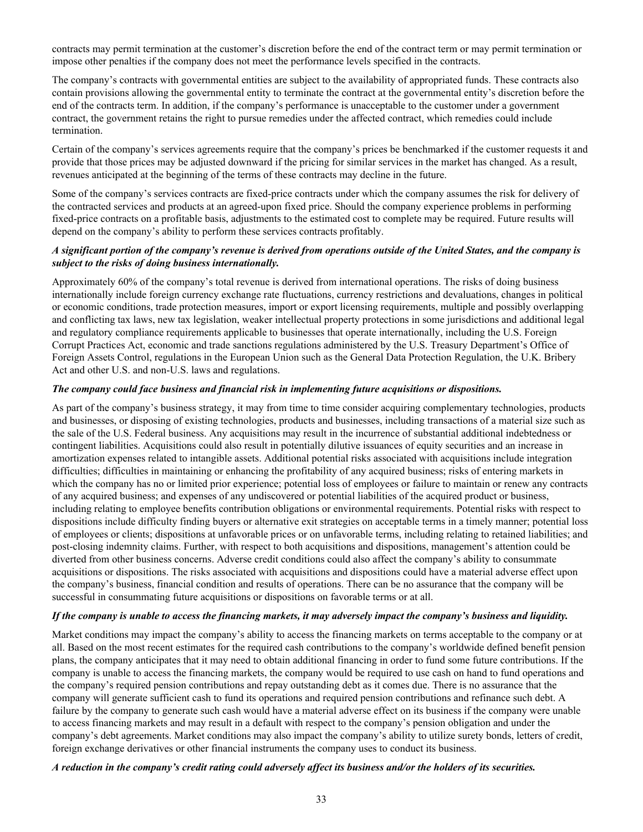contracts may permit termination at the customer's discretion before the end of the contract term or may permit termination or impose other penalties if the company does not meet the performance levels specified in the contracts.

The company's contracts with governmental entities are subject to the availability of appropriated funds. These contracts also contain provisions allowing the governmental entity to terminate the contract at the governmental entity's discretion before the end of the contracts term. In addition, if the company's performance is unacceptable to the customer under a government contract, the government retains the right to pursue remedies under the affected contract, which remedies could include termination.

Certain of the company's services agreements require that the company's prices be benchmarked if the customer requests it and provide that those prices may be adjusted downward if the pricing for similar services in the market has changed. As a result, revenues anticipated at the beginning of the terms of these contracts may decline in the future.

Some of the company's services contracts are fixed-price contracts under which the company assumes the risk for delivery of the contracted services and products at an agreed-upon fixed price. Should the company experience problems in performing fixed-price contracts on a profitable basis, adjustments to the estimated cost to complete may be required. Future results will depend on the company's ability to perform these services contracts profitably.

### *A significant portion of the company's revenue is derived from operations outside of the United States, and the company is subject to the risks of doing business internationally.*

Approximately 60% of the company's total revenue is derived from international operations. The risks of doing business internationally include foreign currency exchange rate fluctuations, currency restrictions and devaluations, changes in political or economic conditions, trade protection measures, import or export licensing requirements, multiple and possibly overlapping and conflicting tax laws, new tax legislation, weaker intellectual property protections in some jurisdictions and additional legal and regulatory compliance requirements applicable to businesses that operate internationally, including the U.S. Foreign Corrupt Practices Act, economic and trade sanctions regulations administered by the U.S. Treasury Department's Office of Foreign Assets Control, regulations in the European Union such as the General Data Protection Regulation, the U.K. Bribery Act and other U.S. and non-U.S. laws and regulations.

#### *The company could face business and financial risk in implementing future acquisitions or dispositions.*

As part of the company's business strategy, it may from time to time consider acquiring complementary technologies, products and businesses, or disposing of existing technologies, products and businesses, including transactions of a material size such as the sale of the U.S. Federal business. Any acquisitions may result in the incurrence of substantial additional indebtedness or contingent liabilities. Acquisitions could also result in potentially dilutive issuances of equity securities and an increase in amortization expenses related to intangible assets. Additional potential risks associated with acquisitions include integration difficulties; difficulties in maintaining or enhancing the profitability of any acquired business; risks of entering markets in which the company has no or limited prior experience; potential loss of employees or failure to maintain or renew any contracts of any acquired business; and expenses of any undiscovered or potential liabilities of the acquired product or business, including relating to employee benefits contribution obligations or environmental requirements. Potential risks with respect to dispositions include difficulty finding buyers or alternative exit strategies on acceptable terms in a timely manner; potential loss of employees or clients; dispositions at unfavorable prices or on unfavorable terms, including relating to retained liabilities; and post-closing indemnity claims. Further, with respect to both acquisitions and dispositions, management's attention could be diverted from other business concerns. Adverse credit conditions could also affect the company's ability to consummate acquisitions or dispositions. The risks associated with acquisitions and dispositions could have a material adverse effect upon the company's business, financial condition and results of operations. There can be no assurance that the company will be successful in consummating future acquisitions or dispositions on favorable terms or at all.

#### *If the company is unable to access the financing markets, it may adversely impact the company's business and liquidity.*

Market conditions may impact the company's ability to access the financing markets on terms acceptable to the company or at all. Based on the most recent estimates for the required cash contributions to the company's worldwide defined benefit pension plans, the company anticipates that it may need to obtain additional financing in order to fund some future contributions. If the company is unable to access the financing markets, the company would be required to use cash on hand to fund operations and the company's required pension contributions and repay outstanding debt as it comes due. There is no assurance that the company will generate sufficient cash to fund its operations and required pension contributions and refinance such debt. A failure by the company to generate such cash would have a material adverse effect on its business if the company were unable to access financing markets and may result in a default with respect to the company's pension obligation and under the company's debt agreements. Market conditions may also impact the company's ability to utilize surety bonds, letters of credit, foreign exchange derivatives or other financial instruments the company uses to conduct its business.

#### *A reduction in the company's credit rating could adversely affect its business and/or the holders of its securities.*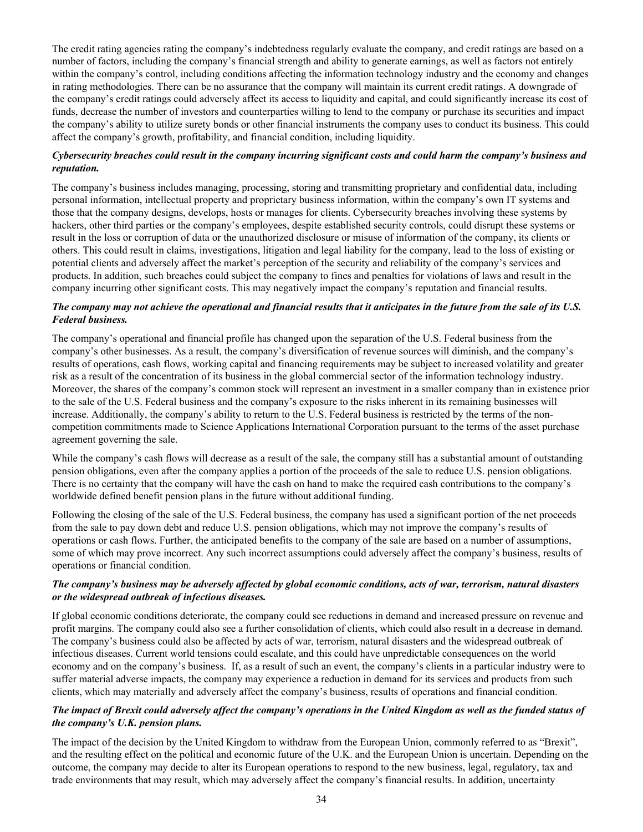The credit rating agencies rating the company's indebtedness regularly evaluate the company, and credit ratings are based on a number of factors, including the company's financial strength and ability to generate earnings, as well as factors not entirely within the company's control, including conditions affecting the information technology industry and the economy and changes in rating methodologies. There can be no assurance that the company will maintain its current credit ratings. A downgrade of the company's credit ratings could adversely affect its access to liquidity and capital, and could significantly increase its cost of funds, decrease the number of investors and counterparties willing to lend to the company or purchase its securities and impact the company's ability to utilize surety bonds or other financial instruments the company uses to conduct its business. This could affect the company's growth, profitability, and financial condition, including liquidity.

### *Cybersecurity breaches could result in the company incurring significant costs and could harm the company's business and reputation.*

The company's business includes managing, processing, storing and transmitting proprietary and confidential data, including personal information, intellectual property and proprietary business information, within the company's own IT systems and those that the company designs, develops, hosts or manages for clients. Cybersecurity breaches involving these systems by hackers, other third parties or the company's employees, despite established security controls, could disrupt these systems or result in the loss or corruption of data or the unauthorized disclosure or misuse of information of the company, its clients or others. This could result in claims, investigations, litigation and legal liability for the company, lead to the loss of existing or potential clients and adversely affect the market's perception of the security and reliability of the company's services and products. In addition, such breaches could subject the company to fines and penalties for violations of laws and result in the company incurring other significant costs. This may negatively impact the company's reputation and financial results.

### *The company may not achieve the operational and financial results that it anticipates in the future from the sale of its U.S. Federal business.*

The company's operational and financial profile has changed upon the separation of the U.S. Federal business from the company's other businesses. As a result, the company's diversification of revenue sources will diminish, and the company's results of operations, cash flows, working capital and financing requirements may be subject to increased volatility and greater risk as a result of the concentration of its business in the global commercial sector of the information technology industry. Moreover, the shares of the company's common stock will represent an investment in a smaller company than in existence prior to the sale of the U.S. Federal business and the company's exposure to the risks inherent in its remaining businesses will increase. Additionally, the company's ability to return to the U.S. Federal business is restricted by the terms of the noncompetition commitments made to Science Applications International Corporation pursuant to the terms of the asset purchase agreement governing the sale.

While the company's cash flows will decrease as a result of the sale, the company still has a substantial amount of outstanding pension obligations, even after the company applies a portion of the proceeds of the sale to reduce U.S. pension obligations. There is no certainty that the company will have the cash on hand to make the required cash contributions to the company's worldwide defined benefit pension plans in the future without additional funding.

Following the closing of the sale of the U.S. Federal business, the company has used a significant portion of the net proceeds from the sale to pay down debt and reduce U.S. pension obligations, which may not improve the company's results of operations or cash flows. Further, the anticipated benefits to the company of the sale are based on a number of assumptions, some of which may prove incorrect. Any such incorrect assumptions could adversely affect the company's business, results of operations or financial condition.

### *The company's business may be adversely affected by global economic conditions, acts of war, terrorism, natural disasters or the widespread outbreak of infectious diseases.*

If global economic conditions deteriorate, the company could see reductions in demand and increased pressure on revenue and profit margins. The company could also see a further consolidation of clients, which could also result in a decrease in demand. The company's business could also be affected by acts of war, terrorism, natural disasters and the widespread outbreak of infectious diseases. Current world tensions could escalate, and this could have unpredictable consequences on the world economy and on the company's business. If, as a result of such an event, the company's clients in a particular industry were to suffer material adverse impacts, the company may experience a reduction in demand for its services and products from such clients, which may materially and adversely affect the company's business, results of operations and financial condition.

### *The impact of Brexit could adversely affect the company's operations in the United Kingdom as well as the funded status of the company's U.K. pension plans.*

The impact of the decision by the United Kingdom to withdraw from the European Union, commonly referred to as "Brexit", and the resulting effect on the political and economic future of the U.K. and the European Union is uncertain. Depending on the outcome, the company may decide to alter its European operations to respond to the new business, legal, regulatory, tax and trade environments that may result, which may adversely affect the company's financial results. In addition, uncertainty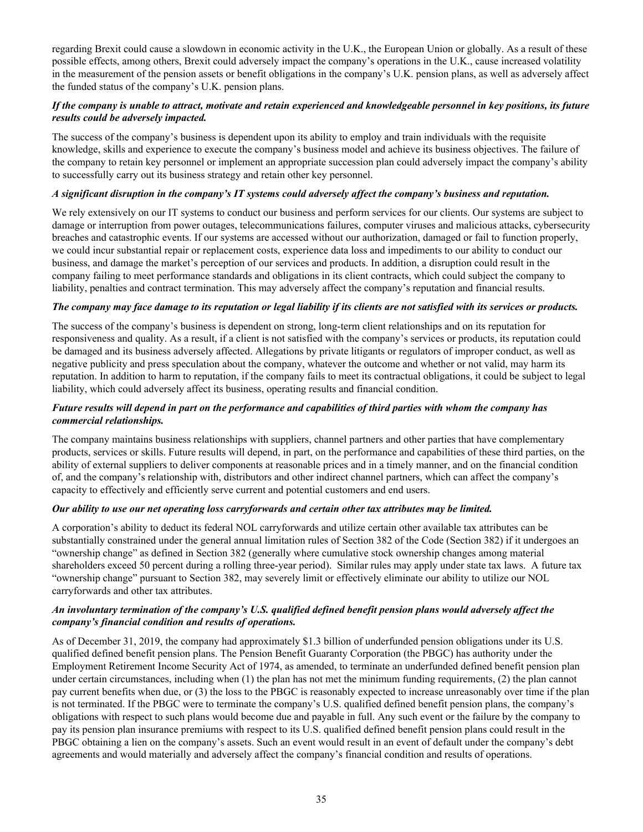regarding Brexit could cause a slowdown in economic activity in the U.K., the European Union or globally. As a result of these possible effects, among others, Brexit could adversely impact the company's operations in the U.K., cause increased volatility in the measurement of the pension assets or benefit obligations in the company's U.K. pension plans, as well as adversely affect the funded status of the company's U.K. pension plans.

### *If the company is unable to attract, motivate and retain experienced and knowledgeable personnel in key positions, its future results could be adversely impacted.*

The success of the company's business is dependent upon its ability to employ and train individuals with the requisite knowledge, skills and experience to execute the company's business model and achieve its business objectives. The failure of the company to retain key personnel or implement an appropriate succession plan could adversely impact the company's ability to successfully carry out its business strategy and retain other key personnel.

### *A significant disruption in the company's IT systems could adversely affect the company's business and reputation.*

We rely extensively on our IT systems to conduct our business and perform services for our clients. Our systems are subject to damage or interruption from power outages, telecommunications failures, computer viruses and malicious attacks, cybersecurity breaches and catastrophic events. If our systems are accessed without our authorization, damaged or fail to function properly, we could incur substantial repair or replacement costs, experience data loss and impediments to our ability to conduct our business, and damage the market's perception of our services and products. In addition, a disruption could result in the company failing to meet performance standards and obligations in its client contracts, which could subject the company to liability, penalties and contract termination. This may adversely affect the company's reputation and financial results.

### *The company may face damage to its reputation or legal liability if its clients are not satisfied with its services or products.*

The success of the company's business is dependent on strong, long-term client relationships and on its reputation for responsiveness and quality. As a result, if a client is not satisfied with the company's services or products, its reputation could be damaged and its business adversely affected. Allegations by private litigants or regulators of improper conduct, as well as negative publicity and press speculation about the company, whatever the outcome and whether or not valid, may harm its reputation. In addition to harm to reputation, if the company fails to meet its contractual obligations, it could be subject to legal liability, which could adversely affect its business, operating results and financial condition.

### *Future results will depend in part on the performance and capabilities of third parties with whom the company has commercial relationships.*

The company maintains business relationships with suppliers, channel partners and other parties that have complementary products, services or skills. Future results will depend, in part, on the performance and capabilities of these third parties, on the ability of external suppliers to deliver components at reasonable prices and in a timely manner, and on the financial condition of, and the company's relationship with, distributors and other indirect channel partners, which can affect the company's capacity to effectively and efficiently serve current and potential customers and end users.

### *Our ability to use our net operating loss carryforwards and certain other tax attributes may be limited.*

A corporation's ability to deduct its federal NOL carryforwards and utilize certain other available tax attributes can be substantially constrained under the general annual limitation rules of Section 382 of the Code (Section 382) if it undergoes an "ownership change" as defined in Section 382 (generally where cumulative stock ownership changes among material shareholders exceed 50 percent during a rolling three-year period). Similar rules may apply under state tax laws. A future tax "ownership change" pursuant to Section 382, may severely limit or effectively eliminate our ability to utilize our NOL carryforwards and other tax attributes.

### *An involuntary termination of the company's U.S. qualified defined benefit pension plans would adversely affect the company's financial condition and results of operations.*

As of December 31, 2019, the company had approximately \$1.3 billion of underfunded pension obligations under its U.S. qualified defined benefit pension plans. The Pension Benefit Guaranty Corporation (the PBGC) has authority under the Employment Retirement Income Security Act of 1974, as amended, to terminate an underfunded defined benefit pension plan under certain circumstances, including when (1) the plan has not met the minimum funding requirements, (2) the plan cannot pay current benefits when due, or (3) the loss to the PBGC is reasonably expected to increase unreasonably over time if the plan is not terminated. If the PBGC were to terminate the company's U.S. qualified defined benefit pension plans, the company's obligations with respect to such plans would become due and payable in full. Any such event or the failure by the company to pay its pension plan insurance premiums with respect to its U.S. qualified defined benefit pension plans could result in the PBGC obtaining a lien on the company's assets. Such an event would result in an event of default under the company's debt agreements and would materially and adversely affect the company's financial condition and results of operations.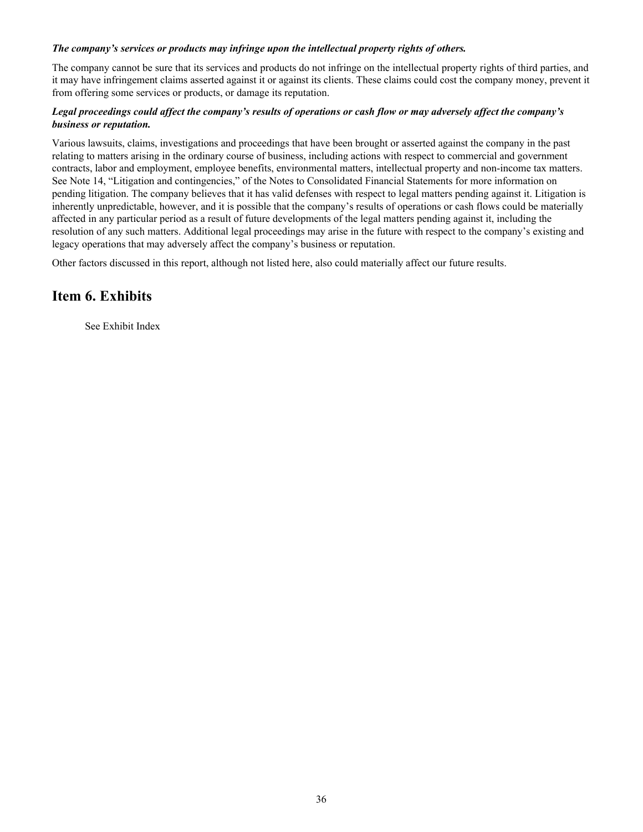### <span id="page-36-0"></span>*The company's services or products may infringe upon the intellectual property rights of others.*

The company cannot be sure that its services and products do not infringe on the intellectual property rights of third parties, and it may have infringement claims asserted against it or against its clients. These claims could cost the company money, prevent it from offering some services or products, or damage its reputation.

### *Legal proceedings could affect the company's results of operations or cash flow or may adversely affect the company's business or reputation.*

Various lawsuits, claims, investigations and proceedings that have been brought or asserted against the company in the past relating to matters arising in the ordinary course of business, including actions with respect to commercial and government contracts, labor and employment, employee benefits, environmental matters, intellectual property and non-income tax matters. See Note 14, "Litigation and contingencies," of the Notes to Consolidated Financial Statements for more information on pending litigation. The company believes that it has valid defenses with respect to legal matters pending against it. Litigation is inherently unpredictable, however, and it is possible that the company's results of operations or cash flows could be materially affected in any particular period as a result of future developments of the legal matters pending against it, including the resolution of any such matters. Additional legal proceedings may arise in the future with respect to the company's existing and legacy operations that may adversely affect the company's business or reputation.

Other factors discussed in this report, although not listed here, also could materially affect our future results.

# **Item 6. Exhibits**

See Exhibit Index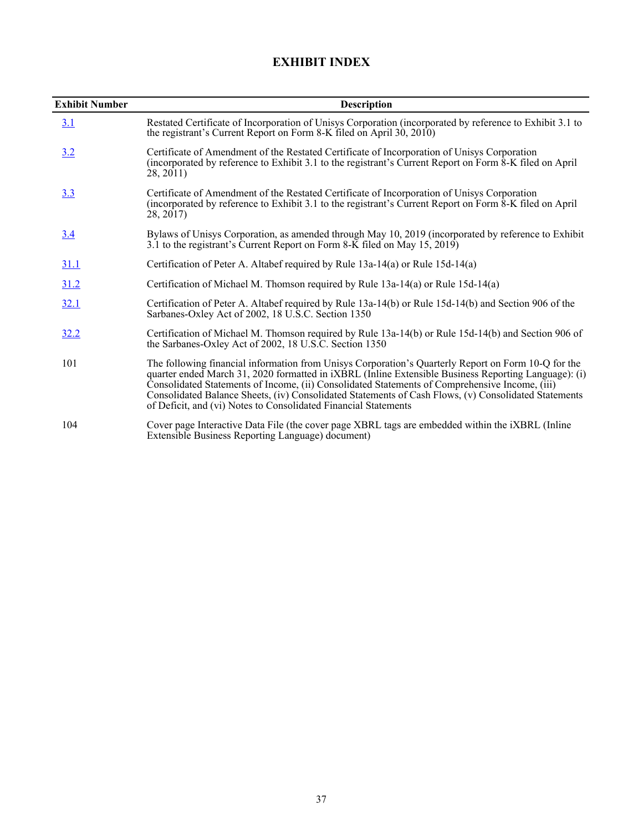# **EXHIBIT INDEX**

<span id="page-37-0"></span>

| <b>Exhibit Number</b> | <b>Description</b>                                                                                                                                                                                                                                                                                                                                                                                                                                                                              |
|-----------------------|-------------------------------------------------------------------------------------------------------------------------------------------------------------------------------------------------------------------------------------------------------------------------------------------------------------------------------------------------------------------------------------------------------------------------------------------------------------------------------------------------|
| 3.1                   | Restated Certificate of Incorporation of Unisys Corporation (incorporated by reference to Exhibit 3.1 to<br>the registrant's Current Report on Form 8-K filed on April 30, 2010)                                                                                                                                                                                                                                                                                                                |
| 3.2                   | Certificate of Amendment of the Restated Certificate of Incorporation of Unisys Corporation<br>(incorporated by reference to Exhibit 3.1 to the registrant's Current Report on Form $\&$ -K filed on April<br>28, 2011)                                                                                                                                                                                                                                                                         |
| <u>3.3</u>            | Certificate of Amendment of the Restated Certificate of Incorporation of Unisys Corporation<br>(incorporated by reference to Exhibit 3.1 to the registrant's Current Report on Form $\&$ -K filed on April<br>28, 2017                                                                                                                                                                                                                                                                          |
| <u>3.4</u>            | Bylaws of Unisys Corporation, as amended through May 10, 2019 (incorporated by reference to Exhibit<br>3.1 to the registrant's Current Report on Form 8-K filed on May 15, 2019)                                                                                                                                                                                                                                                                                                                |
| <u>31.1</u>           | Certification of Peter A. Altabef required by Rule 13a-14(a) or Rule 15d-14(a)                                                                                                                                                                                                                                                                                                                                                                                                                  |
| 31.2                  | Certification of Michael M. Thomson required by Rule 13a-14(a) or Rule 15d-14(a)                                                                                                                                                                                                                                                                                                                                                                                                                |
| <u>32.1</u>           | Certification of Peter A. Altabef required by Rule 13a-14(b) or Rule 15d-14(b) and Section 906 of the<br>Sarbanes-Oxley Act of 2002, 18 U.S.C. Section 1350                                                                                                                                                                                                                                                                                                                                     |
| <u>32.2</u>           | Certification of Michael M. Thomson required by Rule 13a-14(b) or Rule 15d-14(b) and Section 906 of<br>the Sarbanes-Oxley Act of 2002, 18 U.S.C. Section 1350                                                                                                                                                                                                                                                                                                                                   |
| 101                   | The following financial information from Unisys Corporation's Quarterly Report on Form 10-Q for the<br>quarter ended March 31, 2020 formatted in <i>iXBRL</i> (Inline Extensible Business Reporting Language): (i)<br>Consolidated Statements of Income, (ii) Consolidated Statements of Comprehensive Income, (iii)<br>Consolidated Balance Sheets, (iv) Consolidated Statements of Cash Flows, (v) Consolidated Statements<br>of Deficit, and (vi) Notes to Consolidated Financial Statements |
| 104                   | Cover page Interactive Data File (the cover page XBRL tags are embedded within the <i>iXBRL</i> (Inline<br>Extensible Business Reporting Language) document)                                                                                                                                                                                                                                                                                                                                    |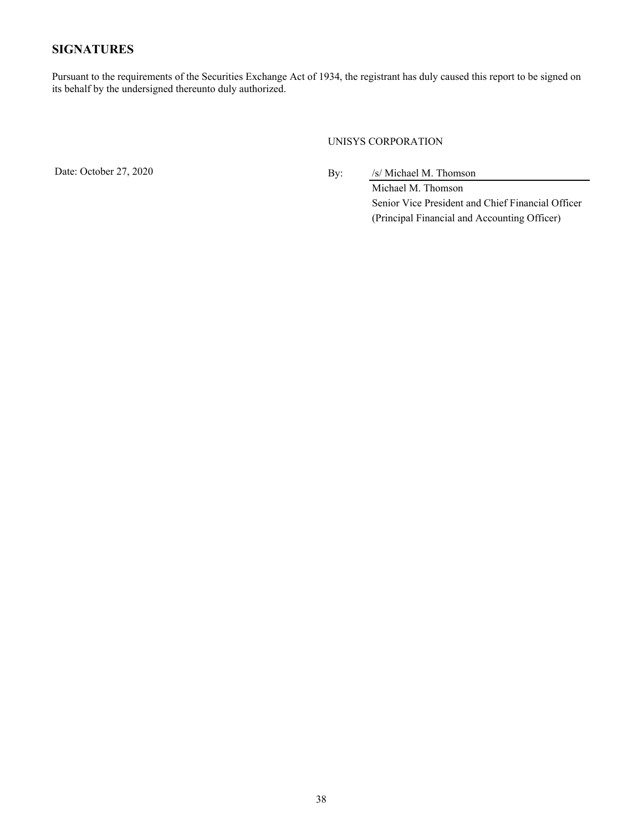# <span id="page-38-0"></span>**SIGNATURES**

Pursuant to the requirements of the Securities Exchange Act of 1934, the registrant has duly caused this report to be signed on its behalf by the undersigned thereunto duly authorized.

### UNISYS CORPORATION

Date: October 27, 2020 By: /s/ Michael M. Thomson

Michael M. Thomson Senior Vice President and Chief Financial Officer (Principal Financial and Accounting Officer)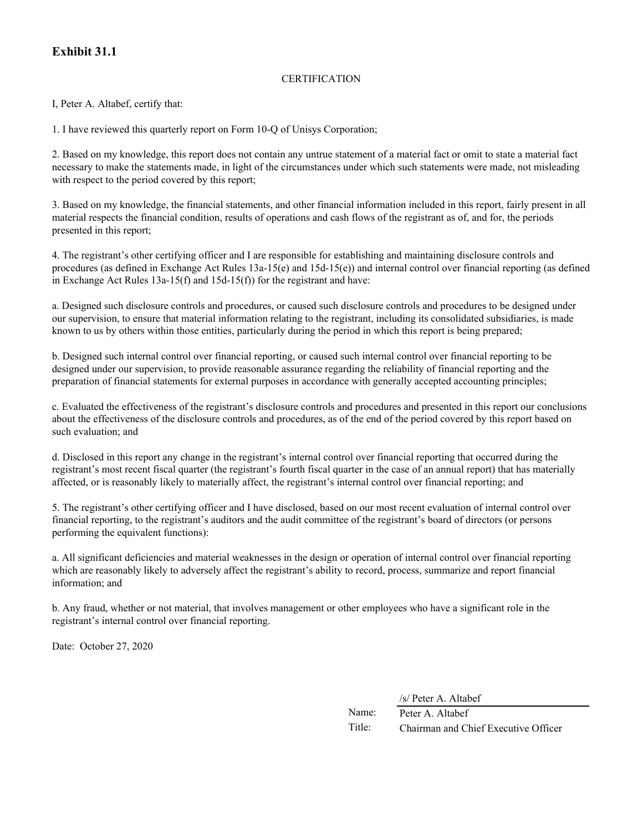# **Exhibit 31.1**

### **CERTIFICATION**

I, Peter A. Altabef, certify that:

1. I have reviewed this quarterly report on Form 10-Q of Unisys Corporation;

2. Based on my knowledge, this report does not contain any untrue statement of a material fact or omit to state a material fact necessary to make the statements made, in light of the circumstances under which such statements were made, not misleading with respect to the period covered by this report;

3. Based on my knowledge, the financial statements, and other financial information included in this report, fairly present in all material respects the financial condition, results of operations and cash flows of the registrant as of, and for, the periods presented in this report;

4. The registrant's other certifying officer and I are responsible for establishing and maintaining disclosure controls and procedures (as defined in Exchange Act Rules 13a-15(e) and 15d-15(e)) and internal control over financial reporting (as defined in Exchange Act Rules 13a-15(f) and 15d-15(f)) for the registrant and have:

a. Designed such disclosure controls and procedures, or caused such disclosure controls and procedures to be designed under our supervision, to ensure that material information relating to the registrant, including its consolidated subsidiaries, is made known to us by others within those entities, particularly during the period in which this report is being prepared;

b. Designed such internal control over financial reporting, or caused such internal control over financial reporting to be designed under our supervision, to provide reasonable assurance regarding the reliability of financial reporting and the preparation of financial statements for external purposes in accordance with generally accepted accounting principles;

c. Evaluated the effectiveness of the registrant's disclosure controls and procedures and presented in this report our conclusions about the effectiveness of the disclosure controls and procedures, as of the end of the period covered by this report based on such evaluation; and

d. Disclosed in this report any change in the registrant's internal control over financial reporting that occurred during the registrant's most recent fiscal quarter (the registrant's fourth fiscal quarter in the case of an annual report) that has materially affected, or is reasonably likely to materially affect, the registrant's internal control over financial reporting; and

5. The registrant's other certifying officer and I have disclosed, based on our most recent evaluation of internal control over financial reporting, to the registrant's auditors and the audit committee of the registrant's board of directors (or persons performing the equivalent functions):

a. All significant deficiencies and material weaknesses in the design or operation of internal control over financial reporting which are reasonably likely to adversely affect the registrant's ability to record, process, summarize and report financial information; and

b. Any fraud, whether or not material, that involves management or other employees who have a significant role in the registrant's internal control over financial reporting.

Date: October 27, 2020

/s/ Peter A. Altabef

Name: Peter A. Altabef Title: Chairman and Chief Executive Officer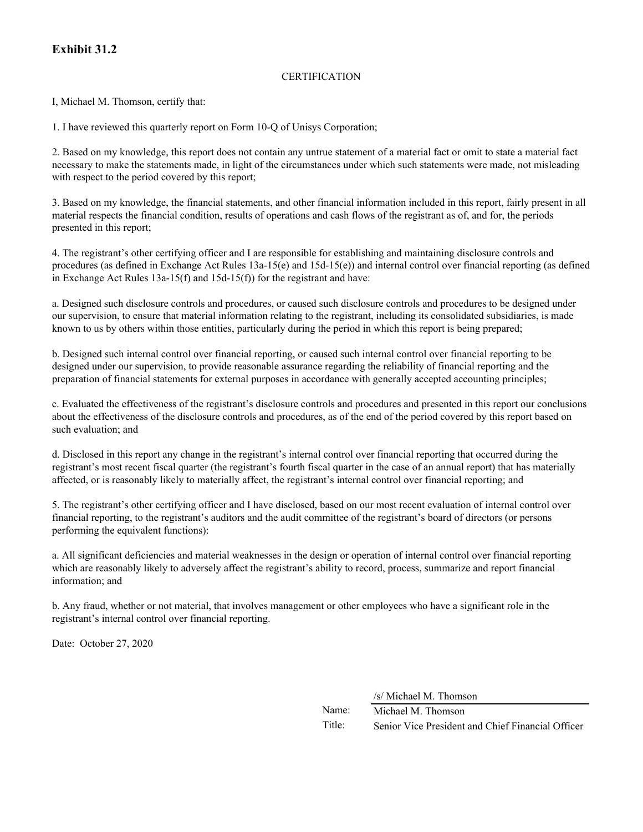# **Exhibit 31.2**

### **CERTIFICATION**

I, Michael M. Thomson, certify that:

1. I have reviewed this quarterly report on Form 10-Q of Unisys Corporation;

2. Based on my knowledge, this report does not contain any untrue statement of a material fact or omit to state a material fact necessary to make the statements made, in light of the circumstances under which such statements were made, not misleading with respect to the period covered by this report;

3. Based on my knowledge, the financial statements, and other financial information included in this report, fairly present in all material respects the financial condition, results of operations and cash flows of the registrant as of, and for, the periods presented in this report;

4. The registrant's other certifying officer and I are responsible for establishing and maintaining disclosure controls and procedures (as defined in Exchange Act Rules 13a-15(e) and 15d-15(e)) and internal control over financial reporting (as defined in Exchange Act Rules 13a-15(f) and 15d-15(f)) for the registrant and have:

a. Designed such disclosure controls and procedures, or caused such disclosure controls and procedures to be designed under our supervision, to ensure that material information relating to the registrant, including its consolidated subsidiaries, is made known to us by others within those entities, particularly during the period in which this report is being prepared;

b. Designed such internal control over financial reporting, or caused such internal control over financial reporting to be designed under our supervision, to provide reasonable assurance regarding the reliability of financial reporting and the preparation of financial statements for external purposes in accordance with generally accepted accounting principles;

c. Evaluated the effectiveness of the registrant's disclosure controls and procedures and presented in this report our conclusions about the effectiveness of the disclosure controls and procedures, as of the end of the period covered by this report based on such evaluation; and

d. Disclosed in this report any change in the registrant's internal control over financial reporting that occurred during the registrant's most recent fiscal quarter (the registrant's fourth fiscal quarter in the case of an annual report) that has materially affected, or is reasonably likely to materially affect, the registrant's internal control over financial reporting; and

5. The registrant's other certifying officer and I have disclosed, based on our most recent evaluation of internal control over financial reporting, to the registrant's auditors and the audit committee of the registrant's board of directors (or persons performing the equivalent functions):

a. All significant deficiencies and material weaknesses in the design or operation of internal control over financial reporting which are reasonably likely to adversely affect the registrant's ability to record, process, summarize and report financial information; and

b. Any fraud, whether or not material, that involves management or other employees who have a significant role in the registrant's internal control over financial reporting.

Date: October 27, 2020

/s/ Michael M. Thomson

Name: Michael M. Thomson Title: Senior Vice President and Chief Financial Officer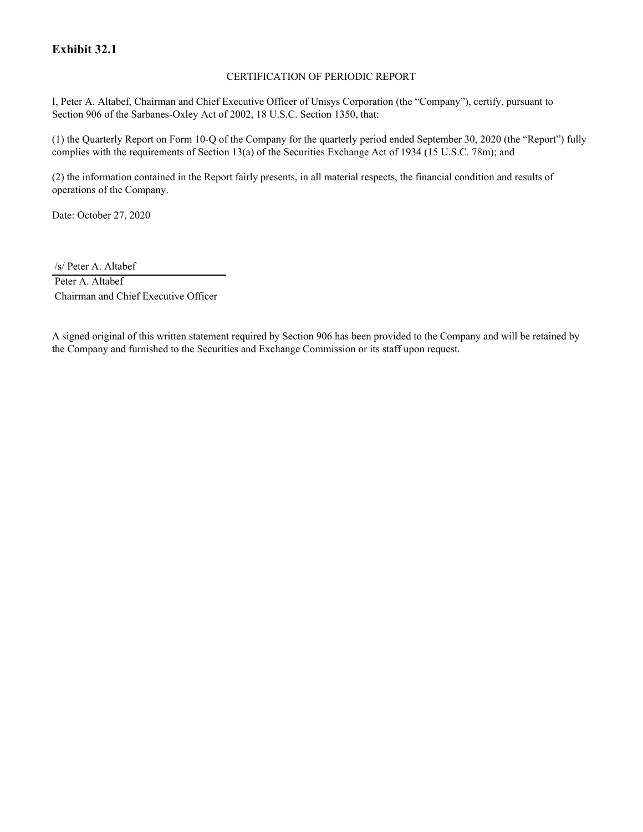# **Exhibit 32.1**

### CERTIFICATION OF PERIODIC REPORT

I, Peter A. Altabef, Chairman and Chief Executive Officer of Unisys Corporation (the "Company"), certify, pursuant to Section 906 of the Sarbanes-Oxley Act of 2002, 18 U.S.C. Section 1350, that:

(1) the Quarterly Report on Form 10-Q of the Company for the quarterly period ended September 30, 2020 (the "Report") fully complies with the requirements of Section 13(a) of the Securities Exchange Act of 1934 (15 U.S.C. 78m); and

(2) the information contained in the Report fairly presents, in all material respects, the financial condition and results of operations of the Company.

Date: October 27, 2020

/s/ Peter A. Altabef

Peter A. Altabef Chairman and Chief Executive Officer

A signed original of this written statement required by Section 906 has been provided to the Company and will be retained by the Company and furnished to the Securities and Exchange Commission or its staff upon request.